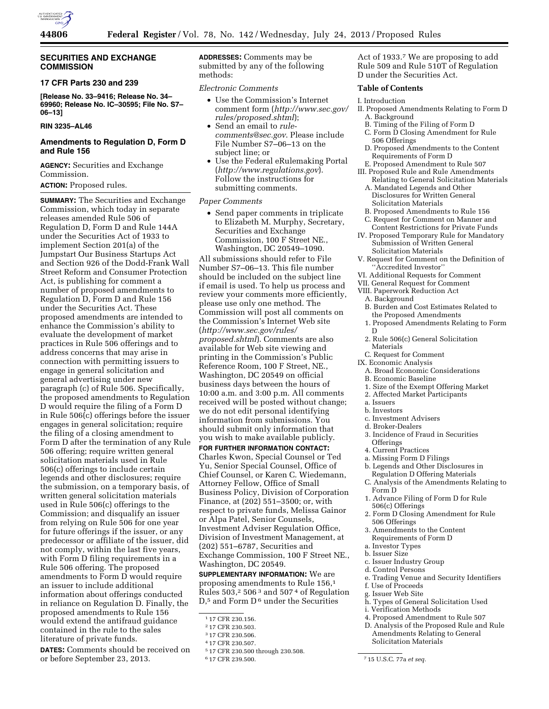

# **SECURITIES AND EXCHANGE COMMISSION**

# **17 CFR Parts 230 and 239**

**[Release No. 33–9416; Release No. 34– 69960; Release No. IC–30595; File No. S7– 06–13]** 

# **RIN 3235–AL46**

# **Amendments to Regulation D, Form D and Rule 156**

**AGENCY:** Securities and Exchange Commission.

# **ACTION:** Proposed rules.

**SUMMARY:** The Securities and Exchange Commission, which today in separate releases amended Rule 506 of Regulation D, Form D and Rule 144A under the Securities Act of 1933 to implement Section 201(a) of the Jumpstart Our Business Startups Act and Section 926 of the Dodd-Frank Wall Street Reform and Consumer Protection Act, is publishing for comment a number of proposed amendments to Regulation D, Form D and Rule 156 under the Securities Act. These proposed amendments are intended to enhance the Commission's ability to evaluate the development of market practices in Rule 506 offerings and to address concerns that may arise in connection with permitting issuers to engage in general solicitation and general advertising under new paragraph (c) of Rule 506. Specifically, the proposed amendments to Regulation D would require the filing of a Form D in Rule 506(c) offerings before the issuer engages in general solicitation; require the filing of a closing amendment to Form D after the termination of any Rule 506 offering; require written general solicitation materials used in Rule 506(c) offerings to include certain legends and other disclosures; require the submission, on a temporary basis, of written general solicitation materials used in Rule 506(c) offerings to the Commission; and disqualify an issuer from relying on Rule 506 for one year for future offerings if the issuer, or any predecessor or affiliate of the issuer, did not comply, within the last five years, with Form D filing requirements in a Rule 506 offering. The proposed amendments to Form D would require an issuer to include additional information about offerings conducted in reliance on Regulation D. Finally, the proposed amendments to Rule 156 would extend the antifraud guidance contained in the rule to the sales literature of private funds.

**DATES:** Comments should be received on or before September 23, 2013.

**ADDRESSES:** Comments may be submitted by any of the following methods:

*Electronic Comments* 

- Use the Commission's Internet comment form (*[http://www.sec.gov/](http://www.sec.gov/rules/proposed.shtml)  [rules/proposed.shtml](http://www.sec.gov/rules/proposed.shtml)*);
- Send an email to *[rule](mailto:rule-comments@sec.gov)[comments@sec.gov](mailto:rule-comments@sec.gov)*. Please include File Number S7–06–13 on the subject line; or
- Use the Federal eRulemaking Portal (*<http://www.regulations.gov>*). Follow the instructions for submitting comments.

### *Paper Comments*

• Send paper comments in triplicate to Elizabeth M. Murphy, Secretary, Securities and Exchange Commission, 100 F Street NE., Washington, DC 20549–1090.

All submissions should refer to File Number S7–06–13. This file number should be included on the subject line if email is used. To help us process and review your comments more efficiently, please use only one method. The Commission will post all comments on the Commission's Internet Web site (*[http://www.sec.gov/rules/](http://www.sec.gov/rules/proposed.shtml) [proposed.shtml](http://www.sec.gov/rules/proposed.shtml)*). Comments are also available for Web site viewing and printing in the Commission's Public Reference Room, 100 F Street, NE., Washington, DC 20549 on official business days between the hours of 10:00 a.m. and 3:00 p.m. All comments received will be posted without change; we do not edit personal identifying information from submissions. You should submit only information that you wish to make available publicly.

**FOR FURTHER INFORMATION CONTACT:**  Charles Kwon, Special Counsel or Ted Yu, Senior Special Counsel, Office of Chief Counsel, or Karen C. Wiedemann, Attorney Fellow, Office of Small Business Policy, Division of Corporation Finance, at (202) 551–3500; or, with respect to private funds, Melissa Gainor or Alpa Patel, Senior Counsels, Investment Adviser Regulation Office, Division of Investment Management, at (202) 551–6787, Securities and Exchange Commission, 100 F Street NE., Washington, DC 20549.

**SUPPLEMENTARY INFORMATION:** We are proposing amendments to Rule 156,1 Rules  $503<sup>2</sup> 506<sup>3</sup>$  and  $507<sup>4</sup>$  of Regulation D,<sup>5</sup> and Form D<sup>6</sup> under the Securities

Act of 1933.7 We are proposing to add Rule 509 and Rule 510T of Regulation D under the Securities Act.

### **Table of Contents**

### I. Introduction

- II. Proposed Amendments Relating to Form D A. Background
	- B. Timing of the Filing of Form D
	- C. Form D Closing Amendment for Rule 506 Offerings
	- D. Proposed Amendments to the Content Requirements of Form D
- E. Proposed Amendment to Rule 507 III. Proposed Rule and Rule Amendments
	- Relating to General Solicitation Materials A. Mandated Legends and Other
	- Disclosures for Written General Solicitation Materials
	- B. Proposed Amendments to Rule 156
- C. Request for Comment on Manner and Content Restrictions for Private Funds
- IV. Proposed Temporary Rule for Mandatory Submission of Written General Solicitation Materials
- V. Request for Comment on the Definition of ''Accredited Investor''
- VI. Additional Requests for Comment
- VII. General Request for Comment
- VIII. Paperwork Reduction Act
	- A. Background
	- B. Burden and Cost Estimates Related to the Proposed Amendments
	- 1. Proposed Amendments Relating to Form D
	- 2. Rule 506(c) General Solicitation Materials
- C. Request for Comment
- IX. Economic Analysis
	- A. Broad Economic Considerations
	- B. Economic Baseline
	- 1. Size of the Exempt Offering Market
	- 2. Affected Market Participants
- a. Issuers
- b. Investors
- c. Investment Advisers d. Broker-Dealers
- 
- 3. Incidence of Fraud in Securities **Offerings**
- 4. Current Practices
- a. Missing Form D Filings
- b. Legends and Other Disclosures in
- Regulation D Offering Materials
- C. Analysis of the Amendments Relating to Form D
- 1. Advance Filing of Form D for Rule 506(c) Offerings
- 2. Form D Closing Amendment for Rule 506 Offerings
- 3. Amendments to the Content Requirements of Form D
- a. Investor Types
- b. Issuer Size
- c. Issuer Industry Group
- d. Control Persons
- e. Trading Venue and Security Identifiers
- f. Use of Proceeds
- g. Issuer Web Site
- h. Types of General Solicitation Used
- i. Verification Methods
- 4. Proposed Amendment to Rule 507 D. Analysis of the Proposed Rule and Rule Amendments Relating to General

<sup>1</sup> 17 CFR 230.156.

<sup>2</sup> 17 CFR 230.503.

<sup>3</sup> 17 CFR 230.506.

<sup>4</sup> 17 CFR 230.507.

<sup>5</sup> 17 CFR 230.500 through 230.508.

Solicitation Materials

<sup>6</sup> 17 CFR 239.500. 7 15 U.S.C. 77a *et seq.*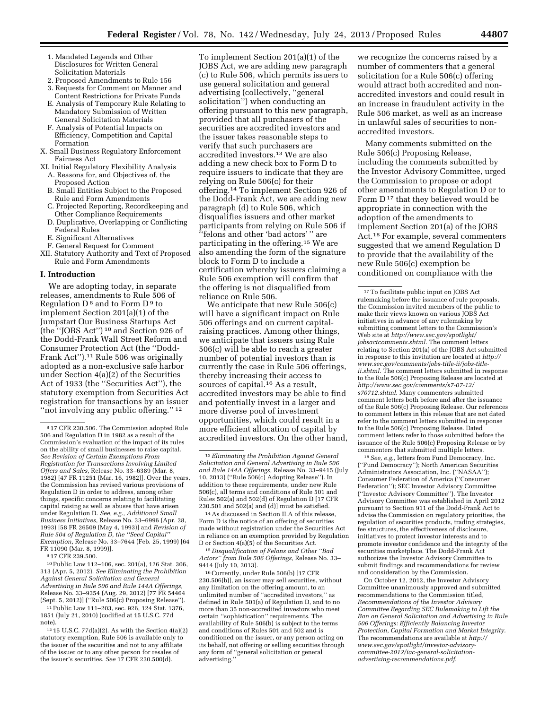- 1. Mandated Legends and Other Disclosures for Written General Solicitation Materials
- 2. Proposed Amendments to Rule 156 3. Requests for Comment on Manner and
- Content Restrictions for Private Funds E. Analysis of Temporary Rule Relating to Mandatory Submission of Written
- General Solicitation Materials F. Analysis of Potential Impacts on Efficiency, Competition and Capital
- Formation X. Small Business Regulatory Enforcement Fairness Act
- XI. Initial Regulatory Flexibility Analysis A. Reasons for, and Objectives of, the Proposed Action
	- B. Small Entities Subject to the Proposed Rule and Form Amendments
	- C. Projected Reporting, Recordkeeping and Other Compliance Requirements
	- D. Duplicative, Overlapping or Conflicting Federal Rules
	- E. Significant Alternatives
	- F. General Request for Comment
- XII. Statutory Authority and Text of Proposed Rule and Form Amendments

# **I. Introduction**

We are adopting today, in separate releases, amendments to Rule 506 of Regulation  $D^8$  and to Form  $D^9$  to implement Section 201(a)(1) of the Jumpstart Our Business Startups Act (the ''JOBS Act'') 10 and Section 926 of the Dodd-Frank Wall Street Reform and Consumer Protection Act (the ''Dodd-Frank Act'').11 Rule 506 was originally adopted as a non-exclusive safe harbor under Section 4(a)(2) of the Securities Act of 1933 (the ''Securities Act''), the statutory exemption from Securities Act registration for transactions by an issuer "not involving any public offering."<sup>12</sup>

10Public Law 112–106, sec. 201(a), 126 Stat. 306, 313 (Apr. 5, 2012). *See Eliminating the Prohibition Against General Solicitation and General Advertising in Rule 506 and Rule 144A Offerings,*  Release No. 33–9354 (Aug. 29, 2012) [77 FR 54464 (Sept. 5, 2012)] (''Rule 506(c) Proposing Release'').

11Public Law 111–203, sec. 926, 124 Stat. 1376, 1851 (July 21, 2010) (codified at 15 U.S.C. 77d note).

To implement Section 201(a)(1) of the JOBS Act, we are adding new paragraph (c) to Rule 506, which permits issuers to use general solicitation and general advertising (collectively, ''general solicitation'') when conducting an offering pursuant to this new paragraph, provided that all purchasers of the securities are accredited investors and the issuer takes reasonable steps to verify that such purchasers are accredited investors.13 We are also adding a new check box to Form D to require issuers to indicate that they are relying on Rule 506(c) for their offering.14 To implement Section 926 of the Dodd-Frank Act, we are adding new paragraph (d) to Rule 506, which disqualifies issuers and other market participants from relying on Rule 506 if ''felons and other 'bad actors' '' are participating in the offering.15 We are also amending the form of the signature block to Form D to include a certification whereby issuers claiming a Rule 506 exemption will confirm that the offering is not disqualified from reliance on Rule 506.

We anticipate that new Rule 506(c) will have a significant impact on Rule 506 offerings and on current capitalraising practices. Among other things, we anticipate that issuers using Rule 506(c) will be able to reach a greater number of potential investors than is currently the case in Rule 506 offerings, thereby increasing their access to sources of capital.16 As a result, accredited investors may be able to find and potentially invest in a larger and more diverse pool of investment opportunities, which could result in a more efficient allocation of capital by accredited investors. On the other hand,

14As discussed in Section II.A of this release, Form D is the notice of an offering of securities made without registration under the Securities Act in reliance on an exemption provided by Regulation D or Section 4(a)(5) of the Securities Act.

15 *Disqualification of Felons and Other ''Bad Actors'' from Rule 506 Offerings,* Release No. 33– 9414 (July 10, 2013).

16Currently, under Rule 506(b) [17 CFR 230.506(b)], an issuer may sell securities, without any limitation on the offering amount, to an unlimited number of ''accredited investors,'' as defined in Rule 501(a) of Regulation D, and to no more than 35 non-accredited investors who meet certain ''sophistication'' requirements. The availability of Rule 506(b) is subject to the terms and conditions of Rules 501 and 502 and is conditioned on the issuer, or any person acting on its behalf, not offering or selling securities through any form of ''general solicitation or general advertising.

we recognize the concerns raised by a number of commenters that a general solicitation for a Rule 506(c) offering would attract both accredited and nonaccredited investors and could result in an increase in fraudulent activity in the Rule 506 market, as well as an increase in unlawful sales of securities to nonaccredited investors.

Many comments submitted on the Rule 506(c) Proposing Release, including the comments submitted by the Investor Advisory Committee, urged the Commission to propose or adopt other amendments to Regulation D or to Form D<sup>17</sup> that they believed would be appropriate in connection with the adoption of the amendments to implement Section 201(a) of the JOBS Act.18 For example, several commenters suggested that we amend Regulation D to provide that the availability of the new Rule 506(c) exemption be conditioned on compliance with the

18*See, e.g.,* letters from Fund Democracy, Inc. (''Fund Democracy''); North American Securities Administrators Association, Inc. (''NASAA''); Consumer Federation of America (''Consumer Federation''); SEC Investor Advisory Committee (''Investor Advisory Committee''). The Investor Advisory Committee was established in April 2012 pursuant to Section 911 of the Dodd-Frank Act to advise the Commission on regulatory priorities, the regulation of securities products, trading strategies, fee structures, the effectiveness of disclosure, initiatives to protect investor interests and to promote investor confidence and the integrity of the securities marketplace. The Dodd-Frank Act authorizes the Investor Advisory Committee to submit findings and recommendations for review and consideration by the Commission.

On October 12, 2012, the Investor Advisory Committee unanimously approved and submitted recommendations to the Commission titled, *Recommendations of the Investor Advisory Committee Regarding SEC Rulemaking to Lift the Ban on General Solicitation and Advertising in Rule 506 Offerings: Efficiently Balancing Investor Protection, Capital Formation and Market Integrity.*  The recommendations are available at *http:// [www.sec.gov/s](http://www.sec.gov)potlight/investor-advisorycommittee-2012/iac-general-solicitationadvertising-recommendations.pdf*.

<sup>8</sup> 17 CFR 230.506. The Commission adopted Rule 506 and Regulation D in 1982 as a result of the Commission's evaluation of the impact of its rules on the ability of small businesses to raise capital. *See Revision of Certain Exemptions From Registration for Transactions Involving Limited Offers and Sales,* Release No. 33–6389 (Mar. 8, 1982) [47 FR 11251 (Mar. 16, 1982)]. Over the years, the Commission has revised various provisions of Regulation D in order to address, among other things, specific concerns relating to facilitating capital raising as well as abuses that have arisen under Regulation D. *See, e.g., Additional Small Business Initiatives,* Release No. 33–6996 (Apr. 28, 1993) [58 FR 26509 (May 4, 1993)] and *Revision of Rule 504 of Regulation D, the ''Seed Capital'' Exemption,* Release No. 33–7644 (Feb. 25, 1999) [64 FR 11090 (Mar. 8, 1999)].

<sup>9</sup> 17 CFR 239.500.

 $12\,15$  U.S.C. 77d(a)(2). As with the Section 4(a)(2) statutory exemption, Rule 506 is available only to the issuer of the securities and not to any affiliate of the issuer or to any other person for resales of the issuer's securities. *See* 17 CFR 230.500(d).

<sup>13</sup>*Eliminating the Prohibition Against General Solicitation and General Advertising in Rule 506 and Rule 144A Offerings,* Release No. 33–9415 (July 10, 2013) (''Rule 506(c) Adopting Release''). In addition to these requirements, under new Rule 506(c), all terms and conditions of Rule 501 and Rules 502(a) and 502(d) of Regulation D [17 CFR  $230.501$  and  $502(a)$  and  $(d)$ ] must be satisfied.

<sup>17</sup>To facilitate public input on JOBS Act rulemaking before the issuance of rule proposals, the Commission invited members of the public to make their views known on various JOBS Act initiatives in advance of any rulemaking by submitting comment letters to the Commission's Web site at *[http://www.sec.gov/spotlight/](http://www.sec.gov/spotlight/jobsactcomments.shtml) [jobsactcomments.shtml](http://www.sec.gov/spotlight/jobsactcomments.shtml)*. The comment letters relating to Section 201(a) of the JOBS Act submitted in response to this invitation are located at *[http://](http://www.sec.gov/comments/jobs-title-ii/jobs-title-ii.shtml)  [www.sec.gov/comments/jobs-title-ii/jobs-title](http://www.sec.gov/comments/jobs-title-ii/jobs-title-ii.shtml)[ii.shtml](http://www.sec.gov/comments/jobs-title-ii/jobs-title-ii.shtml)*. The comment letters submitted in response to the Rule 506(c) Proposing Release are located at *[http://www.sec.gov/comments/s7-07-12/](http://www.sec.gov/comments/s7-07-12/s70712.shtml) [s70712.shtml](http://www.sec.gov/comments/s7-07-12/s70712.shtml)*. Many commenters submitted comment letters both before and after the issuance of the Rule 506(c) Proposing Release. Our references to comment letters in this release that are not dated refer to the comment letters submitted in response to the Rule 506(c) Proposing Release. Dated comment letters refer to those submitted before the issuance of the Rule 506(c) Proposing Release or by commenters that submitted multiple letters.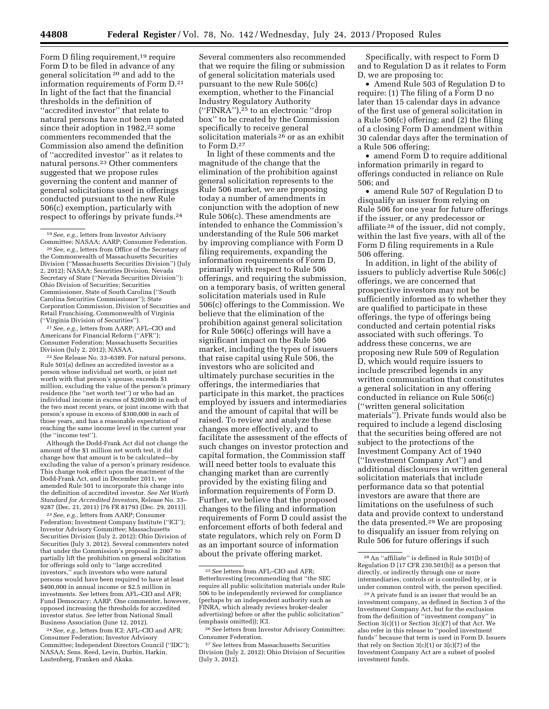Form D filing requirement,<sup>19</sup> require Form D to be filed in advance of any general solicitation 20 and add to the information requirements of Form D.21 In light of the fact that the financial thresholds in the definition of ''accredited investor'' that relate to natural persons have not been updated since their adoption in 1982,<sup>22</sup> some commenters recommended that the Commission also amend the definition of ''accredited investor'' as it relates to natural persons.23 Other commenters suggested that we propose rules governing the content and manner of general solicitations used in offerings conducted pursuant to the new Rule 506(c) exemption, particularly with respect to offerings by private funds.24

20*See, e.g.,* letters from Office of the Secretary of the Commonwealth of Massachusetts Securities Division (''Massachusetts Securities Division'') (July 2, 2012); NASAA; Securities Division, Nevada Secretary of State (''Nevada Securities Division''); Ohio Division of Securities; Securities Commissioner, State of South Carolina (''South Carolina Securities Commissioner''); State Corporation Commission, Division of Securities and Retail Franchising, Commonwealth of Virginia (''Virginia Division of Securities'').

21*See, e.g.,* letters from AARP; AFL–CIO and Americans for Financial Reform (''AFR''); Consumer Federation; Massachusetts Securities Division (July 2, 2012); NASAA.

22*See* Release No. 33–6389. For natural persons, Rule 501(a) defines an accredited investor as a person whose individual net worth, or joint net worth with that person's spouse, exceeds \$1 million, excluding the value of the person's primary residence (the ''net worth test'') or who had an individual income in excess of \$200,000 in each of the two most recent years, or joint income with that person's spouse in excess of \$300,000 in each of those years, and has a reasonable expectation of reaching the same income level in the current year (the ''income test'').

Although the Dodd-Frank Act did not change the amount of the \$1 million net worth test, it did change how that amount is to be calculated—by excluding the value of a person's primary residence. This change took effect upon the enactment of the Dodd-Frank Act, and in December 2011, we amended Rule 501 to incorporate this change into the definition of accredited investor. *See Net Worth Standard for Accredited Investors,* Release No. 33– 9287 (Dec. 21, 2011) [76 FR 81793 (Dec. 29, 2011)].

23*See, e.g.,* letters from AARP; Consumer Federation; Investment Company Institute (''ICI''); Investor Advisory Committee; Massachusetts Securities Division (July 2, 2012); Ohio Division of Securities (July 3, 2012). Several commenters noted that under the Commission's proposal in 2007 to partially lift the prohibition on general solicitation for offerings sold only to ''large accredited investors,'' such investors who were natural persons would have been required to have at least \$400,000 in annual income or \$2.5 million in investments. *See* letters from AFL–CIO and AFR; Fund Democracy; AARP. One commenter, however, opposed increasing the thresholds for accredited investor status. *See* letter from National Small Business Association (June 12, 2012).

24*See, e.g.,* letters from ICI; AFL–CIO and AFR; Consumer Federation; Investor Advisory Committee; Independent Directors Council (''IDC''); NASAA; Sens. Reed, Levin, Durbin, Harkin, Lautenberg, Franken and Akaka.

Several commenters also recommended that we require the filing or submission of general solicitation materials used pursuant to the new Rule 506(c) exemption, whether to the Financial Industry Regulatory Authority (''FINRA''),25 to an electronic ''drop box'' to be created by the Commission specifically to receive general solicitation materials<sup>26</sup> or as an exhibit to Form D.27

In light of these comments and the magnitude of the change that the elimination of the prohibition against general solicitation represents to the Rule 506 market, we are proposing today a number of amendments in conjunction with the adoption of new Rule 506(c). These amendments are intended to enhance the Commission's understanding of the Rule 506 market by improving compliance with Form D filing requirements, expanding the information requirements of Form D, primarily with respect to Rule 506 offerings, and requiring the submission, on a temporary basis, of written general solicitation materials used in Rule 506(c) offerings to the Commission. We believe that the elimination of the prohibition against general solicitation for Rule 506(c) offerings will have a significant impact on the Rule 506 market, including the types of issuers that raise capital using Rule 506, the investors who are solicited and ultimately purchase securities in the offerings, the intermediaries that participate in this market, the practices employed by issuers and intermediaries and the amount of capital that will be raised. To review and analyze these changes more effectively, and to facilitate the assessment of the effects of such changes on investor protection and capital formation, the Commission staff will need better tools to evaluate this changing market than are currently provided by the existing filing and information requirements of Form D. Further, we believe that the proposed changes to the filing and information requirements of Form D could assist the enforcement efforts of both federal and state regulators, which rely on Form D as an important source of information about the private offering market.

Specifically, with respect to Form D and to Regulation D as it relates to Form D, we are proposing to:

• Amend Rule 503 of Regulation D to require: (1) The filing of a Form D no later than 15 calendar days in advance of the first use of general solicitation in a Rule 506(c) offering; and (2) the filing of a closing Form D amendment within 30 calendar days after the termination of a Rule 506 offering;

• amend Form D to require additional information primarily in regard to offerings conducted in reliance on Rule 506; and

• amend Rule 507 of Regulation D to disqualify an issuer from relying on Rule 506 for one year for future offerings if the issuer, or any predecessor or affiliate 28 of the issuer, did not comply, within the last five years, with all of the Form D filing requirements in a Rule 506 offering.

In addition, in light of the ability of issuers to publicly advertise Rule 506(c) offerings, we are concerned that prospective investors may not be sufficiently informed as to whether they are qualified to participate in these offerings, the type of offerings being conducted and certain potential risks associated with such offerings. To address these concerns, we are proposing new Rule 509 of Regulation D, which would require issuers to include prescribed legends in any written communication that constitutes a general solicitation in any offering conducted in reliance on Rule 506(c) (''written general solicitation materials''). Private funds would also be required to include a legend disclosing that the securities being offered are not subject to the protections of the Investment Company Act of 1940 (''Investment Company Act'') and additional disclosures in written general solicitation materials that include performance data so that potential investors are aware that there are limitations on the usefulness of such data and provide context to understand the data presented.29 We are proposing to disqualify an issuer from relying on Rule 506 for future offerings if such

<sup>19</sup>*See, e.g.,* letters from Investor Advisory Committee; NASAA; AARP; Consumer Federation.

<sup>25</sup>*See* letters from AFL–CIO and AFR; BetterInvesting (recommending that ''the SEC require all public solicitation materials under Rule 506 to be independently reviewed for compliance (perhaps by an independent authority such as FINRA, which already reviews broker-dealer advertising) before or after the public solicitation'' (emphasis omitted)); ICI.

<sup>26</sup>*See* letters from Investor Advisory Committee; Consumer Federation.

<sup>27</sup>*See* letters from Massachusetts Securities Division (July 2, 2012); Ohio Division of Securities (July 3, 2012).

<sup>28</sup>An ''affiliate'' is defined in Rule 501(b) of Regulation D [17 CFR 230.501(b)] as a person that directly, or indirectly through one or more intermediaries, controls or is controlled by, or is under common control with, the person specified.

<sup>29</sup>A private fund is an issuer that would be an investment company, as defined in Section 3 of the Investment Company Act, but for the exclusion from the definition of ''investment company'' in Section 3(c)(1) or Section 3(c)(7) of that Act. We also refer in this release to ''pooled investment funds'' because that term is used in Form D. Issuers that rely on Section 3(c)(1) or 3(c)(7) of the Investment Company Act are a subset of pooled investment funds.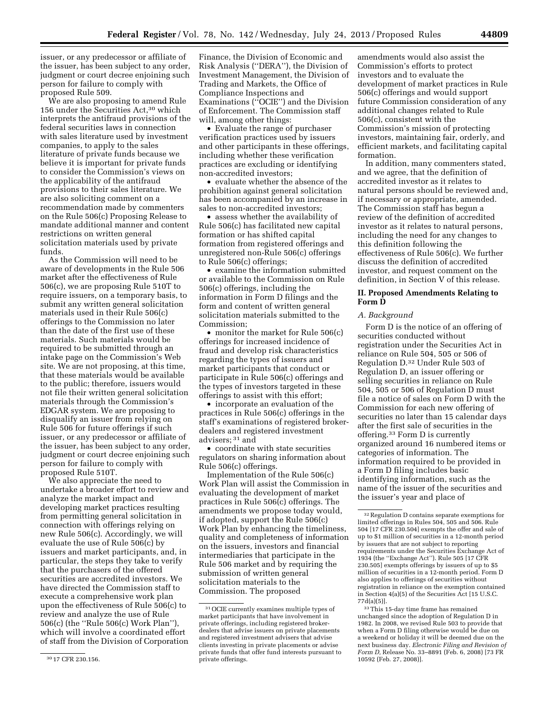issuer, or any predecessor or affiliate of the issuer, has been subject to any order, judgment or court decree enjoining such person for failure to comply with proposed Rule 509.

We are also proposing to amend Rule 156 under the Securities Act,30 which interprets the antifraud provisions of the federal securities laws in connection with sales literature used by investment companies, to apply to the sales literature of private funds because we believe it is important for private funds to consider the Commission's views on the applicability of the antifraud provisions to their sales literature. We are also soliciting comment on a recommendation made by commenters on the Rule 506(c) Proposing Release to mandate additional manner and content restrictions on written general solicitation materials used by private funds.

As the Commission will need to be aware of developments in the Rule 506 market after the effectiveness of Rule 506(c), we are proposing Rule 510T to require issuers, on a temporary basis, to submit any written general solicitation materials used in their Rule 506(c) offerings to the Commission no later than the date of the first use of these materials. Such materials would be required to be submitted through an intake page on the Commission's Web site. We are not proposing, at this time, that these materials would be available to the public; therefore, issuers would not file their written general solicitation materials through the Commission's EDGAR system. We are proposing to disqualify an issuer from relying on Rule 506 for future offerings if such issuer, or any predecessor or affiliate of the issuer, has been subject to any order, judgment or court decree enjoining such person for failure to comply with proposed Rule 510T.

We also appreciate the need to undertake a broader effort to review and analyze the market impact and developing market practices resulting from permitting general solicitation in connection with offerings relying on new Rule 506(c). Accordingly, we will evaluate the use of Rule 506(c) by issuers and market participants, and, in particular, the steps they take to verify that the purchasers of the offered securities are accredited investors. We have directed the Commission staff to execute a comprehensive work plan upon the effectiveness of Rule 506(c) to review and analyze the use of Rule 506(c) (the ''Rule 506(c) Work Plan''), which will involve a coordinated effort of staff from the Division of Corporation Finance, the Division of Economic and Risk Analysis (''DERA''), the Division of Investment Management, the Division of Trading and Markets, the Office of Compliance Inspections and Examinations (''OCIE'') and the Division of Enforcement. The Commission staff will, among other things:

• Evaluate the range of purchaser verification practices used by issuers and other participants in these offerings, including whether these verification practices are excluding or identifying non-accredited investors;

• evaluate whether the absence of the prohibition against general solicitation has been accompanied by an increase in sales to non-accredited investors;

• assess whether the availability of Rule 506(c) has facilitated new capital formation or has shifted capital formation from registered offerings and unregistered non-Rule 506(c) offerings to Rule 506(c) offerings;

• examine the information submitted or available to the Commission on Rule 506(c) offerings, including the information in Form D filings and the form and content of written general solicitation materials submitted to the Commission;

• monitor the market for Rule 506(c) offerings for increased incidence of fraud and develop risk characteristics regarding the types of issuers and market participants that conduct or participate in Rule 506(c) offerings and the types of investors targeted in these offerings to assist with this effort;

• incorporate an evaluation of the practices in Rule 506(c) offerings in the staff's examinations of registered brokerdealers and registered investment advisers; 31 and

• coordinate with state securities regulators on sharing information about Rule 506(c) offerings.

Implementation of the Rule 506(c) Work Plan will assist the Commission in evaluating the development of market practices in Rule 506(c) offerings. The amendments we propose today would, if adopted, support the Rule 506(c) Work Plan by enhancing the timeliness, quality and completeness of information on the issuers, investors and financial intermediaries that participate in the Rule 506 market and by requiring the submission of written general solicitation materials to the Commission. The proposed

amendments would also assist the Commission's efforts to protect investors and to evaluate the development of market practices in Rule 506(c) offerings and would support future Commission consideration of any additional changes related to Rule 506(c), consistent with the Commission's mission of protecting investors, maintaining fair, orderly, and efficient markets, and facilitating capital formation.

In addition, many commenters stated, and we agree, that the definition of accredited investor as it relates to natural persons should be reviewed and, if necessary or appropriate, amended. The Commission staff has begun a review of the definition of accredited investor as it relates to natural persons, including the need for any changes to this definition following the effectiveness of Rule 506(c). We further discuss the definition of accredited investor, and request comment on the definition, in Section V of this release.

# **II. Proposed Amendments Relating to Form D**

### *A. Background*

Form D is the notice of an offering of securities conducted without registration under the Securities Act in reliance on Rule 504, 505 or 506 of Regulation D.32 Under Rule 503 of Regulation D, an issuer offering or selling securities in reliance on Rule 504, 505 or 506 of Regulation D must file a notice of sales on Form D with the Commission for each new offering of securities no later than 15 calendar days after the first sale of securities in the offering.33 Form D is currently organized around 16 numbered items or categories of information. The information required to be provided in a Form D filing includes basic identifying information, such as the name of the issuer of the securities and the issuer's year and place of

<sup>30</sup> 17 CFR 230.156.

<sup>31</sup>OCIE currently examines multiple types of market participants that have involvement in private offerings, including registered brokerdealers that advise issuers on private placements and registered investment advisers that advise clients investing in private placements or advise private funds that offer fund interests pursuant to private offerings.

<sup>32</sup>Regulation D contains separate exemptions for limited offerings in Rules 504, 505 and 506. Rule 504 [17 CFR 230.504] exempts the offer and sale of up to \$1 million of securities in a 12-month period by issuers that are not subject to reporting requirements under the Securities Exchange Act of 1934 (the ''Exchange Act''). Rule 505 [17 CFR 230.505] exempts offerings by issuers of up to \$5 million of securities in a 12-month period. Form D also applies to offerings of securities without registration in reliance on the exemption contained in Section 4(a)(5) of the Securities Act [15 U.S.C. 77d(a)(5)].

<sup>33</sup>This 15-day time frame has remained unchanged since the adoption of Regulation D in 1982. In 2008, we revised Rule 503 to provide that when a Form D filing otherwise would be due on a weekend or holiday it will be deemed due on the next business day. *Electronic Filing and Revision of Form D,* Release No. 33–8891 (Feb. 6, 2008) [73 FR 10592 (Feb. 27, 2008)].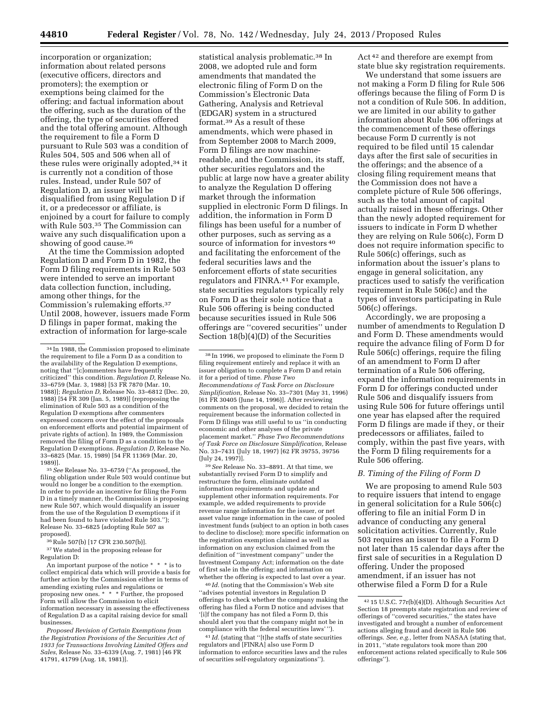incorporation or organization; information about related persons (executive officers, directors and promoters); the exemption or exemptions being claimed for the offering; and factual information about the offering, such as the duration of the offering, the type of securities offered and the total offering amount. Although the requirement to file a Form D pursuant to Rule 503 was a condition of Rules 504, 505 and 506 when all of these rules were originally adopted,<sup>34</sup> it is currently not a condition of those rules. Instead, under Rule 507 of Regulation D, an issuer will be disqualified from using Regulation D if it, or a predecessor or affiliate, is enjoined by a court for failure to comply with Rule 503.35 The Commission can waive any such disqualification upon a showing of good cause.<sup>36</sup>

At the time the Commission adopted Regulation D and Form D in 1982, the Form D filing requirements in Rule 503 were intended to serve an important data collection function, including, among other things, for the Commission's rulemaking efforts.37 Until 2008, however, issuers made Form D filings in paper format, making the extraction of information for large-scale

35*See* Release No. 33–6759 (''As proposed, the filing obligation under Rule 503 would continue but would no longer be a condition to the exemption. In order to provide an incentive for filing the Form D in a timely manner, the Commission is proposing new Rule 507, which would disqualify an issuer from the use of the Regulation D exemptions if it had been found to have violated Rule 503.''); Release No. 33–6825 (adopting Rule 507 as proposed).

<sup>36</sup>Rule 507(b) [17 CFR 230.507(b)].

37We stated in the proposing release for Regulation D:

An important purpose of the notice \* \* \* is to collect empirical data which will provide a basis for further action by the Commission either in terms of amending existing rules and regulations or proposing new ones. \* \* \* Further, the proposed Form will allow the Commission to elicit information necessary in assessing the effectiveness of Regulation D as a capital raising device for small businesses.

*Proposed Revision of Certain Exemptions from the Registration Provisions of the Securities Act of 1933 for Transactions Involving Limited Offers and Sales,* Release No. 33–6339 (Aug. 7, 1981) [46 FR 41791, 41799 (Aug. 18, 1981)].

statistical analysis problematic.<sup>38</sup> In 2008, we adopted rule and form amendments that mandated the electronic filing of Form D on the Commission's Electronic Data Gathering, Analysis and Retrieval (EDGAR) system in a structured format.39 As a result of these amendments, which were phased in from September 2008 to March 2009, Form D filings are now machinereadable, and the Commission, its staff, other securities regulators and the public at large now have a greater ability to analyze the Regulation D offering market through the information supplied in electronic Form D filings. In addition, the information in Form D filings has been useful for a number of other purposes, such as serving as a source of information for investors 40 and facilitating the enforcement of the federal securities laws and the enforcement efforts of state securities regulators and FINRA.41 For example, state securities regulators typically rely on Form D as their sole notice that a Rule 506 offering is being conducted because securities issued in Rule 506 offerings are ''covered securities'' under Section 18(b)(4)(D) of the Securities

39*See* Release No. 33–8891. At that time, we substantially revised Form D to simplify and restructure the form, eliminate outdated information requirements and update and supplement other information requirements. For example, we added requirements to provide revenue range information for the issuer, or net asset value range information in the case of pooled investment funds (subject to an option in both cases to decline to disclose); more specific information on the registration exemption claimed as well as information on any exclusion claimed from the definition of ''investment company'' under the Investment Company Act; information on the date of first sale in the offering; and information on whether the offering is expected to last over a year.

40 *Id.* (noting that the Commission's Web site ''advises potential investors in Regulation D offerings to check whether the company making the offering has filed a Form D notice and advises that '[i]f the company has not filed a Form D, this should alert you that the company might not be in compliance with the federal securities laws' '').

41 *Id.* (stating that ''[t]he staffs of state securities regulators and [FINRA] also use Form D information to enforce securities laws and the rules of securities self-regulatory organizations'').

Act 42 and therefore are exempt from state blue sky registration requirements.

We understand that some issuers are not making a Form D filing for Rule 506 offerings because the filing of Form D is not a condition of Rule 506. In addition, we are limited in our ability to gather information about Rule 506 offerings at the commencement of these offerings because Form D currently is not required to be filed until 15 calendar days after the first sale of securities in the offerings; and the absence of a closing filing requirement means that the Commission does not have a complete picture of Rule 506 offerings, such as the total amount of capital actually raised in these offerings. Other than the newly adopted requirement for issuers to indicate in Form D whether they are relying on Rule 506(c), Form D does not require information specific to Rule 506(c) offerings, such as information about the issuer's plans to engage in general solicitation, any practices used to satisfy the verification requirement in Rule 506(c) and the types of investors participating in Rule 506(c) offerings.

Accordingly, we are proposing a number of amendments to Regulation D and Form D. These amendments would require the advance filing of Form D for Rule 506(c) offerings, require the filing of an amendment to Form D after termination of a Rule 506 offering, expand the information requirements in Form D for offerings conducted under Rule 506 and disqualify issuers from using Rule 506 for future offerings until one year has elapsed after the required Form D filings are made if they, or their predecessors or affiliates, failed to comply, within the past five years, with the Form D filing requirements for a Rule 506 offering.

### *B. Timing of the Filing of Form D*

We are proposing to amend Rule 503 to require issuers that intend to engage in general solicitation for a Rule 506(c) offering to file an initial Form D in advance of conducting any general solicitation activities. Currently, Rule 503 requires an issuer to file a Form D not later than 15 calendar days after the first sale of securities in a Regulation D offering. Under the proposed amendment, if an issuer has not otherwise filed a Form D for a Rule

<sup>34</sup> In 1988, the Commission proposed to eliminate the requirement to file a Form D as a condition to the availability of the Regulation D exemptions, noting that ''[c]ommenters have frequently criticized'' this condition. *Regulation D,* Release No. 33–6759 (Mar. 3, 1988) [53 FR 7870 (Mar. 10, 1988)]; *Regulation D,* Release No. 33–6812 (Dec. 20, 1988) [54 FR 309 (Jan. 5, 1989)] (reproposing the elimination of Rule 503 as a condition of the Regulation D exemptions after commenters expressed concern over the effect of the proposals on enforcement efforts and potential impairment of private rights of action). In 1989, the Commission removed the filing of Form D as a condition to the Regulation D exemptions. *Regulation D,* Release No. 33–6825 (Mar. 15, 1989) [54 FR 11369 (Mar. 20, 1989)].

<sup>38</sup> In 1996, we proposed to eliminate the Form D filing requirement entirely and replace it with an issuer obligation to complete a Form D and retain it for a period of time. *Phase Two Recommendations of Task Force on Disclosure Simplification,* Release No. 33–7301 (May 31, 1996) [61 FR 30405 (June 14, 1996)]. After reviewing comments on the proposal, we decided to retain the requirement because the information collected in Form D filings was still useful to us ''in conducting economic and other analyses of the private placement market.'' *Phase Two Recommendations of Task Force on Disclosure Simplification,* Release No. 33–7431 (July 18, 1997) [62 FR 39755, 39756 (July 24, 1997)].

<sup>42</sup> 15 U.S.C. 77r(b)(4)(D). Although Securities Act Section 18 preempts state registration and review of offerings of ''covered securities,'' the states have investigated and brought a number of enforcement actions alleging fraud and deceit in Rule 506 offerings. *See, e.g.,* letter from NASAA (stating that, in 2011, ''state regulators took more than 200 enforcement actions related specifically to Rule 506 offerings'').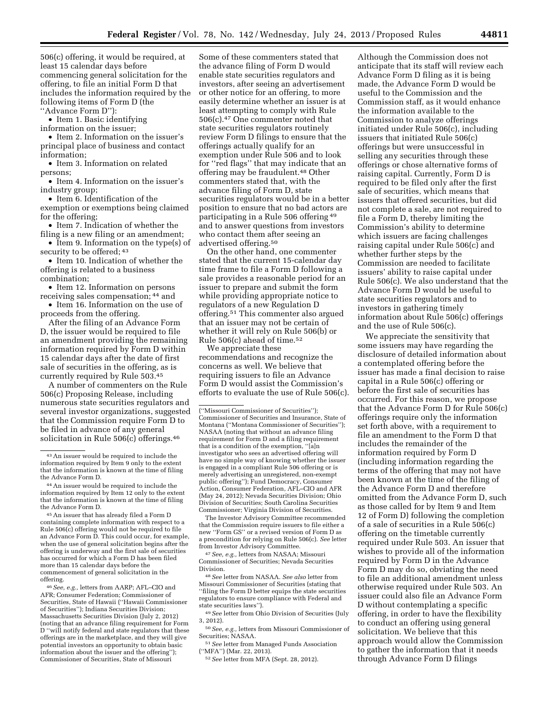506(c) offering, it would be required, at least 15 calendar days before commencing general solicitation for the offering, to file an initial Form D that includes the information required by the following items of Form D (the

''Advance Form D''):

• Item 1. Basic identifying

information on the issuer;

• Item 2. Information on the issuer's principal place of business and contact information;

• Item 3. Information on related persons;

• Item 4. Information on the issuer's industry group;

• Item 6. Identification of the exemption or exemptions being claimed for the offering;

• Item 7. Indication of whether the filing is a new filing or an amendment;

• Item 9. Information on the type(s) of security to be offered;  $43$ 

• Item 10. Indication of whether the offering is related to a business combination;

• Item 12. Information on persons

receiving sales compensation; 44 and • Item 16. Information on the use of proceeds from the offering.

After the filing of an Advance Form D, the issuer would be required to file an amendment providing the remaining information required by Form D within 15 calendar days after the date of first sale of securities in the offering, as is currently required by Rule 503.45

A number of commenters on the Rule 506(c) Proposing Release, including numerous state securities regulators and several investor organizations, suggested that the Commission require Form D to be filed in advance of any general solicitation in Rule 506(c) offerings.46

45An issuer that has already filed a Form D containing complete information with respect to a Rule 506(c) offering would not be required to file an Advance Form D. This could occur, for example, when the use of general solicitation begins after the offering is underway and the first sale of securities has occurred for which a Form D has been filed more than 15 calendar days before the commencement of general solicitation in the offering.

46*See, e.g.,* letters from AARP; AFL–CIO and AFR; Consumer Federation; Commissioner of Securities, State of Hawaii (''Hawaii Commissioner of Securities''); Indiana Securities Division; Massachusetts Securities Division (July 2, 2012) (noting that an advance filing requirement for Form D ''will notify federal and state regulators that these offerings are in the marketplace, and they will give potential investors an opportunity to obtain basic information about the issuer and the offering''); Commissioner of Securities, State of Missouri

Some of these commenters stated that the advance filing of Form D would enable state securities regulators and investors, after seeing an advertisement or other notice for an offering, to more easily determine whether an issuer is at least attempting to comply with Rule 506(c).47 One commenter noted that state securities regulators routinely review Form D filings to ensure that the offerings actually qualify for an exemption under Rule 506 and to look for ''red flags'' that may indicate that an offering may be fraudulent.48 Other commenters stated that, with the advance filing of Form D, state securities regulators would be in a better position to ensure that no bad actors are participating in a Rule 506 offering 49 and to answer questions from investors who contact them after seeing an advertised offering.50

On the other hand, one commenter stated that the current 15-calendar day time frame to file a Form D following a sale provides a reasonable period for an issuer to prepare and submit the form while providing appropriate notice to regulators of a new Regulation D offering.51 This commenter also argued that an issuer may not be certain of whether it will rely on Rule 506(b) or Rule 506(c) ahead of time.52

We appreciate these recommendations and recognize the concerns as well. We believe that requiring issuers to file an Advance Form D would assist the Commission's efforts to evaluate the use of Rule 506(c).

The Investor Advisory Committee recommended that the Commission require issuers to file either a new ''Form GS'' or a revised version of Form D as a precondition for relying on Rule 506(c). *See* letter from Investor Advisory Committee.

47*See, e.g.,* letters from NASAA; Missouri Commissioner of Securities; Nevada Securities Division.

48*See* letter from NASAA. *See also* letter from Missouri Commissioner of Securities (stating that ''filing the Form D better equips the state securities regulators to ensure compliance with Federal and state securities laws'').

49*See* letter from Ohio Division of Securities (July 3, 2012).

50*See, e.g.,* letters from Missouri Commissioner of Securities; NASAA.

51*See* letter from Managed Funds Association (''MFA'') (Mar. 22, 2013).

52*See* letter from MFA (Sept. 28, 2012).

Although the Commission does not anticipate that its staff will review each Advance Form D filing as it is being made, the Advance Form D would be useful to the Commission and the Commission staff, as it would enhance the information available to the Commission to analyze offerings initiated under Rule 506(c), including issuers that initiated Rule 506(c) offerings but were unsuccessful in selling any securities through these offerings or chose alternative forms of raising capital. Currently, Form D is required to be filed only after the first sale of securities, which means that issuers that offered securities, but did not complete a sale, are not required to file a Form D, thereby limiting the Commission's ability to determine which issuers are facing challenges raising capital under Rule 506(c) and whether further steps by the Commission are needed to facilitate issuers' ability to raise capital under Rule 506(c). We also understand that the Advance Form D would be useful to state securities regulators and to investors in gathering timely information about Rule 506(c) offerings and the use of Rule 506(c).

We appreciate the sensitivity that some issuers may have regarding the disclosure of detailed information about a contemplated offering before the issuer has made a final decision to raise capital in a Rule 506(c) offering or before the first sale of securities has occurred. For this reason, we propose that the Advance Form D for Rule 506(c) offerings require only the information set forth above, with a requirement to file an amendment to the Form D that includes the remainder of the information required by Form D (including information regarding the terms of the offering that may not have been known at the time of the filing of the Advance Form D and therefore omitted from the Advance Form D, such as those called for by Item 9 and Item 12 of Form D) following the completion of a sale of securities in a Rule 506(c) offering on the timetable currently required under Rule 503. An issuer that wishes to provide all of the information required by Form D in the Advance Form D may do so, obviating the need to file an additional amendment unless otherwise required under Rule 503. An issuer could also file an Advance Form D without contemplating a specific offering, in order to have the flexibility to conduct an offering using general solicitation. We believe that this approach would allow the Commission to gather the information that it needs through Advance Form D filings

<sup>43</sup>An issuer would be required to include the information required by Item 9 only to the extent that the information is known at the time of filing the Advance Form D.

<sup>44</sup>An issuer would be required to include the information required by Item 12 only to the extent that the information is known at the time of filing the Advance Form D.

<sup>(&#</sup>x27;'Missouri Commissioner of Securities''); Commissioner of Securities and Insurance, State of Montana (''Montana Commissioner of Securities''); NASAA (noting that without an advance filing requirement for Form D and a filing requirement that is a condition of the exemption, ''[a]n investigator who sees an advertised offering will have no simple way of knowing whether the issuer is engaged in a compliant Rule 506 offering or is merely advertising an unregistered, non-exempt public offering''); Fund Democracy, Consumer Action, Consumer Federation, AFL–CIO and AFR (May 24, 2012); Nevada Securities Division; Ohio Division of Securities; South Carolina Securities Commissioner; Virginia Division of Securities.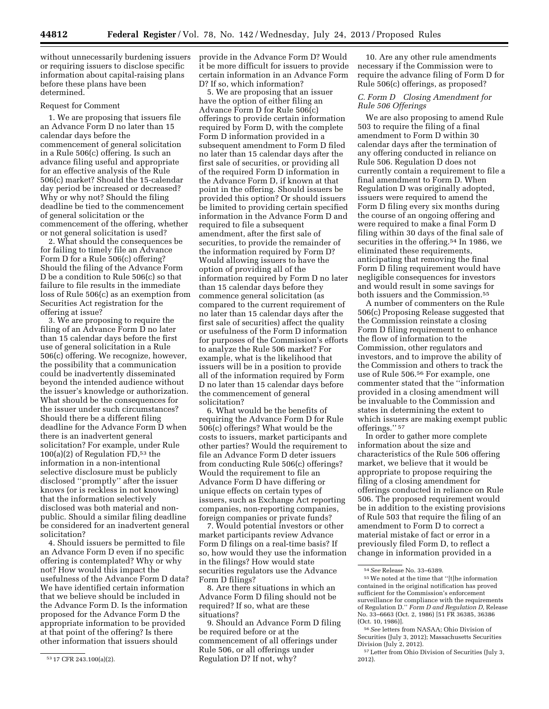without unnecessarily burdening issuers or requiring issuers to disclose specific information about capital-raising plans before these plans have been determined.

### Request for Comment

1. We are proposing that issuers file an Advance Form D no later than 15 calendar days before the commencement of general solicitation in a Rule 506(c) offering. Is such an advance filing useful and appropriate for an effective analysis of the Rule 506(c) market? Should the 15-calendar day period be increased or decreased? Why or why not? Should the filing deadline be tied to the commencement of general solicitation or the commencement of the offering, whether or not general solicitation is used?

2. What should the consequences be for failing to timely file an Advance Form D for a Rule 506(c) offering? Should the filing of the Advance Form D be a condition to Rule 506(c) so that failure to file results in the immediate loss of Rule 506(c) as an exemption from Securities Act registration for the offering at issue?

3. We are proposing to require the filing of an Advance Form D no later than 15 calendar days before the first use of general solicitation in a Rule 506(c) offering. We recognize, however, the possibility that a communication could be inadvertently disseminated beyond the intended audience without the issuer's knowledge or authorization. What should be the consequences for the issuer under such circumstances? Should there be a different filing deadline for the Advance Form D when there is an inadvertent general solicitation? For example, under Rule  $100(a)(2)$  of Regulation FD,<sup>53</sup> the information in a non-intentional selective disclosure must be publicly disclosed ''promptly'' after the issuer knows (or is reckless in not knowing) that the information selectively disclosed was both material and nonpublic. Should a similar filing deadline be considered for an inadvertent general solicitation?

4. Should issuers be permitted to file an Advance Form D even if no specific offering is contemplated? Why or why not? How would this impact the usefulness of the Advance Form D data? We have identified certain information that we believe should be included in the Advance Form D. Is the information proposed for the Advance Form D the appropriate information to be provided at that point of the offering? Is there other information that issuers should

provide in the Advance Form D? Would it be more difficult for issuers to provide certain information in an Advance Form D? If so, which information?

5. We are proposing that an issuer have the option of either filing an Advance Form D for Rule 506(c) offerings to provide certain information required by Form D, with the complete Form D information provided in a subsequent amendment to Form D filed no later than 15 calendar days after the first sale of securities, or providing all of the required Form D information in the Advance Form D, if known at that point in the offering. Should issuers be provided this option? Or should issuers be limited to providing certain specified information in the Advance Form D and required to file a subsequent amendment, after the first sale of securities, to provide the remainder of the information required by Form D? Would allowing issuers to have the option of providing all of the information required by Form D no later than 15 calendar days before they commence general solicitation (as compared to the current requirement of no later than 15 calendar days after the first sale of securities) affect the quality or usefulness of the Form D information for purposes of the Commission's efforts to analyze the Rule 506 market? For example, what is the likelihood that issuers will be in a position to provide all of the information required by Form D no later than 15 calendar days before the commencement of general solicitation?

6. What would be the benefits of requiring the Advance Form D for Rule 506(c) offerings? What would be the costs to issuers, market participants and other parties? Would the requirement to file an Advance Form D deter issuers from conducting Rule 506(c) offerings? Would the requirement to file an Advance Form D have differing or unique effects on certain types of issuers, such as Exchange Act reporting companies, non-reporting companies, foreign companies or private funds?

7. Would potential investors or other market participants review Advance Form D filings on a real-time basis? If so, how would they use the information in the filings? How would state securities regulators use the Advance Form D filings?

8. Are there situations in which an Advance Form D filing should not be required? If so, what are these situations?

9. Should an Advance Form D filing be required before or at the commencement of all offerings under Rule 506, or all offerings under Regulation D? If not, why?

10. Are any other rule amendments necessary if the Commission were to require the advance filing of Form D for Rule 506(c) offerings, as proposed?

# *C. Form D Closing Amendment for Rule 506 Offerings*

We are also proposing to amend Rule 503 to require the filing of a final amendment to Form D within 30 calendar days after the termination of any offering conducted in reliance on Rule 506. Regulation D does not currently contain a requirement to file a final amendment to Form D. When Regulation D was originally adopted, issuers were required to amend the Form D filing every six months during the course of an ongoing offering and were required to make a final Form D filing within 30 days of the final sale of securities in the offering.<sup>54</sup> In 1986, we eliminated these requirements, anticipating that removing the final Form D filing requirement would have negligible consequences for investors and would result in some savings for both issuers and the Commission.55

A number of commenters on the Rule 506(c) Proposing Release suggested that the Commission reinstate a closing Form D filing requirement to enhance the flow of information to the Commission, other regulators and investors, and to improve the ability of the Commission and others to track the use of Rule 506.56 For example, one commenter stated that the ''information provided in a closing amendment will be invaluable to the Commission and states in determining the extent to which issuers are making exempt public offerings.'' 57

In order to gather more complete information about the size and characteristics of the Rule 506 offering market, we believe that it would be appropriate to propose requiring the filing of a closing amendment for offerings conducted in reliance on Rule 506. The proposed requirement would be in addition to the existing provisions of Rule 503 that require the filing of an amendment to Form D to correct a material mistake of fact or error in a previously filed Form D, to reflect a change in information provided in a

<sup>53</sup> 17 CFR 243.100(a)(2).

<sup>54</sup>*See* Release No. 33–6389.

<sup>55</sup>We noted at the time that ''[t]he information contained in the original notification has proved sufficient for the Commission's enforcement surveillance for compliance with the requirements of Regulation D.'' *Form D and Regulation D,* Release No. 33–6663 (Oct. 2, 1986) [51 FR 36385, 36386 (Oct. 10, 1986)].

<sup>56</sup>*See* letters from NASAA; Ohio Division of Securities (July 3, 2012); Massachusetts Securities Division (July 2, 2012).

<sup>57</sup>Letter from Ohio Division of Securities (July 3, 2012).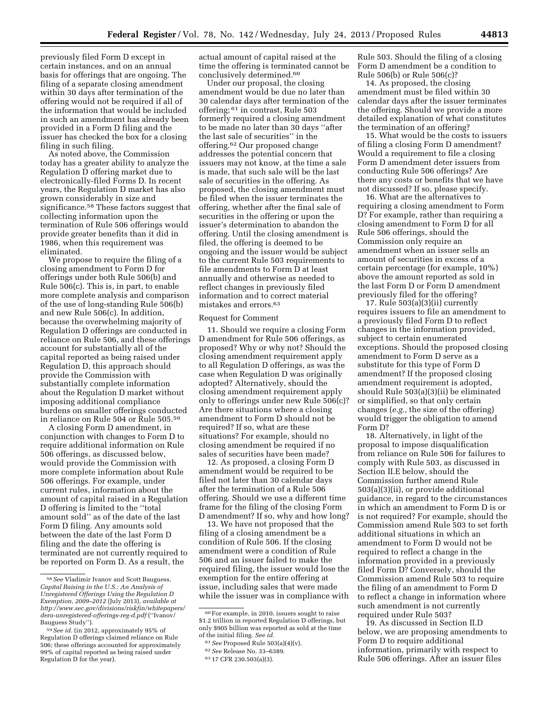previously filed Form D except in certain instances, and on an annual basis for offerings that are ongoing. The filing of a separate closing amendment within 30 days after termination of the offering would not be required if all of the information that would be included in such an amendment has already been provided in a Form D filing and the issuer has checked the box for a closing filing in such filing.

As noted above, the Commission today has a greater ability to analyze the Regulation D offering market due to electronically-filed Forms D. In recent years, the Regulation D market has also grown considerably in size and significance.<sup>58</sup> These factors suggest that collecting information upon the termination of Rule 506 offerings would provide greater benefits than it did in 1986, when this requirement was eliminated.

We propose to require the filing of a closing amendment to Form D for offerings under both Rule 506(b) and Rule 506(c). This is, in part, to enable more complete analysis and comparison of the use of long-standing Rule 506(b) and new Rule 506(c). In addition, because the overwhelming majority of Regulation D offerings are conducted in reliance on Rule 506, and these offerings account for substantially all of the capital reported as being raised under Regulation D, this approach should provide the Commission with substantially complete information about the Regulation D market without imposing additional compliance burdens on smaller offerings conducted in reliance on Rule 504 or Rule 505.59

A closing Form D amendment, in conjunction with changes to Form D to require additional information on Rule 506 offerings, as discussed below, would provide the Commission with more complete information about Rule 506 offerings. For example, under current rules, information about the amount of capital raised in a Regulation D offering is limited to the ''total amount sold'' as of the date of the last Form D filing. Any amounts sold between the date of the last Form D filing and the date the offering is terminated are not currently required to be reported on Form D. As a result, the

actual amount of capital raised at the time the offering is terminated cannot be conclusively determined.60

Under our proposal, the closing amendment would be due no later than 30 calendar days after termination of the offering; 61 in contrast, Rule 503 formerly required a closing amendment to be made no later than 30 days ''after the last sale of securities'' in the offering.62 Our proposed change addresses the potential concern that issuers may not know, at the time a sale is made, that such sale will be the last sale of securities in the offering. As proposed, the closing amendment must be filed when the issuer terminates the offering, whether after the final sale of securities in the offering or upon the issuer's determination to abandon the offering. Until the closing amendment is filed, the offering is deemed to be ongoing and the issuer would be subject to the current Rule 503 requirements to file amendments to Form D at least annually and otherwise as needed to reflect changes in previously filed information and to correct material mistakes and errors.63

### Request for Comment

11. Should we require a closing Form D amendment for Rule 506 offerings, as proposed? Why or why not? Should the closing amendment requirement apply to all Regulation D offerings, as was the case when Regulation D was originally adopted? Alternatively, should the closing amendment requirement apply only to offerings under new Rule 506(c)? Are there situations where a closing amendment to Form D should not be required? If so, what are these situations? For example, should no closing amendment be required if no sales of securities have been made?

12. As proposed, a closing Form D amendment would be required to be filed not later than 30 calendar days after the termination of a Rule 506 offering. Should we use a different time frame for the filing of the closing Form D amendment? If so, why and how long?

13. We have not proposed that the filing of a closing amendment be a condition of Rule 506. If the closing amendment were a condition of Rule 506 and an issuer failed to make the required filing, the issuer would lose the exemption for the entire offering at issue, including sales that were made while the issuer was in compliance with

Rule 503. Should the filing of a closing Form D amendment be a condition to Rule 506(b) or Rule 506(c)?

14. As proposed, the closing amendment must be filed within 30 calendar days after the issuer terminates the offering. Should we provide a more detailed explanation of what constitutes the termination of an offering?

15. What would be the costs to issuers of filing a closing Form D amendment? Would a requirement to file a closing Form D amendment deter issuers from conducting Rule 506 offerings? Are there any costs or benefits that we have not discussed? If so, please specify.

16. What are the alternatives to requiring a closing amendment to Form D? For example, rather than requiring a closing amendment to Form D for all Rule 506 offerings, should the Commission only require an amendment when an issuer sells an amount of securities in excess of a certain percentage (for example, 10%) above the amount reported as sold in the last Form D or Form D amendment previously filed for the offering?

17. Rule 503(a)(3)(ii) currently requires issuers to file an amendment to a previously filed Form D to reflect changes in the information provided, subject to certain enumerated exceptions. Should the proposed closing amendment to Form D serve as a substitute for this type of Form D amendment? If the proposed closing amendment requirement is adopted, should Rule 503(a)(3)(ii) be eliminated or simplified, so that only certain changes (*e.g.,* the size of the offering) would trigger the obligation to amend Form D?

18. Alternatively, in light of the proposal to impose disqualification from reliance on Rule 506 for failures to comply with Rule 503, as discussed in Section II.E below, should the Commission further amend Rule 503(a)(3)(ii), or provide additional guidance, in regard to the circumstances in which an amendment to Form D is or is not required? For example, should the Commission amend Rule 503 to set forth additional situations in which an amendment to Form D would not be required to reflect a change in the information provided in a previously filed Form D? Conversely, should the Commission amend Rule 503 to require the filing of an amendment to Form D to reflect a change in information where such amendment is not currently required under Rule 503?

19. As discussed in Section II.D below, we are proposing amendments to Form D to require additional information, primarily with respect to Rule 506 offerings. After an issuer files

<sup>58</sup>*See* Vladimir Ivanov and Scott Bauguess, *Capital Raising in the U.S.: An Analysis of Unregistered Offerings Using the Regulation D Exemption, 2009–2012* (July 2013), *available at [http://www.sec.gov/divisions/riskfin/whitepapers/](http://www.sec.gov/divisions/riskfin/whitepapers/dera-unregistered-offerings-reg-d.pdf)  [dera-unregistered-offerings-reg-d.pdf](http://www.sec.gov/divisions/riskfin/whitepapers/dera-unregistered-offerings-reg-d.pdf)* (''Ivanov/ Bauguess Study'').

<sup>59</sup>*See id.* (in 2012, approximately 95% of Regulation D offerings claimed reliance on Rule 506; these offerings accounted for approximately 99% of capital reported as being raised under Regulation D for the year).

<sup>60</sup>For example, in 2010, issuers sought to raise \$1.2 trillion in reported Regulation D offerings, but only \$905 billion was reported as sold at the time of the initial filing. *See id.* 

<sup>61</sup>*See* Proposed Rule 503(a)(4)(v).

<sup>62</sup>*See* Release No. 33–6389.

<sup>63</sup> 17 CFR 230.503(a)(3).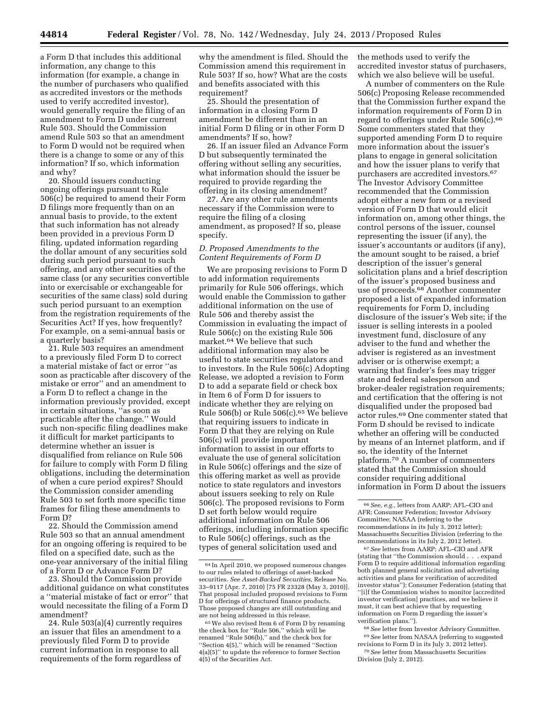a Form D that includes this additional information, any change to this information (for example, a change in the number of purchasers who qualified as accredited investors or the methods used to verify accredited investor), would generally require the filing of an amendment to Form D under current Rule 503. Should the Commission amend Rule 503 so that an amendment to Form D would not be required when there is a change to some or any of this information? If so, which information and why?

20. Should issuers conducting ongoing offerings pursuant to Rule 506(c) be required to amend their Form D filings more frequently than on an annual basis to provide, to the extent that such information has not already been provided in a previous Form D filing, updated information regarding the dollar amount of any securities sold during such period pursuant to such offering, and any other securities of the same class (or any securities convertible into or exercisable or exchangeable for securities of the same class) sold during such period pursuant to an exemption from the registration requirements of the Securities Act? If yes, how frequently? For example, on a semi-annual basis or a quarterly basis?

21. Rule 503 requires an amendment to a previously filed Form D to correct a material mistake of fact or error ''as soon as practicable after discovery of the mistake or error'' and an amendment to a Form D to reflect a change in the information previously provided, except in certain situations, ''as soon as practicable after the change.'' Would such non-specific filing deadlines make it difficult for market participants to determine whether an issuer is disqualified from reliance on Rule 506 for failure to comply with Form D filing obligations, including the determination of when a cure period expires? Should the Commission consider amending Rule 503 to set forth more specific time frames for filing these amendments to Form D?

22. Should the Commission amend Rule 503 so that an annual amendment for an ongoing offering is required to be filed on a specified date, such as the one-year anniversary of the initial filing of a Form D or Advance Form D?

23. Should the Commission provide additional guidance on what constitutes a ''material mistake of fact or error'' that would necessitate the filing of a Form D amendment?

24. Rule 503(a)(4) currently requires an issuer that files an amendment to a previously filed Form D to provide current information in response to all requirements of the form regardless of

why the amendment is filed. Should the Commission amend this requirement in Rule 503? If so, how? What are the costs and benefits associated with this requirement?

25. Should the presentation of information in a closing Form D amendment be different than in an initial Form D filing or in other Form D amendments? If so, how?

26. If an issuer filed an Advance Form D but subsequently terminated the offering without selling any securities, what information should the issuer be required to provide regarding the offering in its closing amendment?

27. Are any other rule amendments necessary if the Commission were to require the filing of a closing amendment, as proposed? If so, please specify.

# *D. Proposed Amendments to the Content Requirements of Form D*

We are proposing revisions to Form D to add information requirements primarily for Rule 506 offerings, which would enable the Commission to gather additional information on the use of Rule 506 and thereby assist the Commission in evaluating the impact of Rule 506(c) on the existing Rule 506 market.64 We believe that such additional information may also be useful to state securities regulators and to investors. In the Rule 506(c) Adopting Release, we adopted a revision to Form D to add a separate field or check box in Item 6 of Form D for issuers to indicate whether they are relying on Rule 506(b) or Rule 506(c). $65$  We believe that requiring issuers to indicate in Form D that they are relying on Rule 506(c) will provide important information to assist in our efforts to evaluate the use of general solicitation in Rule 506(c) offerings and the size of this offering market as well as provide notice to state regulators and investors about issuers seeking to rely on Rule 506(c). The proposed revisions to Form D set forth below would require additional information on Rule 506 offerings, including information specific to Rule 506(c) offerings, such as the types of general solicitation used and

the methods used to verify the accredited investor status of purchasers, which we also believe will be useful.

A number of commenters on the Rule 506(c) Proposing Release recommended that the Commission further expand the information requirements of Form D in regard to offerings under Rule 506(c).66 Some commenters stated that they supported amending Form D to require more information about the issuer's plans to engage in general solicitation and how the issuer plans to verify that purchasers are accredited investors.67 The Investor Advisory Committee recommended that the Commission adopt either a new form or a revised version of Form D that would elicit information on, among other things, the control persons of the issuer, counsel representing the issuer (if any), the issuer's accountants or auditors (if any), the amount sought to be raised, a brief description of the issuer's general solicitation plans and a brief description of the issuer's proposed business and use of proceeds.68 Another commenter proposed a list of expanded information requirements for Form D, including disclosure of the issuer's Web site; if the issuer is selling interests in a pooled investment fund, disclosure of any adviser to the fund and whether the adviser is registered as an investment adviser or is otherwise exempt; a warning that finder's fees may trigger state and federal salesperson and broker-dealer registration requirements; and certification that the offering is not disqualified under the proposed bad actor rules.69 One commenter stated that Form D should be revised to indicate whether an offering will be conducted by means of an Internet platform, and if so, the identity of the Internet platform.70 A number of commenters stated that the Commission should consider requiring additional information in Form D about the issuers

67*See* letters from AARP; AFL–CIO and AFR (stating that ''the Commission should . . . expand Form D to require additional information regarding both planned general solicitation and advertising activities and plans for verification of accredited investor status''); Consumer Federation (stating that ''[i]f the Commission wishes to monitor [accredited investor verification] practices, and we believe it must, it can best achieve that by requesting information on Form D regarding the issuer's verification plans.'').

68*See* letter from Investor Advisory Committee. 69*See* letter from NASAA (referring to suggested revisions to Form D in its July 3, 2012 letter).

70*See* letter from Massachusetts Securities Division (July 2, 2012).

<sup>64</sup> In April 2010, we proposed numerous changes to our rules related to offerings of asset-backed securities. *See Asset-Backed Securities,* Release No. 33–9117 (Apr. 7, 2010) [75 FR 23328 (May 3, 2010)]. That proposal included proposed revisions to Form D for offerings of structured finance products. Those proposed changes are still outstanding and are not being addressed in this release.

<sup>65</sup>We also revised Item 6 of Form D by renaming the check box for ''Rule 506,'' which will be renamed ''Rule 506(b),'' and the check box for ''Section 4(5),'' which will be renamed ''Section 4(a)(5)'' to update the reference to former Section 4(5) of the Securities Act.

<sup>66</sup>*See, e.g.,* letters from AARP; AFL–CIO and AFR; Consumer Federation; Investor Advisory Committee; NASAA (referring to the recommendations in its July 3, 2012 letter); Massachusetts Securities Division (referring to the recommendations in its July 2, 2012 letter).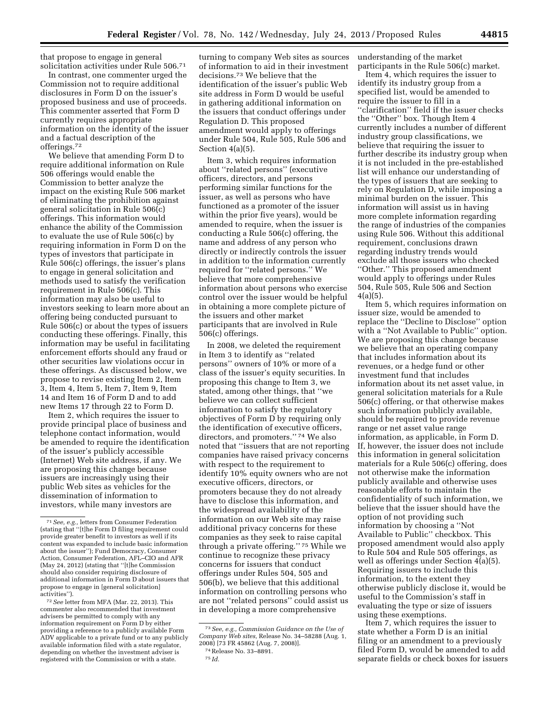that propose to engage in general solicitation activities under Rule 506.71

In contrast, one commenter urged the Commission not to require additional disclosures in Form D on the issuer's proposed business and use of proceeds. This commenter asserted that Form D currently requires appropriate information on the identity of the issuer and a factual description of the offerings.72

We believe that amending Form D to require additional information on Rule 506 offerings would enable the Commission to better analyze the impact on the existing Rule 506 market of eliminating the prohibition against general solicitation in Rule 506(c) offerings. This information would enhance the ability of the Commission to evaluate the use of Rule 506(c) by requiring information in Form D on the types of investors that participate in Rule 506(c) offerings, the issuer's plans to engage in general solicitation and methods used to satisfy the verification requirement in Rule 506(c). This information may also be useful to investors seeking to learn more about an offering being conducted pursuant to Rule 506(c) or about the types of issuers conducting these offerings. Finally, this information may be useful in facilitating enforcement efforts should any fraud or other securities law violations occur in these offerings. As discussed below, we propose to revise existing Item 2, Item 3, Item 4, Item 5, Item 7, Item 9, Item 14 and Item 16 of Form D and to add new Items 17 through 22 to Form D.

Item 2, which requires the issuer to provide principal place of business and telephone contact information, would be amended to require the identification of the issuer's publicly accessible (Internet) Web site address, if any. We are proposing this change because issuers are increasingly using their public Web sites as vehicles for the dissemination of information to investors, while many investors are

72*See* letter from MFA (Mar. 22, 2013). This commenter also recommended that investment advisers be permitted to comply with any information requirement on Form D by either providing a reference to a publicly available Form ADV applicable to a private fund or to any publicly available information filed with a state regulator, depending on whether the investment adviser is registered with the Commission or with a state.

turning to company Web sites as sources of information to aid in their investment decisions.73 We believe that the identification of the issuer's public Web site address in Form D would be useful in gathering additional information on the issuers that conduct offerings under Regulation D. This proposed amendment would apply to offerings under Rule 504, Rule 505, Rule 506 and Section 4(a)(5).

Item 3, which requires information about ''related persons'' (executive officers, directors, and persons performing similar functions for the issuer, as well as persons who have functioned as a promoter of the issuer within the prior five years), would be amended to require, when the issuer is conducting a Rule 506(c) offering, the name and address of any person who directly or indirectly controls the issuer in addition to the information currently required for ''related persons.'' We believe that more comprehensive information about persons who exercise control over the issuer would be helpful in obtaining a more complete picture of the issuers and other market participants that are involved in Rule 506(c) offerings.

In 2008, we deleted the requirement in Item 3 to identify as ''related persons'' owners of 10% or more of a class of the issuer's equity securities. In proposing this change to Item 3, we stated, among other things, that ''we believe we can collect sufficient information to satisfy the regulatory objectives of Form D by requiring only the identification of executive officers, directors, and promoters.'' 74 We also noted that ''issuers that are not reporting companies have raised privacy concerns with respect to the requirement to identify 10% equity owners who are not executive officers, directors, or promoters because they do not already have to disclose this information, and the widespread availability of the information on our Web site may raise additional privacy concerns for these companies as they seek to raise capital through a private offering.'' 75 While we continue to recognize these privacy concerns for issuers that conduct offerings under Rules 504, 505 and 506(b), we believe that this additional information on controlling persons who are not ''related persons'' could assist us in developing a more comprehensive

75 *Id.* 

understanding of the market participants in the Rule 506(c) market.

Item 4, which requires the issuer to identify its industry group from a specified list, would be amended to require the issuer to fill in a ''clarification'' field if the issuer checks the ''Other'' box. Though Item 4 currently includes a number of different industry group classifications, we believe that requiring the issuer to further describe its industry group when it is not included in the pre-established list will enhance our understanding of the types of issuers that are seeking to rely on Regulation D, while imposing a minimal burden on the issuer. This information will assist us in having more complete information regarding the range of industries of the companies using Rule 506. Without this additional requirement, conclusions drawn regarding industry trends would exclude all those issuers who checked ''Other.'' This proposed amendment would apply to offerings under Rules 504, Rule 505, Rule 506 and Section  $4(a)(5)$ .

Item 5, which requires information on issuer size, would be amended to replace the ''Decline to Disclose'' option with a ''Not Available to Public'' option. We are proposing this change because we believe that an operating company that includes information about its revenues, or a hedge fund or other investment fund that includes information about its net asset value, in general solicitation materials for a Rule 506(c) offering, or that otherwise makes such information publicly available, should be required to provide revenue range or net asset value range information, as applicable, in Form D. If, however, the issuer does not include this information in general solicitation materials for a Rule 506(c) offering, does not otherwise make the information publicly available and otherwise uses reasonable efforts to maintain the confidentiality of such information, we believe that the issuer should have the option of not providing such information by choosing a ''Not Available to Public'' checkbox. This proposed amendment would also apply to Rule 504 and Rule 505 offerings, as well as offerings under Section 4(a)(5). Requiring issuers to include this information, to the extent they otherwise publicly disclose it, would be useful to the Commission's staff in evaluating the type or size of issuers using these exemptions.

Item 7, which requires the issuer to state whether a Form D is an initial filing or an amendment to a previously filed Form D, would be amended to add separate fields or check boxes for issuers

<sup>71</sup>*See, e.g.,* letters from Consumer Federation (stating that ''[t]he Form D filing requirement could provide greater benefit to investors as well if its content was expanded to include basic information about the issuer''); Fund Democracy, Consumer Action, Consumer Federation, AFL–CIO and AFR (May 24, 2012) (stating that ''[t]he Commission should also consider requiring disclosure of additional information in Form D about issuers that propose to engage in [general solicitation] activities'').

<sup>73</sup>*See, e.g., Commission Guidance on the Use of Company Web sites,* Release No. 34–58288 (Aug. 1, 2008) [73 FR 45862 (Aug. 7, 2008)].

<sup>74</sup>Release No. 33–8891.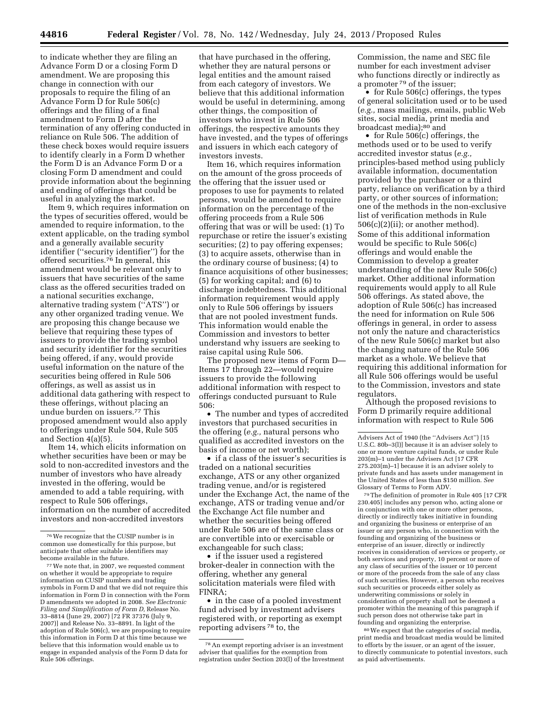to indicate whether they are filing an Advance Form D or a closing Form D amendment. We are proposing this change in connection with our proposals to require the filing of an Advance Form D for Rule 506(c) offerings and the filing of a final amendment to Form D after the termination of any offering conducted in reliance on Rule 506. The addition of these check boxes would require issuers to identify clearly in a Form D whether the Form D is an Advance Form D or a closing Form D amendment and could provide information about the beginning and ending of offerings that could be

useful in analyzing the market. Item 9, which requires information on the types of securities offered, would be amended to require information, to the extent applicable, on the trading symbol and a generally available security identifier (''security identifier'') for the offered securities.76 In general, this amendment would be relevant only to issuers that have securities of the same class as the offered securities traded on a national securities exchange, alternative trading system (''ATS'') or any other organized trading venue. We are proposing this change because we believe that requiring these types of issuers to provide the trading symbol and security identifier for the securities being offered, if any, would provide useful information on the nature of the securities being offered in Rule 506 offerings, as well as assist us in additional data gathering with respect to these offerings, without placing an undue burden on issuers.77 This proposed amendment would also apply to offerings under Rule 504, Rule 505 and Section 4(a)(5).

Item 14, which elicits information on whether securities have been or may be sold to non-accredited investors and the number of investors who have already invested in the offering, would be amended to add a table requiring, with respect to Rule 506 offerings, information on the number of accredited investors and non-accredited investors

that have purchased in the offering, whether they are natural persons or legal entities and the amount raised from each category of investors. We believe that this additional information would be useful in determining, among other things, the composition of investors who invest in Rule 506 offerings, the respective amounts they have invested, and the types of offerings and issuers in which each category of investors invests.

Item 16, which requires information on the amount of the gross proceeds of the offering that the issuer used or proposes to use for payments to related persons, would be amended to require information on the percentage of the offering proceeds from a Rule 506 offering that was or will be used: (1) To repurchase or retire the issuer's existing securities; (2) to pay offering expenses; (3) to acquire assets, otherwise than in the ordinary course of business; (4) to finance acquisitions of other businesses; (5) for working capital; and (6) to discharge indebtedness. This additional information requirement would apply only to Rule 506 offerings by issuers that are not pooled investment funds. This information would enable the Commission and investors to better understand why issuers are seeking to raise capital using Rule 506.

The proposed new items of Form D— Items 17 through 22—would require issuers to provide the following additional information with respect to offerings conducted pursuant to Rule 506:

• The number and types of accredited investors that purchased securities in the offering (*e.g.,* natural persons who qualified as accredited investors on the basis of income or net worth);

• if a class of the issuer's securities is traded on a national securities exchange, ATS or any other organized trading venue, and/or is registered under the Exchange Act, the name of the exchange, ATS or trading venue and/or the Exchange Act file number and whether the securities being offered under Rule 506 are of the same class or are convertible into or exercisable or exchangeable for such class;

• if the issuer used a registered broker-dealer in connection with the offering, whether any general solicitation materials were filed with FINRA;

• in the case of a pooled investment fund advised by investment advisers registered with, or reporting as exempt reporting advisers 78 to, the

Commission, the name and SEC file number for each investment adviser who functions directly or indirectly as a promoter 79 of the issuer;

• for Rule 506(c) offerings, the types of general solicitation used or to be used (*e.g.,* mass mailings, emails, public Web sites, social media, print media and broadcast media);<sup>80</sup> and

• for Rule 506(c) offerings, the methods used or to be used to verify accredited investor status (*e.g.,*  principles-based method using publicly available information, documentation provided by the purchaser or a third party, reliance on verification by a third party, or other sources of information; one of the methods in the non-exclusive list of verification methods in Rule 506(c)(2)(ii); or another method). Some of this additional information would be specific to Rule 506(c) offerings and would enable the Commission to develop a greater understanding of the new Rule 506(c) market. Other additional information requirements would apply to all Rule 506 offerings. As stated above, the adoption of Rule 506(c) has increased the need for information on Rule 506 offerings in general, in order to assess not only the nature and characteristics of the new Rule 506(c) market but also the changing nature of the Rule 506 market as a whole. We believe that requiring this additional information for all Rule 506 offerings would be useful to the Commission, investors and state regulators.

Although the proposed revisions to Form D primarily require additional information with respect to Rule 506

79The definition of promoter in Rule 405 [17 CFR 230.405] includes any person who, acting alone or in conjunction with one or more other persons, directly or indirectly takes initiative in founding and organizing the business or enterprise of an issuer or any person who, in connection with the founding and organizing of the business or enterprise of an issuer, directly or indirectly receives in consideration of services or property, or both services and property, 10 percent or more of any class of securities of the issuer or 10 percent or more of the proceeds from the sale of any class of such securities. However, a person who receives such securities or proceeds either solely as underwriting commissions or solely in consideration of property shall not be deemed a promoter within the meaning of this paragraph if such person does not otherwise take part in founding and organizing the enterprise.

80We expect that the categories of social media, print media and broadcast media would be limited to efforts by the issuer, or an agent of the issuer, to directly communicate to potential investors, such as paid advertisements.

<sup>76</sup>We recognize that the CUSIP number is in common use domestically for this purpose, but anticipate that other suitable identifiers may become available in the future.

<sup>77</sup>We note that, in 2007, we requested comment on whether it would be appropriate to require information on CUSIP numbers and trading symbols in Form D and that we did not require this information in Form D in connection with the Form D amendments we adopted in 2008. *See Electronic Filing and Simplification of Form D,* Release No. 33–8814 (June 29, 2007) [72 FR 37376 (July 9, 2007)] and Release No. 33–8891. In light of the adoption of Rule 506(c), we are proposing to require this information in Form D at this time because we believe that this information would enable us to engage in expanded analysis of the Form D data for Rule 506 offerings.

<sup>78</sup>An exempt reporting adviser is an investment adviser that qualifies for the exemption from registration under Section 203(l) of the Investment

Advisers Act of 1940 (the ''Advisers Act'') [15 U.S.C. 80b–3(l)] because it is an adviser solely to one or more venture capital funds, or under Rule 203(m)–1 under the Advisers Act [17 CFR 275.203(m)–1] because it is an adviser solely to private funds and has assets under management in the United States of less than \$150 million. *See*  Glossary of Terms to Form ADV.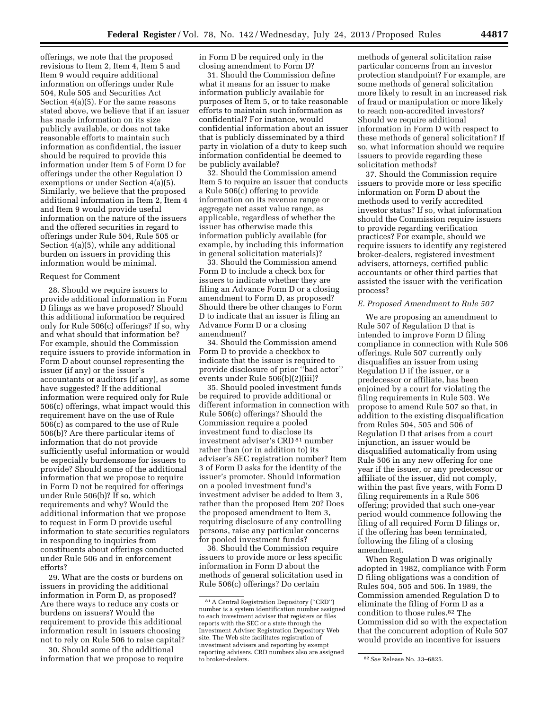offerings, we note that the proposed revisions to Item 2, Item 4, Item 5 and Item 9 would require additional information on offerings under Rule 504, Rule 505 and Securities Act Section 4(a)(5). For the same reasons stated above, we believe that if an issuer has made information on its size publicly available, or does not take reasonable efforts to maintain such information as confidential, the issuer should be required to provide this information under Item 5 of Form D for offerings under the other Regulation D exemptions or under Section 4(a)(5). Similarly, we believe that the proposed additional information in Item 2, Item 4 and Item 9 would provide useful information on the nature of the issuers and the offered securities in regard to offerings under Rule 504, Rule 505 or Section 4(a)(5), while any additional burden on issuers in providing this information would be minimal.

### Request for Comment

28. Should we require issuers to provide additional information in Form D filings as we have proposed? Should this additional information be required only for Rule 506(c) offerings? If so, why and what should that information be? For example, should the Commission require issuers to provide information in Form D about counsel representing the issuer (if any) or the issuer's accountants or auditors (if any), as some have suggested? If the additional information were required only for Rule 506(c) offerings, what impact would this requirement have on the use of Rule 506(c) as compared to the use of Rule 506(b)? Are there particular items of information that do not provide sufficiently useful information or would be especially burdensome for issuers to provide? Should some of the additional information that we propose to require in Form D not be required for offerings under Rule 506(b)? If so, which requirements and why? Would the additional information that we propose to request in Form D provide useful information to state securities regulators in responding to inquiries from constituents about offerings conducted under Rule 506 and in enforcement efforts?

29. What are the costs or burdens on issuers in providing the additional information in Form D, as proposed? Are there ways to reduce any costs or burdens on issuers? Would the requirement to provide this additional information result in issuers choosing not to rely on Rule 506 to raise capital?

30. Should some of the additional information that we propose to require in Form D be required only in the closing amendment to Form D?

31. Should the Commission define what it means for an issuer to make information publicly available for purposes of Item 5, or to take reasonable efforts to maintain such information as confidential? For instance, would confidential information about an issuer that is publicly disseminated by a third party in violation of a duty to keep such information confidential be deemed to be publicly available?

32. Should the Commission amend Item 5 to require an issuer that conducts a Rule 506(c) offering to provide information on its revenue range or aggregate net asset value range, as applicable, regardless of whether the issuer has otherwise made this information publicly available (for example, by including this information in general solicitation materials)?

33. Should the Commission amend Form D to include a check box for issuers to indicate whether they are filing an Advance Form D or a closing amendment to Form D, as proposed? Should there be other changes to Form D to indicate that an issuer is filing an Advance Form D or a closing amendment?

34. Should the Commission amend Form D to provide a checkbox to indicate that the issuer is required to provide disclosure of prior ''bad actor'' events under Rule 506(b)(2)(iii)?

35. Should pooled investment funds be required to provide additional or different information in connection with Rule 506(c) offerings? Should the Commission require a pooled investment fund to disclose its investment adviser's CRD 81 number rather than (or in addition to) its adviser's SEC registration number? Item 3 of Form D asks for the identity of the issuer's promoter. Should information on a pooled investment fund's investment adviser be added to Item 3, rather than the proposed Item 20? Does the proposed amendment to Item 3, requiring disclosure of any controlling persons, raise any particular concerns for pooled investment funds?

36. Should the Commission require issuers to provide more or less specific information in Form D about the methods of general solicitation used in Rule 506(c) offerings? Do certain

methods of general solicitation raise particular concerns from an investor protection standpoint? For example, are some methods of general solicitation more likely to result in an increased risk of fraud or manipulation or more likely to reach non-accredited investors? Should we require additional information in Form D with respect to these methods of general solicitation? If so, what information should we require issuers to provide regarding these solicitation methods?

37. Should the Commission require issuers to provide more or less specific information on Form D about the methods used to verify accredited investor status? If so, what information should the Commission require issuers to provide regarding verification practices? For example, should we require issuers to identify any registered broker-dealers, registered investment advisers, attorneys, certified public accountants or other third parties that assisted the issuer with the verification process?

# *E. Proposed Amendment to Rule 507*

We are proposing an amendment to Rule 507 of Regulation D that is intended to improve Form D filing compliance in connection with Rule 506 offerings. Rule 507 currently only disqualifies an issuer from using Regulation D if the issuer, or a predecessor or affiliate, has been enjoined by a court for violating the filing requirements in Rule 503. We propose to amend Rule 507 so that, in addition to the existing disqualification from Rules 504, 505 and 506 of Regulation D that arises from a court injunction, an issuer would be disqualified automatically from using Rule 506 in any new offering for one year if the issuer, or any predecessor or affiliate of the issuer, did not comply, within the past five years, with Form D filing requirements in a Rule 506 offering; provided that such one-year period would commence following the filing of all required Form D filings or, if the offering has been terminated, following the filing of a closing amendment.

When Regulation D was originally adopted in 1982, compliance with Form D filing obligations was a condition of Rules 504, 505 and 506. In 1989, the Commission amended Regulation D to eliminate the filing of Form D as a condition to those rules.82 The Commission did so with the expectation that the concurrent adoption of Rule 507 would provide an incentive for issuers

<sup>81</sup>A Central Registration Depository (''CRD'') number is a system identification number assigned to each investment adviser that registers or files reports with the SEC or a state through the Investment Adviser Registration Depository Web site. The Web site facilitates registration of investment advisers and reporting by exempt reporting advisers. CRD numbers also are assigned

<sup>&</sup>lt;sup>82</sup> See Release No. 33-6825.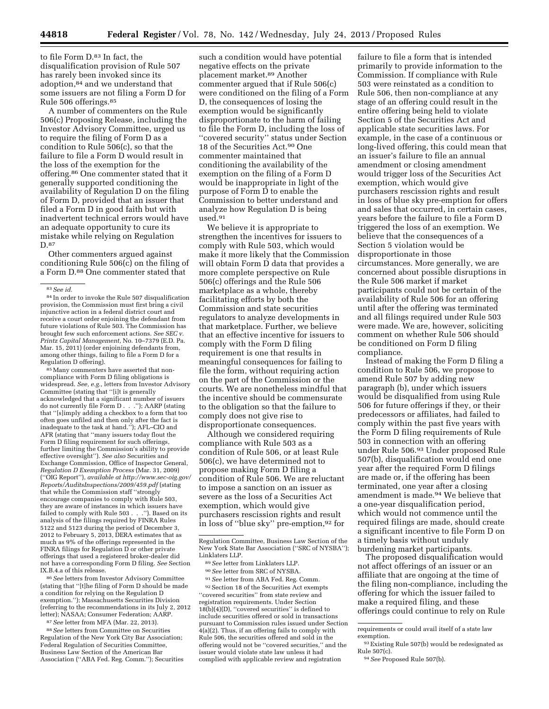to file Form D.83 In fact, the disqualification provision of Rule 507 has rarely been invoked since its adoption,84 and we understand that some issuers are not filing a Form D for Rule 506 offerings.85

A number of commenters on the Rule 506(c) Proposing Release, including the Investor Advisory Committee, urged us to require the filing of Form D as a condition to Rule 506(c), so that the failure to file a Form D would result in the loss of the exemption for the offering.86 One commenter stated that it generally supported conditioning the availability of Regulation D on the filing of Form D, provided that an issuer that filed a Form D in good faith but with inadvertent technical errors would have an adequate opportunity to cure its mistake while relying on Regulation D.87

Other commenters argued against conditioning Rule 506(c) on the filing of a Form D.88 One commenter stated that

85Many commenters have asserted that noncompliance with Form D filing obligations is widespread. *See, e.g.,* letters from Investor Advisory Committee (stating that ''[i]t is generally acknowledged that a significant number of issuers do not currently file Form D . . .''); AARP (stating that ''[s]imply adding a checkbox to a form that too often goes unfiled and then only after the fact is inadequate to the task at hand.''); AFL–CIO and AFR (stating that ''many issuers today flout the Form D filing requirement for such offerings, further limiting the Commission's ability to provide effective oversight''). *See also* Securities and Exchange Commission, Office of Inspector General, *Regulation D Exemption Process* (Mar. 31, 2009) (''OIG Report''), *available at [http://www.sec-oig.gov/](http://www.sec-oig.gov/Reports/AuditsInspections/2009/459.pdf) [Reports/AuditsInspections/2009/459.pdf](http://www.sec-oig.gov/Reports/AuditsInspections/2009/459.pdf)* (stating that while the Commission staff ''strongly encourage companies to comply with Rule 503, they are aware of instances in which issuers have failed to comply with Rule 503 . . .''). Based on its analysis of the filings required by FINRA Rules 5122 and 5123 during the period of December 3, 2012 to February 5, 2013, DERA estimates that as much as 9% of the offerings represented in the FINRA filings for Regulation D or other private offerings that used a registered broker-dealer did not have a corresponding Form D filing. *See* Section IX.B.4.a of this release.

86*See* letters from Investor Advisory Committee (stating that ''[t]he filing of Form D should be made a condition for relying on the Regulation D exemption.''); Massachusetts Securities Division (referring to the recommendations in its July 2, 2012 letter); NASAA; Consumer Federation; AARP.

87*See* letter from MFA (Mar. 22, 2013).

88*See* letters from Committee on Securities Regulation of the New York City Bar Association; Federal Regulation of Securities Committee, Business Law Section of the American Bar Association (''ABA Fed. Reg. Comm.''); Securities

such a condition would have potential negative effects on the private placement market.89 Another commenter argued that if Rule 506(c) were conditioned on the filing of a Form D, the consequences of losing the exemption would be significantly disproportionate to the harm of failing to file the Form D, including the loss of ''covered security'' status under Section 18 of the Securities Act.90 One commenter maintained that conditioning the availability of the exemption on the filing of a Form D would be inappropriate in light of the purpose of Form D to enable the Commission to better understand and analyze how Regulation D is being used.91

We believe it is appropriate to strengthen the incentives for issuers to comply with Rule 503, which would make it more likely that the Commission will obtain Form D data that provides a more complete perspective on Rule 506(c) offerings and the Rule 506 marketplace as a whole, thereby facilitating efforts by both the Commission and state securities regulators to analyze developments in that marketplace. Further, we believe that an effective incentive for issuers to comply with the Form D filing requirement is one that results in meaningful consequences for failing to file the form, without requiring action on the part of the Commission or the courts. We are nonetheless mindful that the incentive should be commensurate to the obligation so that the failure to comply does not give rise to disproportionate consequences.

Although we considered requiring compliance with Rule 503 as a condition of Rule 506, or at least Rule 506(c), we have determined not to propose making Form D filing a condition of Rule 506. We are reluctant to impose a sanction on an issuer as severe as the loss of a Securities Act exemption, which would give purchasers rescission rights and result in loss of ''blue sky'' pre-emption,92 for

90*See* letter from SRC of NYSBA.

91*See* letter from ABA Fed. Reg. Comm. 92 Section 18 of the Securities Act exempts ''covered securities'' from state review and registration requirements. Under Section  $18(b)(4)(D)$ , "covered securities" is defined to include securities offered or sold in transactions pursuant to Commission rules issued under Section 4(a)(2). Thus, if an offering fails to comply with Rule 506, the securities offered and sold in the offering would not be ''covered securities,'' and the issuer would violate state law unless it had complied with applicable review and registration

failure to file a form that is intended primarily to provide information to the Commission. If compliance with Rule 503 were reinstated as a condition to Rule 506, then non-compliance at any stage of an offering could result in the entire offering being held to violate Section 5 of the Securities Act and applicable state securities laws. For example, in the case of a continuous or long-lived offering, this could mean that an issuer's failure to file an annual amendment or closing amendment would trigger loss of the Securities Act exemption, which would give purchasers rescission rights and result in loss of blue sky pre-emption for offers and sales that occurred, in certain cases, years before the failure to file a Form D triggered the loss of an exemption. We believe that the consequences of a Section 5 violation would be disproportionate in those circumstances. More generally, we are concerned about possible disruptions in the Rule 506 market if market participants could not be certain of the availability of Rule 506 for an offering until after the offering was terminated and all filings required under Rule 503 were made. We are, however, soliciting comment on whether Rule 506 should be conditioned on Form D filing compliance.

Instead of making the Form D filing a condition to Rule 506, we propose to amend Rule 507 by adding new paragraph (b), under which issuers would be disqualified from using Rule 506 for future offerings if they, or their predecessors or affiliates, had failed to comply within the past five years with the Form D filing requirements of Rule 503 in connection with an offering under Rule 506.93 Under proposed Rule 507(b), disqualification would end one year after the required Form D filings are made or, if the offering has been terminated, one year after a closing amendment is made.94 We believe that a one-year disqualification period, which would not commence until the required filings are made, should create a significant incentive to file Form D on a timely basis without unduly burdening market participants.

The proposed disqualification would not affect offerings of an issuer or an affiliate that are ongoing at the time of the filing non-compliance, including the offering for which the issuer failed to make a required filing, and these offerings could continue to rely on Rule

<sup>83</sup>*See id.* 

<sup>84</sup> In order to invoke the Rule 507 disqualification provision, the Commission must first bring a civil injunctive action in a federal district court and receive a court order enjoining the defendant from future violations of Rule 503. The Commission has brought few such enforcement actions. *See SEC v. Printz Capital Management,* No. 10–7379 (E.D. Pa. Mar. 15, 2011) (order enjoining defendants from, among other things, failing to file a Form D for a Regulation D offering).

Regulation Committee, Business Law Section of the New York State Bar Association (''SRC of NYSBA''); Linklaters LLP.

<sup>89</sup>*See* letter from Linklaters LLP.

requirements or could avail itself of a state law exemption.

 $^{93}\rm~Existing$  Rule 507(b) would be redesignated as Rule 507(c).

<sup>94</sup>*See* Proposed Rule 507(b).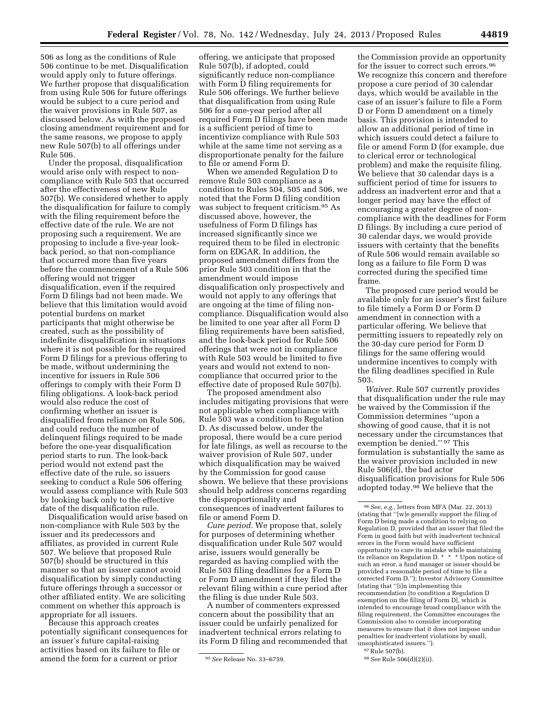506 as long as the conditions of Rule 506 continue to be met. Disqualification would apply only to future offerings. We further propose that disqualification from using Rule 506 for future offerings would be subject to a cure period and the waiver provisions in Rule 507, as discussed below. As with the proposed closing amendment requirement and for the same reasons, we propose to apply new Rule 507(b) to all offerings under Rule 506.

Under the proposal, disqualification would arise only with respect to noncompliance with Rule 503 that occurred after the effectiveness of new Rule 507(b). We considered whether to apply the disqualification for failure to comply with the filing requirement before the effective date of the rule. We are not proposing such a requirement. We are proposing to include a five-year lookback period, so that non-compliance that occurred more than five years before the commencement of a Rule 506 offering would not trigger disqualification, even if the required Form D filings had not been made. We believe that this limitation would avoid potential burdens on market participants that might otherwise be created, such as the possibility of indefinite disqualification in situations where it is not possible for the required Form D filings for a previous offering to be made, without undermining the incentive for issuers in Rule 506 offerings to comply with their Form D filing obligations. A look-back period would also reduce the cost of confirming whether an issuer is disqualified from reliance on Rule 506, and could reduce the number of delinquent filings required to be made before the one-year disqualification period starts to run. The look-back period would not extend past the effective date of the rule, so issuers seeking to conduct a Rule 506 offering would assess compliance with Rule 503 by looking back only to the effective date of the disqualification rule.

Disqualification would arise based on non-compliance with Rule 503 by the issuer and its predecessors and affiliates, as provided in current Rule 507. We believe that proposed Rule 507(b) should be structured in this manner so that an issuer cannot avoid disqualification by simply conducting future offerings through a successor or other affiliated entity. We are soliciting comment on whether this approach is appropriate for all issuers.

Because this approach creates potentially significant consequences for an issuer's future capital-raising activities based on its failure to file or amend the form for a current or prior

offering, we anticipate that proposed Rule 507(b), if adopted, could significantly reduce non-compliance with Form D filing requirements for Rule 506 offerings. We further believe that disqualification from using Rule 506 for a one-year period after all required Form D filings have been made is a sufficient period of time to incentivize compliance with Rule 503 while at the same time not serving as a disproportionate penalty for the failure to file or amend Form D.

When we amended Regulation D to remove Rule 503 compliance as a condition to Rules 504, 505 and 506, we noted that the Form D filing condition was subject to frequent criticism.95 As discussed above, however, the usefulness of Form D filings has increased significantly since we required them to be filed in electronic form on EDGAR. In addition, the proposed amendment differs from the prior Rule 503 condition in that the amendment would impose disqualification only prospectively and would not apply to any offerings that are ongoing at the time of filing noncompliance. Disqualification would also be limited to one year after all Form D filing requirements have been satisfied, and the look-back period for Rule 506 offerings that were not in compliance with Rule 503 would be limited to five years and would not extend to noncompliance that occurred prior to the effective date of proposed Rule 507(b).

The proposed amendment also includes mitigating provisions that were not applicable when compliance with Rule 503 was a condition to Regulation D. As discussed below, under the proposal, there would be a cure period for late filings, as well as recourse to the waiver provision of Rule 507, under which disqualification may be waived by the Commission for good cause shown. We believe that these provisions should help address concerns regarding the disproportionality and consequences of inadvertent failures to file or amend Form D.

*Cure period.* We propose that, solely for purposes of determining whether disqualification under Rule 507 would arise, issuers would generally be regarded as having complied with the Rule 503 filing deadlines for a Form D or Form D amendment if they filed the relevant filing within a cure period after the filing is due under Rule 503.

A number of commenters expressed concern about the possibility that an issuer could be unfairly penalized for inadvertent technical errors relating to its Form D filing and recommended that

the Commission provide an opportunity for the issuer to correct such errors.<sup>96</sup> We recognize this concern and therefore propose a cure period of 30 calendar days, which would be available in the case of an issuer's failure to file a Form D or Form D amendment on a timely basis. This provision is intended to allow an additional period of time in which issuers could detect a failure to file or amend Form D (for example, due to clerical error or technological problem) and make the requisite filing. We believe that 30 calendar days is a sufficient period of time for issuers to address an inadvertent error and that a longer period may have the effect of encouraging a greater degree of noncompliance with the deadlines for Form D filings. By including a cure period of 30 calendar days, we would provide issuers with certainty that the benefits of Rule 506 would remain available so long as a failure to file Form D was corrected during the specified time frame.

The proposed cure period would be available only for an issuer's first failure to file timely a Form D or Form D amendment in connection with a particular offering. We believe that permitting issuers to repeatedly rely on the 30-day cure period for Form D filings for the same offering would undermine incentives to comply with the filing deadlines specified in Rule 503.

*Waiver.* Rule 507 currently provides that disqualification under the rule may be waived by the Commission if the Commission determines ''upon a showing of good cause, that it is not necessary under the circumstances that exemption be denied.'' 97 This formulation is substantially the same as the waiver provision included in new Rule 506(d), the bad actor disqualification provisions for Rule 506 adopted today.98 We believe that the

<sup>95</sup>*See* Release No. 33–6759.

<sup>96</sup>*See, e.g.,* letters from MFA (Mar. 22, 2013) (stating that ''[w]e generally support the filing of Form D being made a condition to relying on Regulation D, provided that an issuer that filed the Form in good faith but with inadvertent technical errors in the Form would have sufficient opportunity to cure its mistake while maintaining its reliance on Regulation D. \* \* \* Upon notice of such an error, a fund manager or issuer should be provided a reasonable period of time to file a corrected Form D.''); Investor Advisory Committee (stating that ''[i]n implementing this recommendation [to condition a Regulation D exemption on the filing of Form D], which is intended to encourage broad compliance with the filing requirement, the Committee encourages the Commission also to consider incorporating measures to ensure that it does not impose undue penalties for inadvertent violations by small, unsophisticated issuers.'').

<sup>97</sup>Rule 507(b).

<sup>98</sup>*See* Rule 506(d)(2)(ii).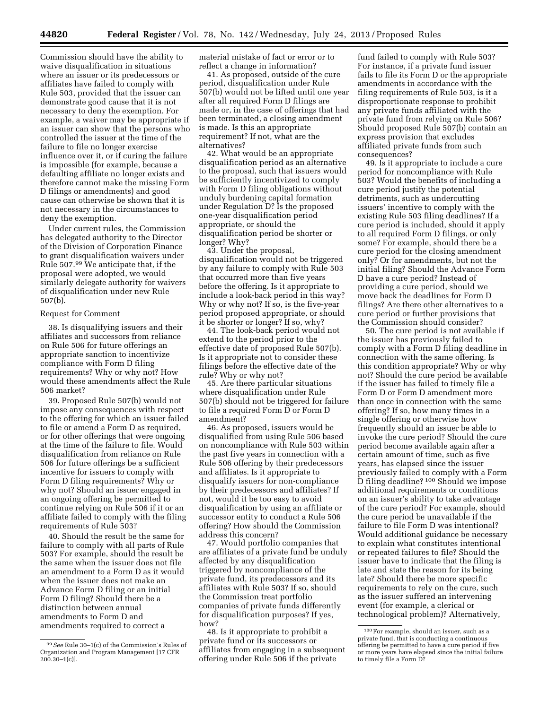Commission should have the ability to waive disqualification in situations where an issuer or its predecessors or affiliates have failed to comply with Rule 503, provided that the issuer can demonstrate good cause that it is not necessary to deny the exemption. For example, a waiver may be appropriate if an issuer can show that the persons who controlled the issuer at the time of the failure to file no longer exercise influence over it, or if curing the failure is impossible (for example, because a defaulting affiliate no longer exists and therefore cannot make the missing Form D filings or amendments) and good cause can otherwise be shown that it is not necessary in the circumstances to deny the exemption.

Under current rules, the Commission has delegated authority to the Director of the Division of Corporation Finance to grant disqualification waivers under Rule 507.99 We anticipate that, if the proposal were adopted, we would similarly delegate authority for waivers of disqualification under new Rule 507(b).

### Request for Comment

38. Is disqualifying issuers and their affiliates and successors from reliance on Rule 506 for future offerings an appropriate sanction to incentivize compliance with Form D filing requirements? Why or why not? How would these amendments affect the Rule 506 market?

39. Proposed Rule 507(b) would not impose any consequences with respect to the offering for which an issuer failed to file or amend a Form D as required, or for other offerings that were ongoing at the time of the failure to file. Would disqualification from reliance on Rule 506 for future offerings be a sufficient incentive for issuers to comply with Form D filing requirements? Why or why not? Should an issuer engaged in an ongoing offering be permitted to continue relying on Rule 506 if it or an affiliate failed to comply with the filing requirements of Rule 503?

40. Should the result be the same for failure to comply with all parts of Rule 503? For example, should the result be the same when the issuer does not file an amendment to a Form D as it would when the issuer does not make an Advance Form D filing or an initial Form D filing? Should there be a distinction between annual amendments to Form D and amendments required to correct a

material mistake of fact or error or to reflect a change in information?

41. As proposed, outside of the cure period, disqualification under Rule 507(b) would not be lifted until one year after all required Form D filings are made or, in the case of offerings that had been terminated, a closing amendment is made. Is this an appropriate requirement? If not, what are the alternatives?

42. What would be an appropriate disqualification period as an alternative to the proposal, such that issuers would be sufficiently incentivized to comply with Form D filing obligations without unduly burdening capital formation under Regulation D? Is the proposed one-year disqualification period appropriate, or should the disqualification period be shorter or longer? Why?

43. Under the proposal, disqualification would not be triggered by any failure to comply with Rule 503 that occurred more than five years before the offering. Is it appropriate to include a look-back period in this way? Why or why not? If so, is the five-year period proposed appropriate, or should it be shorter or longer? If so, why?

44. The look-back period would not extend to the period prior to the effective date of proposed Rule 507(b). Is it appropriate not to consider these filings before the effective date of the rule? Why or why not?

45. Are there particular situations where disqualification under Rule 507(b) should not be triggered for failure to file a required Form D or Form D amendment?

46. As proposed, issuers would be disqualified from using Rule 506 based on noncompliance with Rule 503 within the past five years in connection with a Rule 506 offering by their predecessors and affiliates. Is it appropriate to disqualify issuers for non-compliance by their predecessors and affiliates? If not, would it be too easy to avoid disqualification by using an affiliate or successor entity to conduct a Rule 506 offering? How should the Commission address this concern?

47. Would portfolio companies that are affiliates of a private fund be unduly affected by any disqualification triggered by noncompliance of the private fund, its predecessors and its affiliates with Rule 503? If so, should the Commission treat portfolio companies of private funds differently for disqualification purposes? If yes, how?

48. Is it appropriate to prohibit a private fund or its successors or affiliates from engaging in a subsequent offering under Rule 506 if the private

fund failed to comply with Rule 503? For instance, if a private fund issuer fails to file its Form D or the appropriate amendments in accordance with the filing requirements of Rule 503, is it a disproportionate response to prohibit any private funds affiliated with the private fund from relying on Rule 506? Should proposed Rule 507(b) contain an express provision that excludes affiliated private funds from such consequences?

49. Is it appropriate to include a cure period for noncompliance with Rule 503? Would the benefits of including a cure period justify the potential detriments, such as undercutting issuers' incentive to comply with the existing Rule 503 filing deadlines? If a cure period is included, should it apply to all required Form D filings, or only some? For example, should there be a cure period for the closing amendment only? Or for amendments, but not the initial filing? Should the Advance Form D have a cure period? Instead of providing a cure period, should we move back the deadlines for Form D filings? Are there other alternatives to a cure period or further provisions that the Commission should consider?

50. The cure period is not available if the issuer has previously failed to comply with a Form D filing deadline in connection with the same offering. Is this condition appropriate? Why or why not? Should the cure period be available if the issuer has failed to timely file a Form D or Form D amendment more than once in connection with the same offering? If so, how many times in a single offering or otherwise how frequently should an issuer be able to invoke the cure period? Should the cure period become available again after a certain amount of time, such as five years, has elapsed since the issuer previously failed to comply with a Form D filing deadline? 100 Should we impose additional requirements or conditions on an issuer's ability to take advantage of the cure period? For example, should the cure period be unavailable if the failure to file Form D was intentional? Would additional guidance be necessary to explain what constitutes intentional or repeated failures to file? Should the issuer have to indicate that the filing is late and state the reason for its being late? Should there be more specific requirements to rely on the cure, such as the issuer suffered an intervening event (for example, a clerical or technological problem)? Alternatively,

<sup>99</sup>*See* Rule 30–1(c) of the Commission's Rules of Organization and Program Management [17 CFR  $200.30 - 1(c)$ ].

<sup>100</sup>For example, should an issuer, such as a private fund, that is conducting a continuous offering be permitted to have a cure period if five or more years have elapsed since the initial failure to timely file a Form D?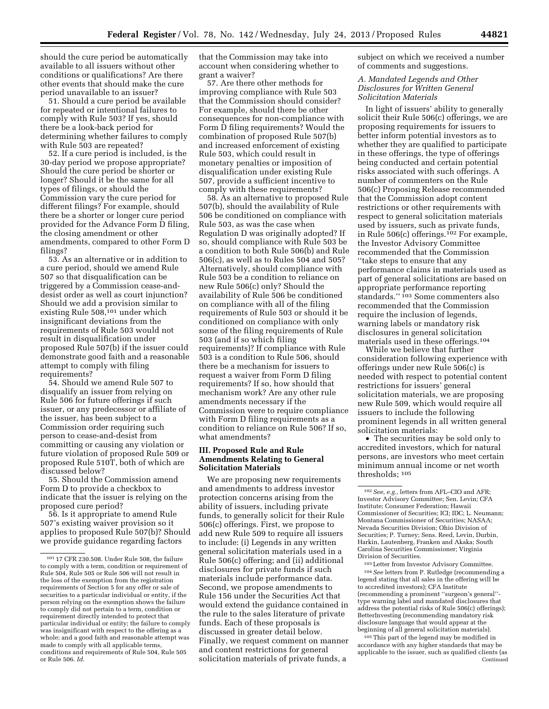should the cure period be automatically available to all issuers without other conditions or qualifications? Are there other events that should make the cure period unavailable to an issuer?

51. Should a cure period be available for repeated or intentional failures to comply with Rule 503? If yes, should there be a look-back period for determining whether failures to comply with Rule 503 are repeated?

52. If a cure period is included, is the 30-day period we propose appropriate? Should the cure period be shorter or longer? Should it be the same for all types of filings, or should the Commission vary the cure period for different filings? For example, should there be a shorter or longer cure period provided for the Advance Form D filing, the closing amendment or other amendments, compared to other Form D filings?

53. As an alternative or in addition to a cure period, should we amend Rule 507 so that disqualification can be triggered by a Commission cease-anddesist order as well as court injunction? Should we add a provision similar to existing Rule 508,101 under which insignificant deviations from the requirements of Rule 503 would not result in disqualification under proposed Rule 507(b) if the issuer could demonstrate good faith and a reasonable attempt to comply with filing requirements?

54. Should we amend Rule 507 to disqualify an issuer from relying on Rule 506 for future offerings if such issuer, or any predecessor or affiliate of the issuer, has been subject to a Commission order requiring such person to cease-and-desist from committing or causing any violation or future violation of proposed Rule 509 or proposed Rule 510T, both of which are discussed below?

55. Should the Commission amend Form D to provide a checkbox to indicate that the issuer is relying on the proposed cure period?

56. Is it appropriate to amend Rule 507's existing waiver provision so it applies to proposed Rule 507(b)? Should we provide guidance regarding factors

that the Commission may take into account when considering whether to grant a waiver?

57. Are there other methods for improving compliance with Rule 503 that the Commission should consider? For example, should there be other consequences for non-compliance with Form D filing requirements? Would the combination of proposed Rule 507(b) and increased enforcement of existing Rule 503, which could result in monetary penalties or imposition of disqualification under existing Rule 507, provide a sufficient incentive to comply with these requirements?

58. As an alternative to proposed Rule 507(b), should the availability of Rule 506 be conditioned on compliance with Rule 503, as was the case when Regulation D was originally adopted? If so, should compliance with Rule 503 be a condition to both Rule 506(b) and Rule 506(c), as well as to Rules 504 and 505? Alternatively, should compliance with Rule 503 be a condition to reliance on new Rule 506(c) only? Should the availability of Rule 506 be conditioned on compliance with all of the filing requirements of Rule 503 or should it be conditioned on compliance with only some of the filing requirements of Rule 503 (and if so which filing requirements)? If compliance with Rule 503 is a condition to Rule 506, should there be a mechanism for issuers to request a waiver from Form D filing requirements? If so, how should that mechanism work? Are any other rule amendments necessary if the Commission were to require compliance with Form D filing requirements as a condition to reliance on Rule 506? If so, what amendments?

### **III. Proposed Rule and Rule Amendments Relating to General Solicitation Materials**

We are proposing new requirements and amendments to address investor protection concerns arising from the ability of issuers, including private funds, to generally solicit for their Rule 506(c) offerings. First, we propose to add new Rule 509 to require all issuers to include: (i) Legends in any written general solicitation materials used in a Rule 506(c) offering; and (ii) additional disclosures for private funds if such materials include performance data. Second, we propose amendments to Rule 156 under the Securities Act that would extend the guidance contained in the rule to the sales literature of private funds. Each of these proposals is discussed in greater detail below. Finally, we request comment on manner and content restrictions for general solicitation materials of private funds, a

subject on which we received a number of comments and suggestions.

# *A. Mandated Legends and Other Disclosures for Written General Solicitation Materials*

In light of issuers' ability to generally solicit their Rule 506(c) offerings, we are proposing requirements for issuers to better inform potential investors as to whether they are qualified to participate in these offerings, the type of offerings being conducted and certain potential risks associated with such offerings. A number of commenters on the Rule 506(c) Proposing Release recommended that the Commission adopt content restrictions or other requirements with respect to general solicitation materials used by issuers, such as private funds, in Rule 506(c) offerings.102 For example, the Investor Advisory Committee recommended that the Commission ''take steps to ensure that any performance claims in materials used as part of general solicitations are based on appropriate performance reporting standards.'' 103 Some commenters also recommended that the Commission require the inclusion of legends, warning labels or mandatory risk disclosures in general solicitation materials used in these offerings.104

While we believe that further consideration following experience with offerings under new Rule 506(c) is needed with respect to potential content restrictions for issuers' general solicitation materials, we are proposing new Rule 509, which would require all issuers to include the following prominent legends in all written general solicitation materials:

• The securities may be sold only to accredited investors, which for natural persons, are investors who meet certain minimum annual income or net worth thresholds; 105

103Letter from Investor Advisory Committee. 104*See* letters from P. Rutledge (recommending a legend stating that all sales in the offering will be to accredited investors); CFA Institute (recommending a prominent ''surgeon's general'' type warning label and mandated disclosures that address the potential risks of Rule 506(c) offerings); BetterInvesting (recommending mandatory risk disclosure language that would appear at the beginning of all general solicitation materials).

105This part of the legend may be modified in accordance with any higher standards that may be applicable to the issuer, such as qualified clients (as Continued

<sup>101</sup> 17 CFR 230.508. Under Rule 508, the failure to comply with a term, condition or requirement of Rule 504, Rule 505 or Rule 506 will not result in the loss of the exemption from the registration requirements of Section 5 for any offer or sale of securities to a particular individual or entity, if the person relying on the exemption shows the failure to comply did not pertain to a term, condition or requirement directly intended to protect that particular individual or entity; the failure to comply was insignificant with respect to the offering as a whole; and a good faith and reasonable attempt was made to comply with all applicable terms, conditions and requirements of Rule 504, Rule 505 or Rule 506. *Id.* 

<sup>102</sup>*See, e.g.,* letters from AFL–CIO and AFR; Investor Advisory Committee; Sen. Levin; CFA Institute; Consumer Federation; Hawaii Commissioner of Securities; ICI; IDC; L. Neumann; Montana Commissioner of Securities; NASAA; Nevada Securities Division; Ohio Division of Securities; P. Turney; Sens. Reed, Levin, Durbin, Harkin, Lautenberg, Franken and Akaka; South Carolina Securities Commissioner; Virginia Division of Securities.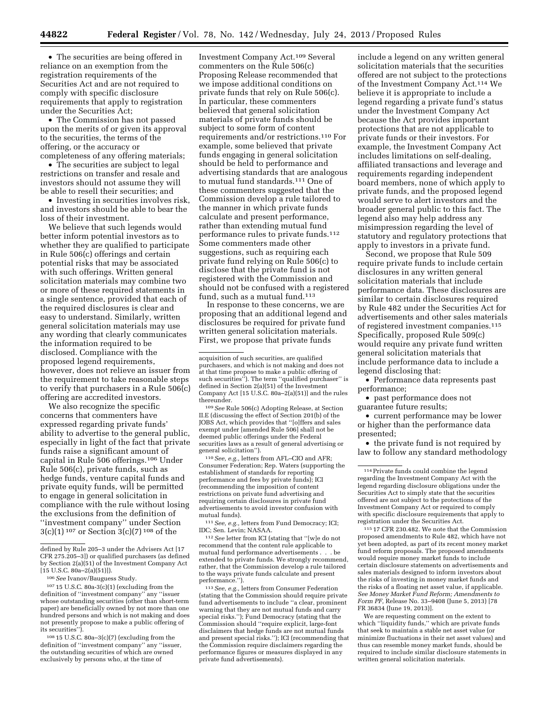• The securities are being offered in reliance on an exemption from the registration requirements of the Securities Act and are not required to comply with specific disclosure requirements that apply to registration under the Securities Act;

• The Commission has not passed upon the merits of or given its approval to the securities, the terms of the offering, or the accuracy or completeness of any offering materials;

• The securities are subject to legal restrictions on transfer and resale and investors should not assume they will be able to resell their securities; and

• Investing in securities involves risk, and investors should be able to bear the loss of their investment.

We believe that such legends would better inform potential investors as to whether they are qualified to participate in Rule 506(c) offerings and certain potential risks that may be associated with such offerings. Written general solicitation materials may combine two or more of these required statements in a single sentence, provided that each of the required disclosures is clear and easy to understand. Similarly, written general solicitation materials may use any wording that clearly communicates the information required to be disclosed. Compliance with the proposed legend requirements, however, does not relieve an issuer from the requirement to take reasonable steps to verify that purchasers in a Rule 506(c) offering are accredited investors.

We also recognize the specific concerns that commenters have expressed regarding private funds' ability to advertise to the general public, especially in light of the fact that private funds raise a significant amount of capital in Rule 506 offerings.106 Under Rule 506(c), private funds, such as hedge funds, venture capital funds and private equity funds, will be permitted to engage in general solicitation in compliance with the rule without losing the exclusions from the definition of ''investment company'' under Section 3(c)(1) 107 or Section 3(c)(7) 108 of the

 $107 15$  U.S.C. 80a-3(c)(1) (excluding from the definition of ''investment company'' any ''issuer whose outstanding securities (other than short-term paper) are beneficially owned by not more than one hundred persons and which is not making and does not presently propose to make a public offering of its securities".

108 15 U.S.C. 80a–3(c)(7) (excluding from the definition of ''investment company'' any ''issuer, the outstanding securities of which are owned exclusively by persons who, at the time of

Investment Company Act.109 Several commenters on the Rule 506(c) Proposing Release recommended that we impose additional conditions on private funds that rely on Rule 506(c). In particular, these commenters believed that general solicitation materials of private funds should be subject to some form of content requirements and/or restrictions.110 For example, some believed that private funds engaging in general solicitation should be held to performance and advertising standards that are analogous to mutual fund standards.111 One of these commenters suggested that the Commission develop a rule tailored to the manner in which private funds calculate and present performance, rather than extending mutual fund performance rules to private funds.112 Some commenters made other suggestions, such as requiring each private fund relying on Rule 506(c) to disclose that the private fund is not registered with the Commission and should not be confused with a registered fund, such as a mutual fund.<sup>113</sup>

In response to these concerns, we are proposing that an additional legend and disclosures be required for private fund written general solicitation materials. First, we propose that private funds

109*See* Rule 506(c) Adopting Release, at Section II.E (discussing the effect of Section 201(b) of the JOBS Act, which provides that ''[o]ffers and sales exempt under [amended Rule 506] shall not be deemed public offerings under the Federal securities laws as a result of general advertising or general solicitation'').

110*See, e.g.,* letters from AFL–CIO and AFR; Consumer Federation; Rep. Waters (supporting the establishment of standards for reporting performance and fees by private funds); ICI (recommending the imposition of content restrictions on private fund advertising and requiring certain disclosures in private fund advertisements to avoid investor confusion with mutual funds).

111*See, e.g.,* letters from Fund Democracy; ICI; IDC; Sen. Levin; NASAA.

112*See* letter from ICI (stating that ''[w]e do not recommend that the content rule applicable to mutual fund performance advertisements . . . be extended to private funds. We strongly recommend, rather, that the Commission develop a rule tailored to the ways private funds calculate and present performance.'').

113*See, e.g.,* letters from Consumer Federation (stating that the Commission should require private fund advertisements to include ''a clear, prominent warning that they are not mutual funds and carry special risks."); Fund Democracy (stating that the Commission should ''require explicit, large-font disclaimers that hedge funds are not mutual funds and present special risks.''); ICI (recommending that the Commission require disclaimers regarding the performance figures or measures displayed in any private fund advertisements).

include a legend on any written general solicitation materials that the securities offered are not subject to the protections of the Investment Company Act.114 We believe it is appropriate to include a legend regarding a private fund's status under the Investment Company Act because the Act provides important protections that are not applicable to private funds or their investors. For example, the Investment Company Act includes limitations on self-dealing, affiliated transactions and leverage and requirements regarding independent board members, none of which apply to private funds, and the proposed legend would serve to alert investors and the broader general public to this fact. The legend also may help address any misimpression regarding the level of statutory and regulatory protections that apply to investors in a private fund.

Second, we propose that Rule 509 require private funds to include certain disclosures in any written general solicitation materials that include performance data. These disclosures are similar to certain disclosures required by Rule 482 under the Securities Act for advertisements and other sales materials of registered investment companies.115 Specifically, proposed Rule 509(c) would require any private fund written general solicitation materials that include performance data to include a legend disclosing that:

• Performance data represents past performance;

• past performance does not guarantee future results;

• current performance may be lower or higher than the performance data presented;

• the private fund is not required by law to follow any standard methodology

115 17 CFR 230.482. We note that the Commission proposed amendments to Rule 482, which have not yet been adopted, as part of its recent money market fund reform proposals. The proposed amendments would require money market funds to include certain disclosure statements on advertisements and sales materials designed to inform investors about the risks of investing in money market funds and the risks of a floating net asset value, if applicable. *See Money Market Fund Reform; Amendments to Form PF,* Release No. 33–9408 (June 5, 2013) [78 FR 36834 (June 19, 2013)].

We are requesting comment on the extent to which ''liquidity funds,'' which are private funds that seek to maintain a stable net asset value (or minimize fluctuations in their net asset values) and thus can resemble money market funds, should be required to include similar disclosure statements in written general solicitation materials.

defined by Rule 205–3 under the Advisers Act [17 CFR 275.205–3]) or qualified purchasers (as defined by Section 2(a)(51) of the Investment Company Act [15 U.S.C. 80a–2(a)(51)]).

<sup>106</sup>*See* Ivanov/Bauguess Study.

acquisition of such securities, are qualified purchasers, and which is not making and does not at that time propose to make a public offering of such securities"). The term "qualified purchaser" is defined in Section 2(a)(51) of the Investment Company Act [15 U.S.C. 80a–2(a)(51)] and the rules thereunder.

<sup>114</sup>Private funds could combine the legend regarding the Investment Company Act with the legend regarding disclosure obligations under the Securities Act to simply state that the securities offered are not subject to the protections of the Investment Company Act or required to comply with specific disclosure requirements that apply to registration under the Securities Act.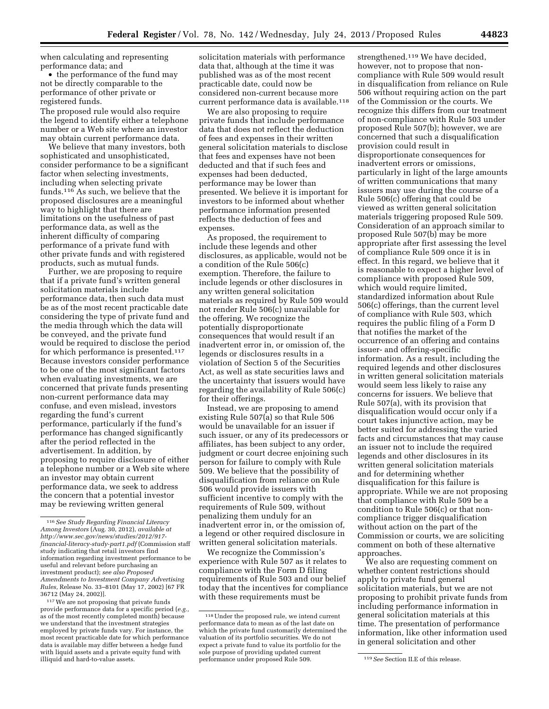when calculating and representing performance data; and

• the performance of the fund may not be directly comparable to the performance of other private or registered funds.

The proposed rule would also require the legend to identify either a telephone number or a Web site where an investor may obtain current performance data.

We believe that many investors, both sophisticated and unsophisticated, consider performance to be a significant factor when selecting investments, including when selecting private funds.116 As such, we believe that the proposed disclosures are a meaningful way to highlight that there are limitations on the usefulness of past performance data, as well as the inherent difficulty of comparing performance of a private fund with other private funds and with registered products, such as mutual funds.

Further, we are proposing to require that if a private fund's written general solicitation materials include performance data, then such data must be as of the most recent practicable date considering the type of private fund and the media through which the data will be conveyed, and the private fund would be required to disclose the period for which performance is presented.117 Because investors consider performance to be one of the most significant factors when evaluating investments, we are concerned that private funds presenting non-current performance data may confuse, and even mislead, investors regarding the fund's current performance, particularly if the fund's performance has changed significantly after the period reflected in the advertisement. In addition, by proposing to require disclosure of either a telephone number or a Web site where an investor may obtain current performance data, we seek to address the concern that a potential investor may be reviewing written general

117We are not proposing that private funds provide performance data for a specific period (*e.g.,*  as of the most recently completed month) because we understand that the investment strategies employed by private funds vary. For instance, the most recent practicable date for which performance data is available may differ between a hedge fund with liquid assets and a private equity fund with illiquid and hard-to-value assets.

solicitation materials with performance data that, although at the time it was published was as of the most recent practicable date, could now be considered non-current because more current performance data is available.<sup>118</sup>

We are also proposing to require private funds that include performance data that does not reflect the deduction of fees and expenses in their written general solicitation materials to disclose that fees and expenses have not been deducted and that if such fees and expenses had been deducted, performance may be lower than presented. We believe it is important for investors to be informed about whether performance information presented reflects the deduction of fees and expenses.

As proposed, the requirement to include these legends and other disclosures, as applicable, would not be a condition of the Rule 506(c) exemption. Therefore, the failure to include legends or other disclosures in any written general solicitation materials as required by Rule 509 would not render Rule 506(c) unavailable for the offering. We recognize the potentially disproportionate consequences that would result if an inadvertent error in, or omission of, the legends or disclosures results in a violation of Section 5 of the Securities Act, as well as state securities laws and the uncertainty that issuers would have regarding the availability of Rule 506(c) for their offerings.

Instead, we are proposing to amend existing Rule 507(a) so that Rule 506 would be unavailable for an issuer if such issuer, or any of its predecessors or affiliates, has been subject to any order, judgment or court decree enjoining such person for failure to comply with Rule 509. We believe that the possibility of disqualification from reliance on Rule 506 would provide issuers with sufficient incentive to comply with the requirements of Rule 509, without penalizing them unduly for an inadvertent error in, or the omission of, a legend or other required disclosure in written general solicitation materials.

We recognize the Commission's experience with Rule 507 as it relates to compliance with the Form D filing requirements of Rule 503 and our belief today that the incentives for compliance with these requirements must be

strengthened.<sup>119</sup> We have decided. however, not to propose that noncompliance with Rule 509 would result in disqualification from reliance on Rule 506 without requiring action on the part of the Commission or the courts. We recognize this differs from our treatment of non-compliance with Rule 503 under proposed Rule 507(b); however, we are concerned that such a disqualification provision could result in disproportionate consequences for inadvertent errors or omissions, particularly in light of the large amounts of written communications that many issuers may use during the course of a Rule 506(c) offering that could be viewed as written general solicitation materials triggering proposed Rule 509. Consideration of an approach similar to proposed Rule 507(b) may be more appropriate after first assessing the level of compliance Rule 509 once it is in effect. In this regard, we believe that it is reasonable to expect a higher level of compliance with proposed Rule 509, which would require limited, standardized information about Rule 506(c) offerings, than the current level of compliance with Rule 503, which requires the public filing of a Form D that notifies the market of the occurrence of an offering and contains issuer- and offering-specific information. As a result, including the required legends and other disclosures in written general solicitation materials would seem less likely to raise any concerns for issuers. We believe that Rule 507(a), with its provision that disqualification would occur only if a court takes injunctive action, may be better suited for addressing the varied facts and circumstances that may cause an issuer not to include the required legends and other disclosures in its written general solicitation materials and for determining whether disqualification for this failure is appropriate. While we are not proposing that compliance with Rule 509 be a condition to Rule 506(c) or that noncompliance trigger disqualification without action on the part of the Commission or courts, we are soliciting comment on both of these alternative approaches.

We also are requesting comment on whether content restrictions should apply to private fund general solicitation materials, but we are not proposing to prohibit private funds from including performance information in general solicitation materials at this time. The presentation of performance information, like other information used in general solicitation and other

<sup>116</sup>*See Study Regarding Financial Literacy Among Investors* (Aug. 30, 2012), *available at [http://www.sec.gov/news/studies/2012/917](http://www.sec.gov/news/studies/2012/917-financial-literacy-study-part1.pdf) [financial-literacy-study-part1.pdf](http://www.sec.gov/news/studies/2012/917-financial-literacy-study-part1.pdf)* (Commission staff study indicating that retail investors find information regarding investment performance to be useful and relevant before purchasing an investment product); *see also Proposed Amendments to Investment Company Advertising Rules,* Release No. 33–8101 (May 17, 2002) [67 FR 36712 (May 24, 2002)].

<sup>118</sup>Under the proposed rule, we intend current performance data to mean as of the last date on which the private fund customarily determined the valuation of its portfolio securities. We do not expect a private fund to value its portfolio for the sole purpose of providing updated current performance under proposed Rule 509. 119*See* Section II.E of this release.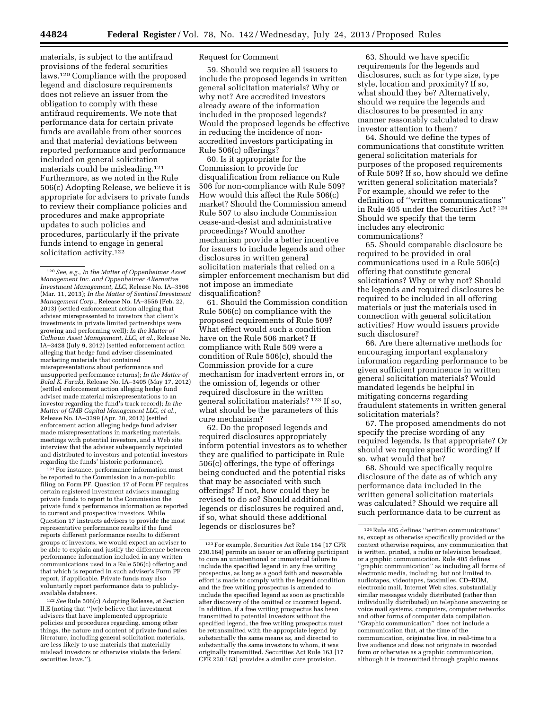materials, is subject to the antifraud provisions of the federal securities laws.120 Compliance with the proposed legend and disclosure requirements does not relieve an issuer from the obligation to comply with these antifraud requirements. We note that performance data for certain private funds are available from other sources and that material deviations between reported performance and performance included on general solicitation materials could be misleading.121 Furthermore, as we noted in the Rule 506(c) Adopting Release, we believe it is appropriate for advisers to private funds to review their compliance policies and procedures and make appropriate updates to such policies and procedures, particularly if the private funds intend to engage in general solicitation activity.<sup>122</sup>

<sup>121</sup> For instance, performance information must be reported to the Commission in a non-public filing on Form PF. Question 17 of Form PF requires certain registered investment advisers managing private funds to report to the Commission the private fund's performance information as reported to current and prospective investors. While Question 17 instructs advisers to provide the most representative performance results if the fund reports different performance results to different groups of investors, we would expect an adviser to be able to explain and justify the difference between performance information included in any written communications used in a Rule 506(c) offering and that which is reported in such adviser's Form PF report, if applicable. Private funds may also voluntarily report performance data to publiclyavailable databases.

122*See* Rule 506(c) Adopting Release, at Section II.E (noting that ''[w]e believe that investment advisers that have implemented appropriate policies and procedures regarding, among other things, the nature and content of private fund sales literature, including general solicitation materials, are less likely to use materials that materially mislead investors or otherwise violate the federal securities laws.'').

# Request for Comment

59. Should we require all issuers to include the proposed legends in written general solicitation materials? Why or why not? Are accredited investors already aware of the information included in the proposed legends? Would the proposed legends be effective in reducing the incidence of nonaccredited investors participating in Rule 506(c) offerings?

60. Is it appropriate for the Commission to provide for disqualification from reliance on Rule 506 for non-compliance with Rule 509? How would this affect the Rule 506(c) market? Should the Commission amend Rule 507 to also include Commission cease-and-desist and administrative proceedings? Would another mechanism provide a better incentive for issuers to include legends and other disclosures in written general solicitation materials that relied on a simpler enforcement mechanism but did not impose an immediate disqualification?

61. Should the Commission condition Rule 506(c) on compliance with the proposed requirements of Rule 509? What effect would such a condition have on the Rule 506 market? If compliance with Rule 509 were a condition of Rule 506(c), should the Commission provide for a cure mechanism for inadvertent errors in, or the omission of, legends or other required disclosure in the written general solicitation materials? 123 If so, what should be the parameters of this cure mechanism?

62. Do the proposed legends and required disclosures appropriately inform potential investors as to whether they are qualified to participate in Rule 506(c) offerings, the type of offerings being conducted and the potential risks that may be associated with such offerings? If not, how could they be revised to do so? Should additional legends or disclosures be required and, if so, what should these additional legends or disclosures be?

63. Should we have specific requirements for the legends and disclosures, such as for type size, type style, location and proximity? If so, what should they be? Alternatively, should we require the legends and disclosures to be presented in any manner reasonably calculated to draw investor attention to them?

64. Should we define the types of communications that constitute written general solicitation materials for purposes of the proposed requirements of Rule 509? If so, how should we define written general solicitation materials? For example, should we refer to the definition of ''written communications'' in Rule 405 under the Securities Act? 124 Should we specify that the term includes any electronic communications?

65. Should comparable disclosure be required to be provided in oral communications used in a Rule 506(c) offering that constitute general solicitations? Why or why not? Should the legends and required disclosures be required to be included in all offering materials or just the materials used in connection with general solicitation activities? How would issuers provide such disclosure?

66. Are there alternative methods for encouraging important explanatory information regarding performance to be given sufficient prominence in written general solicitation materials? Would mandated legends be helpful in mitigating concerns regarding fraudulent statements in written general solicitation materials?

67. The proposed amendments do not specify the precise wording of any required legends. Is that appropriate? Or should we require specific wording? If so, what would that be?

68. Should we specifically require disclosure of the date as of which any performance data included in the written general solicitation materials was calculated? Should we require all such performance data to be current as

<sup>120</sup>*See, e.g., In the Matter of Oppenheimer Asset Management Inc. and Oppenheimer Alternative Investment Management, LLC,* Release No. IA–3566 (Mar. 11, 2013); *In the Matter of Sentinel Investment Management Corp.,* Release No. IA–3556 (Feb. 22, 2013) (settled enforcement action alleging that adviser misrepresented to investors that client's investments in private limited partnerships were growing and performing well); *In the Matter of Calhoun Asset Management, LLC, et al.,* Release No. IA–3428 (July 9, 2012) (settled enforcement action alleging that hedge fund adviser disseminated marketing materials that contained misrepresentations about performance and unsupported performance returns); *In the Matter of Belal K. Faruki,* Release No. IA–3405 (May 17, 2012) (settled enforcement action alleging hedge fund adviser made material misrepresentations to an investor regarding the fund's track record); *In the Matter of GMB Capital Management LLC, et al.,*  Release No. IA–3399 (Apr. 20, 2012) (settled enforcement action alleging hedge fund adviser made misrepresentations in marketing materials, meetings with potential investors, and a Web site interview that the adviser subsequently reprinted and distributed to investors and potential investors regarding the funds' historic performance).

<sup>123</sup>For example, Securities Act Rule 164 [17 CFR 230.164] permits an issuer or an offering participant to cure an unintentional or immaterial failure to include the specified legend in any free writing prospectus, as long as a good faith and reasonable effort is made to comply with the legend condition and the free writing prospectus is amended to include the specified legend as soon as practicable after discovery of the omitted or incorrect legend. In addition, if a free writing prospectus has been transmitted to potential investors without the specified legend, the free writing prospectus must be retransmitted with the appropriate legend by substantially the same means as, and directed to substantially the same investors to whom, it was originally transmitted. Securities Act Rule 163 [17 CFR 230.163] provides a similar cure provision.

<sup>124</sup>Rule 405 defines ''written communications'' as, except as otherwise specifically provided or the context otherwise requires, any communication that is written, printed, a radio or television broadcast, or a graphic communication. Rule 405 defines ''graphic communication'' as including all forms of electronic media, including, but not limited to, audiotapes, videotapes, facsimiles, CD–ROM, electronic mail, Internet Web sites, substantially similar messages widely distributed (rather than individually distributed) on telephone answering or voice mail systems, computers, computer networks and other forms of computer data compilation. ''Graphic communication'' does not include a communication that, at the time of the communication, originates live, in real-time to a live audience and does not originate in recorded form or otherwise as a graphic communication, although it is transmitted through graphic means.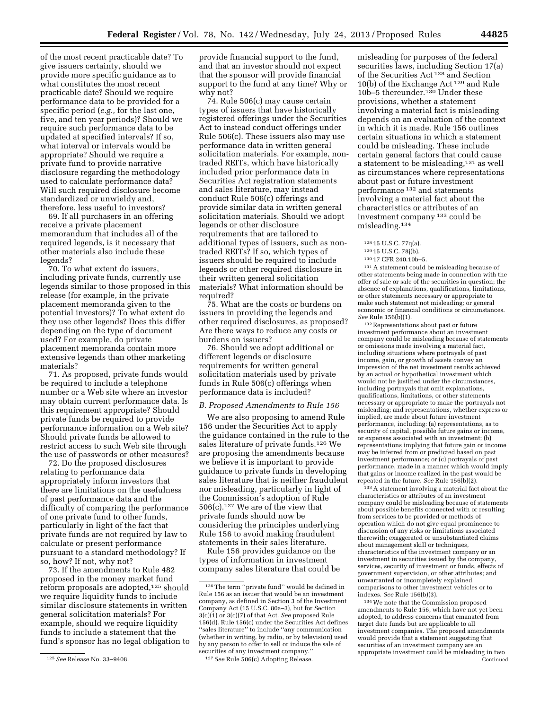give issuers certainty, should we provide more specific guidance as to what constitutes the most recent practicable date? Should we require performance data to be provided for a specific period (*e.g.,* for the last one, five, and ten year periods)? Should we require such performance data to be updated at specified intervals? If so, what interval or intervals would be appropriate? Should we require a private fund to provide narrative disclosure regarding the methodology used to calculate performance data? Will such required disclosure become standardized or unwieldy and, therefore, less useful to investors?

of the most recent practicable date? To

69. If all purchasers in an offering receive a private placement memorandum that includes all of the required legends, is it necessary that other materials also include these legends?

70. To what extent do issuers, including private funds, currently use legends similar to those proposed in this release (for example, in the private placement memoranda given to the potential investors)? To what extent do they use other legends? Does this differ depending on the type of document used? For example, do private placement memoranda contain more extensive legends than other marketing materials?

71. As proposed, private funds would be required to include a telephone number or a Web site where an investor may obtain current performance data. Is this requirement appropriate? Should private funds be required to provide performance information on a Web site? Should private funds be allowed to restrict access to such Web site through the use of passwords or other measures?

72. Do the proposed disclosures relating to performance data appropriately inform investors that there are limitations on the usefulness of past performance data and the difficulty of comparing the performance of one private fund to other funds, particularly in light of the fact that private funds are not required by law to calculate or present performance pursuant to a standard methodology? If so, how? If not, why not?

73. If the amendments to Rule 482 proposed in the money market fund reform proposals are adopted,<sup>125</sup> should we require liquidity funds to include similar disclosure statements in written general solicitation materials? For example, should we require liquidity funds to include a statement that the fund's sponsor has no legal obligation to provide financial support to the fund, and that an investor should not expect that the sponsor will provide financial support to the fund at any time? Why or why not?

74. Rule 506(c) may cause certain types of issuers that have historically registered offerings under the Securities Act to instead conduct offerings under Rule 506(c). These issuers also may use performance data in written general solicitation materials. For example, nontraded REITs, which have historically included prior performance data in Securities Act registration statements and sales literature, may instead conduct Rule 506(c) offerings and provide similar data in written general solicitation materials. Should we adopt legends or other disclosure requirements that are tailored to additional types of issuers, such as nontraded REITs? If so, which types of issuers should be required to include legends or other required disclosure in their written general solicitation materials? What information should be required?

75. What are the costs or burdens on issuers in providing the legends and other required disclosures, as proposed? Are there ways to reduce any costs or burdens on issuers?

76. Should we adopt additional or different legends or disclosure requirements for written general solicitation materials used by private funds in Rule 506(c) offerings when performance data is included?

### *B. Proposed Amendments to Rule 156*

We are also proposing to amend Rule 156 under the Securities Act to apply the guidance contained in the rule to the sales literature of private funds.126 We are proposing the amendments because we believe it is important to provide guidance to private funds in developing sales literature that is neither fraudulent nor misleading, particularly in light of the Commission's adoption of Rule 506(c).127 We are of the view that private funds should now be considering the principles underlying Rule 156 to avoid making fraudulent statements in their sales literature.

Rule 156 provides guidance on the types of information in investment company sales literature that could be

misleading for purposes of the federal securities laws, including Section 17(a) of the Securities Act 128 and Section 10(b) of the Exchange Act 129 and Rule 10b–5 thereunder.130 Under these provisions, whether a statement involving a material fact is misleading depends on an evaluation of the context in which it is made. Rule 156 outlines certain situations in which a statement could be misleading. These include certain general factors that could cause a statement to be misleading,131 as well as circumstances where representations about past or future investment performance 132 and statements involving a material fact about the characteristics or attributes of an investment company 133 could be misleading.134

131A statement could be misleading because of other statements being made in connection with the offer of sale or sale of the securities in question; the absence of explanations, qualifications, limitations, or other statements necessary or appropriate to make such statement not misleading; or general economic or financial conditions or circumstances. *See* Rule 156(b)(1).

132Representations about past or future investment performance about an investment company could be misleading because of statements or omissions made involving a material fact, including situations where portrayals of past income, gain, or growth of assets convey an impression of the net investment results achieved by an actual or hypothetical investment which would not be justified under the circumstances, including portrayals that omit explanations, qualifications, limitations, or other statements necessary or appropriate to make the portrayals not misleading; and representations, whether express or implied, are made about future investment performance, including: (a) representations, as to security of capital, possible future gains or income, or expenses associated with an investment; (b) representations implying that future gain or income may be inferred from or predicted based on past investment performance; or (c) portrayals of past performance, made in a manner which would imply that gains or income realized in the past would be repeated in the future. *See* Rule 156(b)(2).

133A statement involving a material fact about the characteristics or attributes of an investment company could be misleading because of statements about possible benefits connected with or resulting from services to be provided or methods of operation which do not give equal prominence to discussion of any risks or limitations associated therewith; exaggerated or unsubstantiated claims about management skill or techniques, characteristics of the investment company or an investment in securities issued by the company, services, security of investment or funds, effects of government supervision, or other attributes; and unwarranted or incompletely explained comparisons to other investment vehicles or to indexes. *See* Rule 156(b)(3).

134We note that the Commission proposed amendments to Rule 156, which have not yet been adopted, to address concerns that emanated from target date funds but are applicable to all investment companies. The proposed amendments would provide that a statement suggesting that securities of an investment company are an appropriate investment could be misleading in two Continued

<sup>125</sup>*See* Release No. 33–9408.

<sup>126</sup>The term ''private fund'' would be defined in Rule 156 as an issuer that would be an investment company, as defined in Section 3 of the Investment Company Act (15 U.S.C. 80a–3), but for Section 3(c)(1) or 3(c)(7) of that Act. *See* proposed Rule 156(d). Rule 156(c) under the Securities Act defines ''sales literature'' to include ''any communication (whether in writing, by radio, or by television) used by any person to offer to sell or induce the sale of securities of any investment company.

<sup>127</sup>*See* Rule 506(c) Adopting Release.

<sup>128</sup> 15 U.S.C. 77q(a).

<sup>129</sup> 15 U.S.C. 78j(b).

<sup>130</sup> 17 CFR 240.10b–5.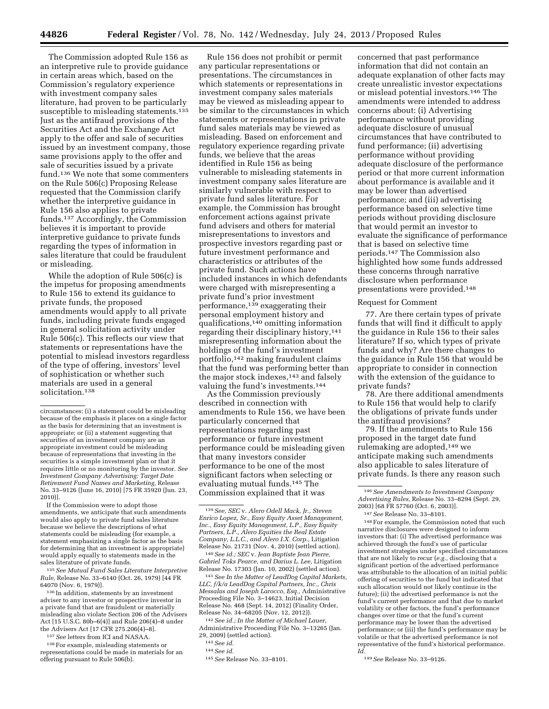The Commission adopted Rule 156 as an interpretive rule to provide guidance in certain areas which, based on the Commission's regulatory experience with investment company sales literature, had proven to be particularly susceptible to misleading statements.<sup>135</sup> Just as the antifraud provisions of the Securities Act and the Exchange Act apply to the offer and sale of securities issued by an investment company, those same provisions apply to the offer and sale of securities issued by a private fund.136 We note that some commenters on the Rule 506(c) Proposing Release requested that the Commission clarify whether the interpretive guidance in Rule 156 also applies to private funds.137 Accordingly, the Commission believes it is important to provide interpretive guidance to private funds regarding the types of information in sales literature that could be fraudulent or misleading.

While the adoption of Rule 506(c) is the impetus for proposing amendments to Rule 156 to extend its guidance to private funds, the proposed amendments would apply to all private funds, including private funds engaged in general solicitation activity under Rule 506(c). This reflects our view that statements or representations have the potential to mislead investors regardless of the type of offering, investors' level of sophistication or whether such materials are used in a general solicitation.<sup>138</sup>

If the Commission were to adopt those amendments, we anticipate that such amendments would also apply to private fund sales literature because we believe the descriptions of what statements could be misleading (for example, a statement emphasizing a single factor as the basis for determining that an investment is appropriate) would apply equally to statements made in the sales literature of private funds.

135*See Mutual Fund Sales Literature Interpretive Rule,* Release No. 33–6140 (Oct. 26, 1979) [44 FR 64070 (Nov. 6, 1979)].

136 In addition, statements by an investment adviser to any investor or prospective investor in a private fund that are fraudulent or materially misleading also violate Section 206 of the Advisers Act [15 U.S.C. 80b–6(4)] and Rule 206(4)–8 under the Advisers Act [17 CFR 275.206(4)–8].

137*See* letters from ICI and NASAA.

138For example, misleading statements or representations could be made in materials for an offering pursuant to Rule 506(b).

Rule 156 does not prohibit or permit any particular representations or presentations. The circumstances in which statements or representations in investment company sales materials may be viewed as misleading appear to be similar to the circumstances in which statements or representations in private fund sales materials may be viewed as misleading. Based on enforcement and regulatory experience regarding private funds, we believe that the areas identified in Rule 156 as being vulnerable to misleading statements in investment company sales literature are similarly vulnerable with respect to private fund sales literature. For example, the Commission has brought enforcement actions against private fund advisers and others for material misrepresentations to investors and prospective investors regarding past or future investment performance and characteristics or attributes of the private fund. Such actions have included instances in which defendants were charged with misrepresenting a private fund's prior investment performance, $139$  exaggerating their personal employment history and qualifications,140 omitting information regarding their disciplinary history,141 misrepresenting information about the holdings of the fund's investment portfolio,142 making fraudulent claims that the fund was performing better than the major stock indexes,<sup>143</sup> and falsely valuing the fund's investments.144

As the Commission previously described in connection with amendments to Rule 156, we have been particularly concerned that representations regarding past performance or future investment performance could be misleading given that many investors consider performance to be one of the most significant factors when selecting or evaluating mutual funds.145 The Commission explained that it was

140*See id.; SEC* v. *Jean Baptiste Jean Pierre, Gabriel Toks Pearce, and Darius L. Lee,* Litigation Release No. 17303 (Jan. 10, 2002) (settled action).

141*See In the Matter of LeadDog Capital Markets, LLC, f/k/a LeadDog Capital Partners, Inc., Chris Messalas and Joseph Larocco, Esq.,* Administrative Proceeding File No. 3–14623, Initial Decision Release No. 468 (Sept. 14, 2012) (Finality Order, Release No. 34–68205 (Nov. 12, 2012)).

142*See id.; In the Matter of Michael Lauer,*  Administrative Proceeding File No. 3–13265 (Jan. 29, 2009) (settled action).

143*See id.* 

concerned that past performance information that did not contain an adequate explanation of other facts may create unrealistic investor expectations or mislead potential investors.146 The amendments were intended to address concerns about: (i) Advertising performance without providing adequate disclosure of unusual circumstances that have contributed to fund performance; (ii) advertising performance without providing adequate disclosure of the performance period or that more current information about performance is available and it may be lower than advertised performance; and (iii) advertising performance based on selective time periods without providing disclosure that would permit an investor to evaluate the significance of performance that is based on selective time periods.147 The Commission also highlighted how some funds addressed these concerns through narrative disclosure when performance presentations were provided.148

### Request for Comment

77. Are there certain types of private funds that will find it difficult to apply the guidance in Rule 156 to their sales literature? If so, which types of private funds and why? Are there changes to the guidance in Rule 156 that would be appropriate to consider in connection with the extension of the guidance to private funds?

78. Are there additional amendments to Rule 156 that would help to clarify the obligations of private funds under the antifraud provisions?

79. If the amendments to Rule 156 proposed in the target date fund rulemaking are adopted,149 we anticipate making such amendments also applicable to sales literature of private funds. Is there any reason such

148For example, the Commission noted that such narrative disclosures were designed to inform investors that: (i) The advertised performance was achieved through the fund's use of particular investment strategies under specified circumstances that are not likely to recur (*e.g.,* disclosing that a significant portion of the advertised performance was attributable to the allocation of an initial public offering of securities to the fund but indicated that such allocation would not likely continue in the future); (ii) the advertised performance is not the fund's current performance and that due to market volatility or other factors, the fund's performance changes over time or that the fund's current performance may be lower than the advertised performance; or (iii) the fund's performance may be volatile or that the advertised performance is not representative of the fund's historical performance. *Id.* 

149*See* Release No. 33–9126.

circumstances: (i) a statement could be misleading because of the emphasis it places on a single factor as the basis for determining that an investment is appropriate; or (ii) a statement suggesting that securities of an investment company are an appropriate investment could be misleading because of representations that investing in the securities is a simple investment plan or that it requires little or no monitoring by the investor. *See Investment Company Advertising: Target Date Retirement Fund Names and Marketing,* Release No. 33–9126 (June 16, 2010) [75 FR 35920 (Jun. 23, 2010)].

<sup>139</sup>*See, SEC* v. *Alero Odell Mack, Jr., Steven Enrico Lopez, Sr., Easy Equity Asset Management, Inc., Easy Equity Management, L.P., Easy Equity Partners, L.P., Alero Equities the Real Estate Company, L.L.C., and Alero I.X. Corp.,* Litigation Release No. 21731 (Nov. 4, 2010) (settled action).

<sup>144</sup>*See id.* 

<sup>145</sup>*See* Release No. 33–8101.

<sup>146</sup>*See Amendments to Investment Company Advertising Rules,* Release No. 33–8294 (Sept. 29, 2003) [68 FR 57760 (Oct. 6, 2003)].

<sup>147</sup>*See* Release No. 33–8101.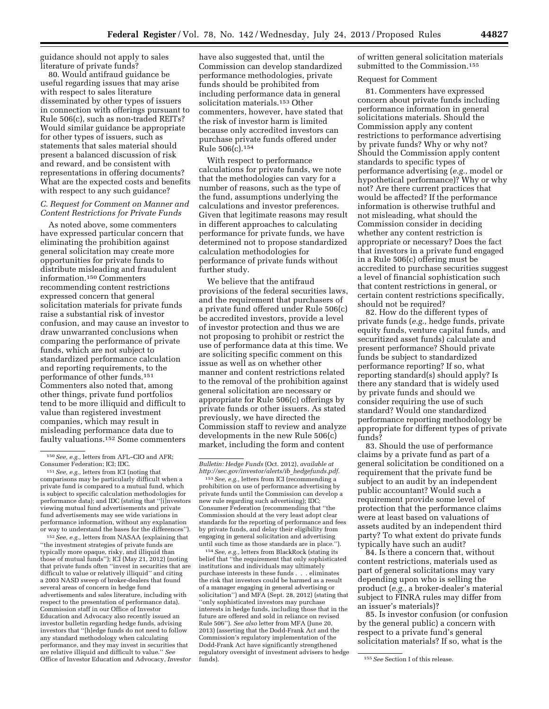guidance should not apply to sales literature of private funds?

80. Would antifraud guidance be useful regarding issues that may arise with respect to sales literature disseminated by other types of issuers in connection with offerings pursuant to Rule 506(c), such as non-traded REITs? Would similar guidance be appropriate for other types of issuers, such as statements that sales material should present a balanced discussion of risk and reward, and be consistent with representations in offering documents? What are the expected costs and benefits with respect to any such guidance?

# *C. Request for Comment on Manner and Content Restrictions for Private Funds*

As noted above, some commenters have expressed particular concern that eliminating the prohibition against general solicitation may create more opportunities for private funds to distribute misleading and fraudulent information.150 Commenters recommending content restrictions expressed concern that general solicitation materials for private funds raise a substantial risk of investor confusion, and may cause an investor to draw unwarranted conclusions when comparing the performance of private funds, which are not subject to standardized performance calculation and reporting requirements, to the performance of other funds.151 Commenters also noted that, among other things, private fund portfolios tend to be more illiquid and difficult to value than registered investment companies, which may result in misleading performance data due to faulty valuations.152 Some commenters

152*See, e.g.,* letters from NASAA (explaining that ''the investment strategies of private funds are typically more opaque, risky, and illiquid than those of mutual funds''); ICI (May 21, 2012) (noting that private funds often ''invest in securities that are difficult to value or relatively illiquid'' and citing a 2003 NASD sweep of broker-dealers that found several areas of concern in hedge fund advertisements and sales literature, including with respect to the presentation of performance data). Commission staff in our Office of Investor Education and Advocacy also recently issued an investor bulletin regarding hedge funds, advising investors that ''[h]edge funds do not need to follow any standard methodology when calculating performance, and they may invest in securities that are relative illiquid and difficult to value.'' *See*  Office of Investor Education and Advocacy, *Investor* 

have also suggested that, until the Commission can develop standardized performance methodologies, private funds should be prohibited from including performance data in general solicitation materials.153 Other commenters, however, have stated that the risk of investor harm is limited because only accredited investors can purchase private funds offered under Rule 506(c).154

With respect to performance calculations for private funds, we note that the methodologies can vary for a number of reasons, such as the type of the fund, assumptions underlying the calculations and investor preferences. Given that legitimate reasons may result in different approaches to calculating performance for private funds, we have determined not to propose standardized calculation methodologies for performance of private funds without further study.

We believe that the antifraud provisions of the federal securities laws, and the requirement that purchasers of a private fund offered under Rule 506(c) be accredited investors, provide a level of investor protection and thus we are not proposing to prohibit or restrict the use of performance data at this time. We are soliciting specific comment on this issue as well as on whether other manner and content restrictions related to the removal of the prohibition against general solicitation are necessary or appropriate for Rule 506(c) offerings by private funds or other issuers. As stated previously, we have directed the Commission staff to review and analyze developments in the new Rule 506(c) market, including the form and content

153*See, e.g.,* letters from ICI (recommending a prohibition on use of performance advertising by private funds until the Commission can develop a new rule regarding such advertising); IDC; Consumer Federation (recommending that ''the Commission should at the very least adopt clear standards for the reporting of performance and fees by private funds, and delay their eligibility from engaging in general solicitation and advertising until such time as those standards are in place.'').

154*See, e.g.,* letters from BlackRock (stating its belief that ''the requirement that only sophisticated institutions and individuals may ultimately purchase interests in these funds . . . eliminates the risk that investors could be harmed as a result of a manager engaging in general advertising or solicitation'') and MFA (Sept. 28, 2012) (stating that ''only sophisticated investors may purchase interests in hedge funds, including those that in the future are offered and sold in reliance on revised Rule 506''). *See also* letter from MFA (June 20, 2013) (asserting that the Dodd-Frank Act and the Commission's regulatory implementation of the Dodd-Frank Act have significantly strengthened regulatory oversight of investment advisers to hedge of written general solicitation materials submitted to the Commission.<sup>155</sup>

### Request for Comment

81. Commenters have expressed concern about private funds including performance information in general solicitations materials. Should the Commission apply any content restrictions to performance advertising by private funds? Why or why not? Should the Commission apply content standards to specific types of performance advertising (*e.g.,* model or hypothetical performance)? Why or why not? Are there current practices that would be affected? If the performance information is otherwise truthful and not misleading, what should the Commission consider in deciding whether any content restriction is appropriate or necessary? Does the fact that investors in a private fund engaged in a Rule 506(c) offering must be accredited to purchase securities suggest a level of financial sophistication such that content restrictions in general, or certain content restrictions specifically, should not be required?

82. How do the different types of private funds (*e.g.,* hedge funds, private equity funds, venture capital funds, and securitized asset funds) calculate and present performance? Should private funds be subject to standardized performance reporting? If so, what reporting standard(s) should apply? Is there any standard that is widely used by private funds and should we consider requiring the use of such standard? Would one standardized performance reporting methodology be appropriate for different types of private funds?

83. Should the use of performance claims by a private fund as part of a general solicitation be conditioned on a requirement that the private fund be subject to an audit by an independent public accountant? Would such a requirement provide some level of protection that the performance claims were at least based on valuations of assets audited by an independent third party? To what extent do private funds typically have such an audit?

84. Is there a concern that, without content restrictions, materials used as part of general solicitations may vary depending upon who is selling the product (*e.g.,* a broker-dealer's material subject to FINRA rules may differ from an issuer's materials)?

85. Is investor confusion (or confusion by the general public) a concern with respect to a private fund's general solicitation materials? If so, what is the

<sup>150</sup>*See, e.g.,* letters from AFL–CIO and AFR; Consumer Federation; ICI; IDC.

<sup>151</sup>*See, e.g.,* letters from ICI (noting that comparisons may be particularly difficult when a private fund is compared to a mutual fund, which is subject to specific calculation methodologies for performance data); and IDC (stating that ''[i]nvestors viewing mutual fund advertisements and private fund advertisements may see wide variations in performance information, without any explanation or way to understand the bases for the differences'').

*Bulletin: Hedge Funds* (Oct. 2012), *available at [http://sec.gov/investor/alerts/ib](http://sec.gov/investor/alerts/ib_hedgefunds.pdf)*\_*hedgefunds.pdf*.

<sup>155</sup> See Section I of this release.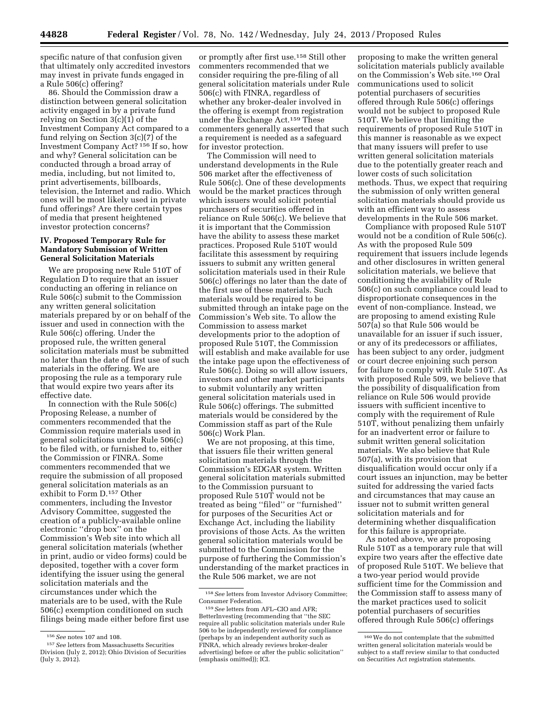specific nature of that confusion given that ultimately only accredited investors may invest in private funds engaged in a Rule 506(c) offering?

86. Should the Commission draw a distinction between general solicitation activity engaged in by a private fund relying on Section 3(c)(1) of the Investment Company Act compared to a fund relying on Section 3(c)(7) of the Investment Company Act? 156 If so, how and why? General solicitation can be conducted through a broad array of media, including, but not limited to, print advertisements, billboards, television, the Internet and radio. Which ones will be most likely used in private fund offerings? Are there certain types of media that present heightened investor protection concerns?

# **IV. Proposed Temporary Rule for Mandatory Submission of Written General Solicitation Materials**

We are proposing new Rule 510T of Regulation D to require that an issuer conducting an offering in reliance on Rule 506(c) submit to the Commission any written general solicitation materials prepared by or on behalf of the issuer and used in connection with the Rule 506(c) offering. Under the proposed rule, the written general solicitation materials must be submitted no later than the date of first use of such materials in the offering. We are proposing the rule as a temporary rule that would expire two years after its effective date.

In connection with the Rule 506(c) Proposing Release, a number of commenters recommended that the Commission require materials used in general solicitations under Rule 506(c) to be filed with, or furnished to, either the Commission or FINRA. Some commenters recommended that we require the submission of all proposed general solicitation materials as an exhibit to Form D.157 Other commenters, including the Investor Advisory Committee, suggested the creation of a publicly-available online electronic ''drop box'' on the Commission's Web site into which all general solicitation materials (whether in print, audio or video forms) could be deposited, together with a cover form identifying the issuer using the general solicitation materials and the circumstances under which the materials are to be used, with the Rule 506(c) exemption conditioned on such filings being made either before first use

or promptly after first use.158 Still other commenters recommended that we consider requiring the pre-filing of all general solicitation materials under Rule 506(c) with FINRA, regardless of whether any broker-dealer involved in the offering is exempt from registration under the Exchange Act.159 These commenters generally asserted that such a requirement is needed as a safeguard for investor protection.

The Commission will need to understand developments in the Rule 506 market after the effectiveness of Rule 506(c). One of these developments would be the market practices through which issuers would solicit potential purchasers of securities offered in reliance on Rule 506(c). We believe that it is important that the Commission have the ability to assess these market practices. Proposed Rule 510T would facilitate this assessment by requiring issuers to submit any written general solicitation materials used in their Rule 506(c) offerings no later than the date of the first use of these materials. Such materials would be required to be submitted through an intake page on the Commission's Web site. To allow the Commission to assess market developments prior to the adoption of proposed Rule 510T, the Commission will establish and make available for use the intake page upon the effectiveness of Rule 506(c). Doing so will allow issuers, investors and other market participants to submit voluntarily any written general solicitation materials used in Rule 506(c) offerings. The submitted materials would be considered by the Commission staff as part of the Rule 506(c) Work Plan.

We are not proposing, at this time, that issuers file their written general solicitation materials through the Commission's EDGAR system. Written general solicitation materials submitted to the Commission pursuant to proposed Rule 510T would not be treated as being ''filed'' or ''furnished'' for purposes of the Securities Act or Exchange Act, including the liability provisions of those Acts. As the written general solicitation materials would be submitted to the Commission for the purpose of furthering the Commission's understanding of the market practices in the Rule 506 market, we are not

proposing to make the written general solicitation materials publicly available on the Commission's Web site.160 Oral communications used to solicit potential purchasers of securities offered through Rule 506(c) offerings would not be subject to proposed Rule 510T. We believe that limiting the requirements of proposed Rule 510T in this manner is reasonable as we expect that many issuers will prefer to use written general solicitation materials due to the potentially greater reach and lower costs of such solicitation methods. Thus, we expect that requiring the submission of only written general solicitation materials should provide us with an efficient way to assess developments in the Rule 506 market.

Compliance with proposed Rule 510T would not be a condition of Rule 506(c). As with the proposed Rule 509 requirement that issuers include legends and other disclosures in written general solicitation materials, we believe that conditioning the availability of Rule 506(c) on such compliance could lead to disproportionate consequences in the event of non-compliance. Instead, we are proposing to amend existing Rule 507(a) so that Rule 506 would be unavailable for an issuer if such issuer, or any of its predecessors or affiliates, has been subject to any order, judgment or court decree enjoining such person for failure to comply with Rule 510T. As with proposed Rule 509, we believe that the possibility of disqualification from reliance on Rule 506 would provide issuers with sufficient incentive to comply with the requirement of Rule 510T, without penalizing them unfairly for an inadvertent error or failure to submit written general solicitation materials. We also believe that Rule 507(a), with its provision that disqualification would occur only if a court issues an injunction, may be better suited for addressing the varied facts and circumstances that may cause an issuer not to submit written general solicitation materials and for determining whether disqualification for this failure is appropriate.

As noted above, we are proposing Rule 510T as a temporary rule that will expire two years after the effective date of proposed Rule 510T. We believe that a two-year period would provide sufficient time for the Commission and the Commission staff to assess many of the market practices used to solicit potential purchasers of securities offered through Rule 506(c) offerings

<sup>156</sup>*See* notes 107 and 108.

<sup>157</sup>*See* letters from Massachusetts Securities Division (July 2, 2012); Ohio Division of Securities (July 3, 2012).

<sup>158</sup>*See* letters from Investor Advisory Committee; Consumer Federation.

<sup>159</sup>*See* letters from AFL–CIO and AFR; BetterInvesting (recommending that ''the SEC require all public solicitation materials under Rule 506 to be independently reviewed for compliance (perhaps by an independent authority such as FINRA, which already reviews broker-dealer advertising) before or after the public solicitation'' (emphasis omitted)); ICI.

<sup>160</sup>We do not contemplate that the submitted written general solicitation materials would be subject to a staff review similar to that conducted on Securities Act registration statements.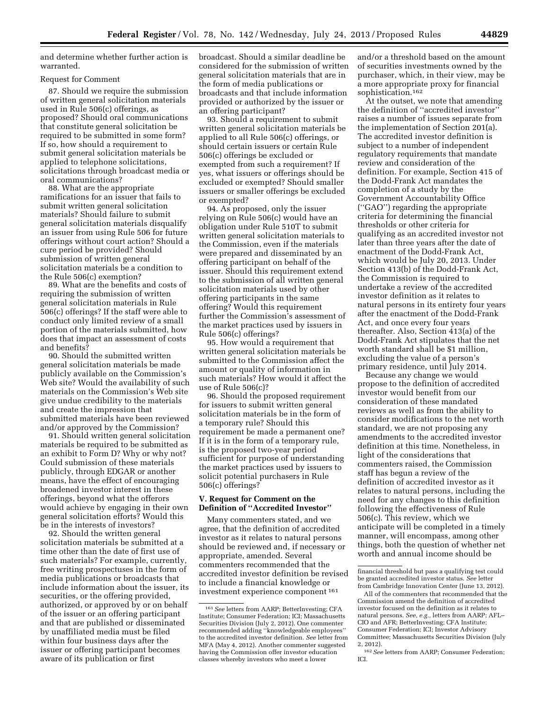and determine whether further action is warranted.

### Request for Comment

87. Should we require the submission of written general solicitation materials used in Rule 506(c) offerings, as proposed? Should oral communications that constitute general solicitation be required to be submitted in some form? If so, how should a requirement to submit general solicitation materials be applied to telephone solicitations, solicitations through broadcast media or oral communications?

88. What are the appropriate ramifications for an issuer that fails to submit written general solicitation materials? Should failure to submit general solicitation materials disqualify an issuer from using Rule 506 for future offerings without court action? Should a cure period be provided? Should submission of written general solicitation materials be a condition to the Rule 506(c) exemption?

89. What are the benefits and costs of requiring the submission of written general solicitation materials in Rule 506(c) offerings? If the staff were able to conduct only limited review of a small portion of the materials submitted, how does that impact an assessment of costs and benefits?

90. Should the submitted written general solicitation materials be made publicly available on the Commission's Web site? Would the availability of such materials on the Commission's Web site give undue credibility to the materials and create the impression that submitted materials have been reviewed and/or approved by the Commission?

91. Should written general solicitation materials be required to be submitted as an exhibit to Form D? Why or why not? Could submission of these materials publicly, through EDGAR or another means, have the effect of encouraging broadened investor interest in these offerings, beyond what the offerors would achieve by engaging in their own general solicitation efforts? Would this be in the interests of investors?

92. Should the written general solicitation materials be submitted at a time other than the date of first use of such materials? For example, currently, free writing prospectuses in the form of media publications or broadcasts that include information about the issuer, its securities, or the offering provided, authorized, or approved by or on behalf of the issuer or an offering participant and that are published or disseminated by unaffiliated media must be filed within four business days after the issuer or offering participant becomes aware of its publication or first

broadcast. Should a similar deadline be considered for the submission of written general solicitation materials that are in the form of media publications or broadcasts and that include information provided or authorized by the issuer or an offering participant?

93. Should a requirement to submit written general solicitation materials be applied to all Rule 506(c) offerings, or should certain issuers or certain Rule 506(c) offerings be excluded or exempted from such a requirement? If yes, what issuers or offerings should be excluded or exempted? Should smaller issuers or smaller offerings be excluded or exempted?

94. As proposed, only the issuer relying on Rule 506(c) would have an obligation under Rule 510T to submit written general solicitation materials to the Commission, even if the materials were prepared and disseminated by an offering participant on behalf of the issuer. Should this requirement extend to the submission of all written general solicitation materials used by other offering participants in the same offering? Would this requirement further the Commission's assessment of the market practices used by issuers in Rule 506(c) offerings?

95. How would a requirement that written general solicitation materials be submitted to the Commission affect the amount or quality of information in such materials? How would it affect the use of Rule 506(c)?

96. Should the proposed requirement for issuers to submit written general solicitation materials be in the form of a temporary rule? Should this requirement be made a permanent one? If it is in the form of a temporary rule, is the proposed two-year period sufficient for purpose of understanding the market practices used by issuers to solicit potential purchasers in Rule 506(c) offerings?

### **V. Request for Comment on the Definition of ''Accredited Investor''**

Many commenters stated, and we agree, that the definition of accredited investor as it relates to natural persons should be reviewed and, if necessary or appropriate, amended. Several commenters recommended that the accredited investor definition be revised to include a financial knowledge or investment experience component 161

and/or a threshold based on the amount of securities investments owned by the purchaser, which, in their view, may be a more appropriate proxy for financial sophistication.162

At the outset, we note that amending the definition of ''accredited investor'' raises a number of issues separate from the implementation of Section 201(a). The accredited investor definition is subject to a number of independent regulatory requirements that mandate review and consideration of the definition. For example, Section 415 of the Dodd-Frank Act mandates the completion of a study by the Government Accountability Office (''GAO'') regarding the appropriate criteria for determining the financial thresholds or other criteria for qualifying as an accredited investor not later than three years after the date of enactment of the Dodd-Frank Act, which would be July 20, 2013. Under Section 413(b) of the Dodd-Frank Act, the Commission is required to undertake a review of the accredited investor definition as it relates to natural persons in its entirety four years after the enactment of the Dodd-Frank Act, and once every four years thereafter. Also, Section 413(a) of the Dodd-Frank Act stipulates that the net worth standard shall be \$1 million, excluding the value of a person's primary residence, until July 2014.

Because any change we would propose to the definition of accredited investor would benefit from our consideration of these mandated reviews as well as from the ability to consider modifications to the net worth standard, we are not proposing any amendments to the accredited investor definition at this time. Nonetheless, in light of the considerations that commenters raised, the Commission staff has begun a review of the definition of accredited investor as it relates to natural persons, including the need for any changes to this definition following the effectiveness of Rule 506(c). This review, which we anticipate will be completed in a timely manner, will encompass, among other things, both the question of whether net worth and annual income should be

<sup>161</sup>*See* letters from AARP; BetterInvesting; CFA Institute; Consumer Federation; ICI; Massachusetts Securities Division (July 2, 2012). One commenter recommended adding ''knowledgeable employees'' to the accredited investor definition. *See* letter from MFA (May 4, 2012). Another commenter suggested having the Commission offer investor education classes whereby investors who meet a lower

financial threshold but pass a qualifying test could be granted accredited investor status. *See* letter from Cambridge Innovation Center (June 13, 2012).

All of the commenters that recommended that the Commission amend the definition of accredited investor focused on the definition as it relates to natural persons. *See, e.g.,* letters from AARP; AFL– CIO and AFR; BetterInvesting; CFA Institute; Consumer Federation; ICI; Investor Advisory Committee; Massachusetts Securities Division (July 2, 2012).

<sup>162</sup>*See* letters from AARP; Consumer Federation; ICI.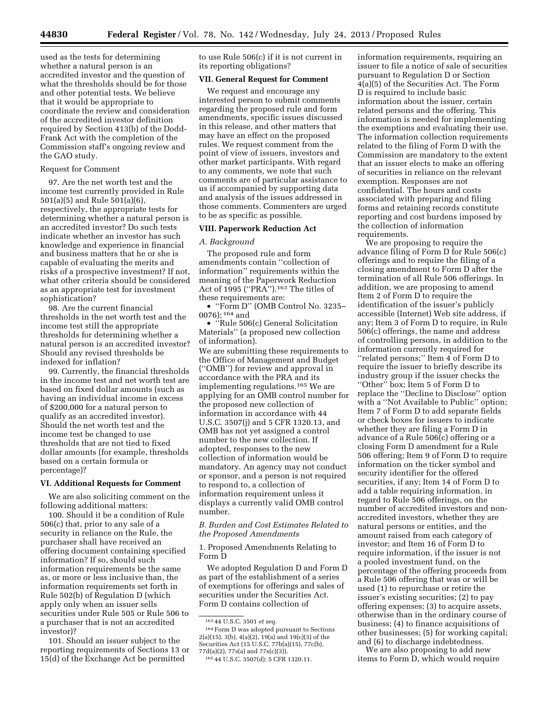used as the tests for determining whether a natural person is an accredited investor and the question of what the thresholds should be for those and other potential tests. We believe that it would be appropriate to coordinate the review and consideration of the accredited investor definition required by Section 413(b) of the Dodd-Frank Act with the completion of the Commission staff's ongoing review and the GAO study.

### Request for Comment

97. Are the net worth test and the income test currently provided in Rule 501(a)(5) and Rule 501(a)(6), respectively, the appropriate tests for determining whether a natural person is an accredited investor? Do such tests indicate whether an investor has such knowledge and experience in financial and business matters that he or she is capable of evaluating the merits and risks of a prospective investment? If not, what other criteria should be considered as an appropriate test for investment sophistication?

98. Are the current financial thresholds in the net worth test and the income test still the appropriate thresholds for determining whether a natural person is an accredited investor? Should any revised thresholds be indexed for inflation?

99. Currently, the financial thresholds in the income test and net worth test are based on fixed dollar amounts (such as having an individual income in excess of \$200,000 for a natural person to qualify as an accredited investor). Should the net worth test and the income test be changed to use thresholds that are not tied to fixed dollar amounts (for example, thresholds based on a certain formula or percentage)?

### **VI. Additional Requests for Comment**

We are also soliciting comment on the following additional matters:

100. Should it be a condition of Rule 506(c) that, prior to any sale of a security in reliance on the Rule, the purchaser shall have received an offering document containing specified information? If so, should such information requirements be the same as, or more or less inclusive than, the information requirements set forth in Rule 502(b) of Regulation D (which apply only when an issuer sells securities under Rule 505 or Rule 506 to a purchaser that is not an accredited investor)?

101. Should an issuer subject to the reporting requirements of Sections 13 or 15(d) of the Exchange Act be permitted

to use Rule 506(c) if it is not current in its reporting obligations?

# **VII. General Request for Comment**

We request and encourage any interested person to submit comments regarding the proposed rule and form amendments, specific issues discussed in this release, and other matters that may have an effect on the proposed rules. We request comment from the point of view of issuers, investors and other market participants. With regard to any comments, we note that such comments are of particular assistance to us if accompanied by supporting data and analysis of the issues addressed in those comments. Commenters are urged to be as specific as possible.

### **VIII. Paperwork Reduction Act**

### *A. Background*

The proposed rule and form amendments contain ''collection of information'' requirements within the meaning of the Paperwork Reduction Act of 1995 (''PRA'').163 The titles of these requirements are:

• ''Form D'' (OMB Control No. 3235– 0076); 164 and

• ''Rule 506(c) General Solicitation Materials'' (a proposed new collection of information).

We are submitting these requirements to the Office of Management and Budget (''OMB'') for review and approval in accordance with the PRA and its implementing regulations.165 We are applying for an OMB control number for the proposed new collection of information in accordance with 44 U.S.C. 3507(j) and 5 CFR 1320.13, and OMB has not yet assigned a control number to the new collection. If adopted, responses to the new collection of information would be mandatory. An agency may not conduct or sponsor, and a person is not required to respond to, a collection of information requirement unless it displays a currently valid OMB control number.

*B. Burden and Cost Estimates Related to the Proposed Amendments* 

1. Proposed Amendments Relating to Form D

We adopted Regulation D and Form D as part of the establishment of a series of exemptions for offerings and sales of securities under the Securities Act. Form D contains collection of

164Form D was adopted pursuant to Sections 2(a)(15), 3(b), 4(a)(2), 19(a) and 19(c)(3) of the Securities Act (15 U.S.C. 77b(a)(15), 77c(b), 77d(a)(2), 77s(a) and 77s(c)(3)).

information requirements, requiring an issuer to file a notice of sale of securities pursuant to Regulation D or Section 4(a)(5) of the Securities Act. The Form D is required to include basic information about the issuer, certain related persons and the offering. This information is needed for implementing the exemptions and evaluating their use. The information collection requirements related to the filing of Form D with the Commission are mandatory to the extent that an issuer elects to make an offering of securities in reliance on the relevant exemption. Responses are not confidential. The hours and costs associated with preparing and filing forms and retaining records constitute reporting and cost burdens imposed by the collection of information requirements.

We are proposing to require the advance filing of Form D for Rule 506(c) offerings and to require the filing of a closing amendment to Form D after the termination of all Rule 506 offerings. In addition, we are proposing to amend Item 2 of Form D to require the identification of the issuer's publicly accessible (Internet) Web site address, if any; Item 3 of Form D to require, in Rule 506(c) offerings, the name and address of controlling persons, in addition to the information currently required for ''related persons;'' Item 4 of Form D to require the issuer to briefly describe its industry group if the issuer checks the ''Other'' box; Item 5 of Form D to replace the ''Decline to Disclose'' option with a ''Not Available to Public'' option; Item 7 of Form D to add separate fields or check boxes for issuers to indicate whether they are filing a Form D in advance of a Rule 506(c) offering or a closing Form D amendment for a Rule 506 offering; Item 9 of Form D to require information on the ticker symbol and security identifier for the offered securities, if any; Item 14 of Form D to add a table requiring information, in regard to Rule 506 offerings, on the number of accredited investors and nonaccredited investors, whether they are natural persons or entities, and the amount raised from each category of investor; and Item 16 of Form D to require information, if the issuer is not a pooled investment fund, on the percentage of the offering proceeds from a Rule 506 offering that was or will be used (1) to repurchase or retire the issuer's existing securities; (2) to pay offering expenses; (3) to acquire assets, otherwise than in the ordinary course of business; (4) to finance acquisitions of other businesses; (5) for working capital; and (6) to discharge indebtedness.

We are also proposing to add new items to Form D, which would require

<sup>163</sup> 44 U.S.C. 3501 *et seq.* 

<sup>165</sup> 44 U.S.C. 3507(d); 5 CFR 1320.11.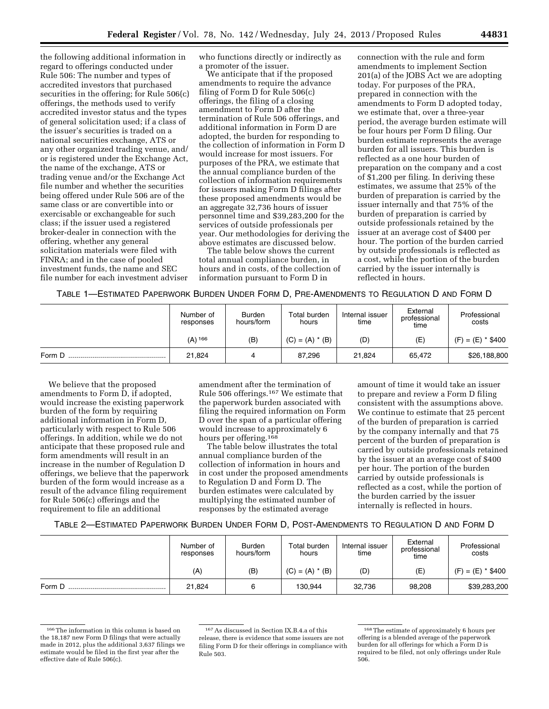the following additional information in regard to offerings conducted under Rule 506: The number and types of accredited investors that purchased securities in the offering; for Rule 506(c) offerings, the methods used to verify accredited investor status and the types of general solicitation used; if a class of the issuer's securities is traded on a national securities exchange, ATS or any other organized trading venue, and/ or is registered under the Exchange Act, the name of the exchange, ATS or trading venue and/or the Exchange Act file number and whether the securities being offered under Rule 506 are of the same class or are convertible into or exercisable or exchangeable for such class; if the issuer used a registered broker-dealer in connection with the offering, whether any general solicitation materials were filed with FINRA; and in the case of pooled investment funds, the name and SEC file number for each investment adviser

who functions directly or indirectly as a promoter of the issuer.

We anticipate that if the proposed amendments to require the advance filing of Form D for Rule 506(c) offerings, the filing of a closing amendment to Form D after the termination of Rule 506 offerings, and additional information in Form D are adopted, the burden for responding to the collection of information in Form D would increase for most issuers. For purposes of the PRA, we estimate that the annual compliance burden of the collection of information requirements for issuers making Form D filings after these proposed amendments would be an aggregate 32,736 hours of issuer personnel time and \$39,283,200 for the services of outside professionals per year. Our methodologies for deriving the above estimates are discussed below.

The table below shows the current total annual compliance burden, in hours and in costs, of the collection of information pursuant to Form D in

connection with the rule and form amendments to implement Section 201(a) of the JOBS Act we are adopting today. For purposes of the PRA, prepared in connection with the amendments to Form D adopted today, we estimate that, over a three-year period, the average burden estimate will be four hours per Form D filing. Our burden estimate represents the average burden for all issuers. This burden is reflected as a one hour burden of preparation on the company and a cost of \$1,200 per filing. In deriving these estimates, we assume that 25% of the burden of preparation is carried by the issuer internally and that 75% of the burden of preparation is carried by outside professionals retained by the issuer at an average cost of \$400 per hour. The portion of the burden carried by outside professionals is reflected as a cost, while the portion of the burden carried by the issuer internally is reflected in hours.

TABLE 1—ESTIMATED PAPERWORK BURDEN UNDER FORM D, PRE-AMENDMENTS TO REGULATION D AND FORM D

|        | Number of<br>responses | <b>Burden</b><br>hours/form | Total burden<br>hours | Internal issuer<br>time | External<br>professional<br>time | Professional<br>costs |
|--------|------------------------|-----------------------------|-----------------------|-------------------------|----------------------------------|-----------------------|
|        | $(A)$ <sup>166</sup>   | (B)                         | $(C) = (A) * (B)$     | (D)                     | (E)                              | $(F) = (E) * $400$    |
| Form D | 21.824                 |                             | 87.296                | 21.824                  | 65.472                           | \$26,188,800          |

We believe that the proposed amendments to Form D, if adopted, would increase the existing paperwork burden of the form by requiring additional information in Form D, particularly with respect to Rule 506 offerings. In addition, while we do not anticipate that these proposed rule and form amendments will result in an increase in the number of Regulation D offerings, we believe that the paperwork burden of the form would increase as a result of the advance filing requirement for Rule 506(c) offerings and the requirement to file an additional

amendment after the termination of Rule 506 offerings.167 We estimate that the paperwork burden associated with filing the required information on Form D over the span of a particular offering would increase to approximately 6 hours per offering.<sup>168</sup>

The table below illustrates the total annual compliance burden of the collection of information in hours and in cost under the proposed amendments to Regulation D and Form D. The burden estimates were calculated by multiplying the estimated number of responses by the estimated average

amount of time it would take an issuer to prepare and review a Form D filing consistent with the assumptions above. We continue to estimate that 25 percent of the burden of preparation is carried by the company internally and that 75 percent of the burden of preparation is carried by outside professionals retained by the issuer at an average cost of \$400 per hour. The portion of the burden carried by outside professionals is reflected as a cost, while the portion of the burden carried by the issuer internally is reflected in hours.

|        | Number of<br>responses | <b>Burden</b><br>hours/form | Total burden<br>hours | Internal issuer<br>time | External<br>professional<br>time | Professional<br>costs |
|--------|------------------------|-----------------------------|-----------------------|-------------------------|----------------------------------|-----------------------|
|        | (A)                    | (B)                         | $(C) = (A) * (B)$     | (D)                     | (E)                              | $(F) = (E) * $400$    |
| Form D | 21,824                 |                             | 130,944               | 32.736                  | 98,208                           | \$39,283,200          |

<sup>166</sup>The information in this column is based on the 18,187 new Form D filings that were actually made in 2012, plus the additional 3,637 filings we estimate would be filed in the first year after the effective date of Rule 506(c).

<sup>167</sup>As discussed in Section IX.B.4.a of this release, there is evidence that some issuers are not filing Form D for their offerings in compliance with Rule 503.

<sup>168</sup>The estimate of approximately 6 hours per offering is a blended average of the paperwork burden for all offerings for which a Form D is required to be filed, not only offerings under Rule 506.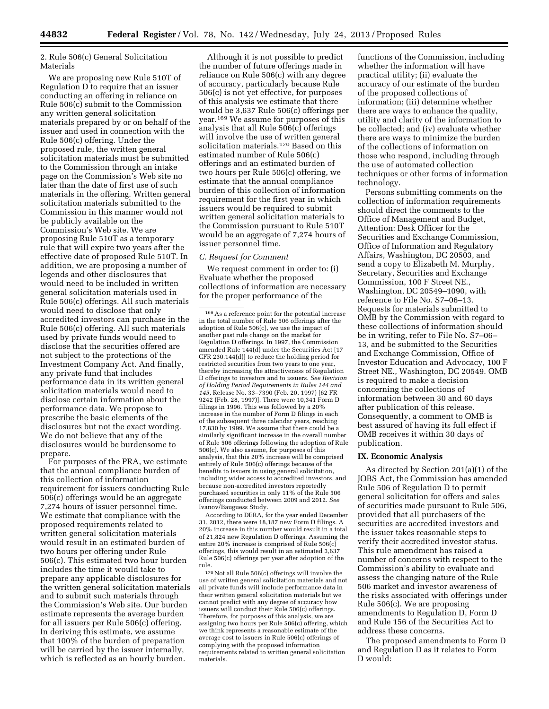2. Rule 506(c) General Solicitation Materials

We are proposing new Rule 510T of Regulation D to require that an issuer conducting an offering in reliance on Rule 506(c) submit to the Commission any written general solicitation materials prepared by or on behalf of the issuer and used in connection with the Rule 506(c) offering. Under the proposed rule, the written general solicitation materials must be submitted to the Commission through an intake page on the Commission's Web site no later than the date of first use of such materials in the offering. Written general solicitation materials submitted to the Commission in this manner would not be publicly available on the Commission's Web site. We are proposing Rule 510T as a temporary rule that will expire two years after the effective date of proposed Rule 510T. In addition, we are proposing a number of legends and other disclosures that would need to be included in written general solicitation materials used in Rule 506(c) offerings. All such materials would need to disclose that only accredited investors can purchase in the Rule 506(c) offering. All such materials used by private funds would need to disclose that the securities offered are not subject to the protections of the Investment Company Act. And finally, any private fund that includes performance data in its written general solicitation materials would need to disclose certain information about the performance data. We propose to prescribe the basic elements of the disclosures but not the exact wording. We do not believe that any of the disclosures would be burdensome to prepare.

For purposes of the PRA, we estimate that the annual compliance burden of this collection of information requirement for issuers conducting Rule 506(c) offerings would be an aggregate 7,274 hours of issuer personnel time. We estimate that compliance with the proposed requirements related to written general solicitation materials would result in an estimated burden of two hours per offering under Rule 506(c). This estimated two hour burden includes the time it would take to prepare any applicable disclosures for the written general solicitation materials and to submit such materials through the Commission's Web site. Our burden estimate represents the average burden for all issuers per Rule 506(c) offering. In deriving this estimate, we assume that 100% of the burden of preparation will be carried by the issuer internally, which is reflected as an hourly burden.

Although it is not possible to predict the number of future offerings made in reliance on Rule 506(c) with any degree of accuracy, particularly because Rule 506(c) is not yet effective, for purposes of this analysis we estimate that there would be 3,637 Rule 506(c) offerings per year.169 We assume for purposes of this analysis that all Rule 506(c) offerings will involve the use of written general solicitation materials.170 Based on this estimated number of Rule 506(c) offerings and an estimated burden of two hours per Rule 506(c) offering, we estimate that the annual compliance burden of this collection of information requirement for the first year in which issuers would be required to submit written general solicitation materials to the Commission pursuant to Rule 510T would be an aggregate of 7,274 hours of issuer personnel time.

### *C. Request for Comment*

We request comment in order to: (i) Evaluate whether the proposed collections of information are necessary for the proper performance of the

According to DERA, for the year ended December 31, 2012, there were 18,187 new Form D filings. A 20% increase in this number would result in a total of 21,824 new Regulation D offerings. Assuming the entire 20% increase is comprised of Rule 506(c) offerings, this would result in an estimated 3,637 Rule 506(c) offerings per year after adoption of the rule.

 $^{170}\rm{Not}$  all Rule 506(c) offerings will involve the use of written general solicitation materials and not all private funds will include performance data in their written general solicitation materials but we cannot predict with any degree of accuracy how issuers will conduct their Rule 506(c) offerings. Therefore, for purposes of this analysis, we are assigning two hours per Rule 506(c) offering, which we think represents a reasonable estimate of the average cost to issuers in Rule 506(c) offerings of complying with the proposed information requirements related to written general solicitation materials.

functions of the Commission, including whether the information will have practical utility; (ii) evaluate the accuracy of our estimate of the burden of the proposed collections of information; (iii) determine whether there are ways to enhance the quality, utility and clarity of the information to be collected; and (iv) evaluate whether there are ways to minimize the burden of the collections of information on those who respond, including through the use of automated collection techniques or other forms of information technology.

Persons submitting comments on the collection of information requirements should direct the comments to the Office of Management and Budget, Attention: Desk Officer for the Securities and Exchange Commission, Office of Information and Regulatory Affairs, Washington, DC 20503, and send a copy to Elizabeth M. Murphy, Secretary, Securities and Exchange Commission, 100 F Street NE., Washington, DC 20549–1090, with reference to File No. S7–06–13. Requests for materials submitted to OMB by the Commission with regard to these collections of information should be in writing, refer to File No. S7–06– 13, and be submitted to the Securities and Exchange Commission, Office of Investor Education and Advocacy, 100 F Street NE., Washington, DC 20549. OMB is required to make a decision concerning the collections of information between 30 and 60 days after publication of this release. Consequently, a comment to OMB is best assured of having its full effect if OMB receives it within 30 days of publication.

# **IX. Economic Analysis**

As directed by Section 201(a)(1) of the JOBS Act, the Commission has amended Rule 506 of Regulation D to permit general solicitation for offers and sales of securities made pursuant to Rule 506, provided that all purchasers of the securities are accredited investors and the issuer takes reasonable steps to verify their accredited investor status. This rule amendment has raised a number of concerns with respect to the Commission's ability to evaluate and assess the changing nature of the Rule 506 market and investor awareness of the risks associated with offerings under Rule 506(c). We are proposing amendments to Regulation D, Form D and Rule 156 of the Securities Act to address these concerns.

The proposed amendments to Form D and Regulation D as it relates to Form D would:

<sup>169</sup>As a reference point for the potential increase in the total number of Rule 506 offerings after the adoption of Rule 506(c), we use the impact of another past rule change on the market for Regulation D offerings. In 1997, the Commission amended Rule 144(d) under the Securities Act [17 CFR 230.144(d)] to reduce the holding period for restricted securities from two years to one year, thereby increasing the attractiveness of Regulation D offerings to investors and to issuers. *See Revision of Holding Period Requirements in Rules 144 and 145,* Release No. 33–7390 (Feb. 20, 1997) [62 FR 9242 (Feb. 28, 1997)]. There were 10,341 Form D filings in 1996. This was followed by a 20% increase in the number of Form D filings in each of the subsequent three calendar years, reaching 17,830 by 1999. We assume that there could be a similarly significant increase in the overall number of Rule 506 offerings following the adoption of Rule 506(c). We also assume, for purposes of this analysis, that this 20% increase will be comprised entirely of Rule 506(c) offerings because of the benefits to issuers in using general solicitation, including wider access to accredited investors, and because non-accredited investors reportedly purchased securities in only 11% of the Rule 506 offerings conducted between 2009 and 2012. *See*  Ivanov/Bauguess Study.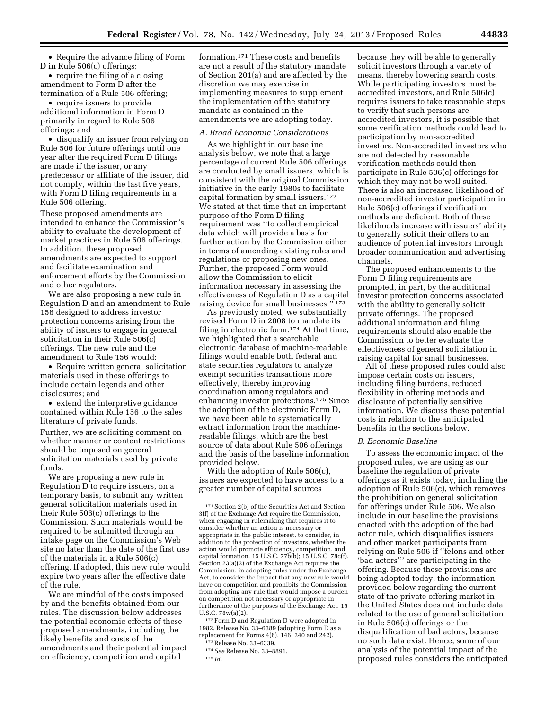• Require the advance filing of Form D in Rule 506(c) offerings;

• require the filing of a closing amendment to Form D after the termination of a Rule 506 offering;

• require issuers to provide additional information in Form D primarily in regard to Rule 506 offerings; and

• disqualify an issuer from relying on Rule 506 for future offerings until one year after the required Form D filings are made if the issuer, or any predecessor or affiliate of the issuer, did not comply, within the last five years, with Form D filing requirements in a Rule 506 offering.

These proposed amendments are intended to enhance the Commission's ability to evaluate the development of market practices in Rule 506 offerings. In addition, these proposed amendments are expected to support and facilitate examination and enforcement efforts by the Commission and other regulators.

We are also proposing a new rule in Regulation D and an amendment to Rule 156 designed to address investor protection concerns arising from the ability of issuers to engage in general solicitation in their Rule 506(c) offerings. The new rule and the amendment to Rule 156 would:

• Require written general solicitation materials used in these offerings to include certain legends and other disclosures; and

• extend the interpretive guidance contained within Rule 156 to the sales literature of private funds.

Further, we are soliciting comment on whether manner or content restrictions should be imposed on general solicitation materials used by private funds.

We are proposing a new rule in Regulation D to require issuers, on a temporary basis, to submit any written general solicitation materials used in their Rule 506(c) offerings to the Commission. Such materials would be required to be submitted through an intake page on the Commission's Web site no later than the date of the first use of the materials in a Rule 506(c) offering. If adopted, this new rule would expire two years after the effective date of the rule.

We are mindful of the costs imposed by and the benefits obtained from our rules. The discussion below addresses the potential economic effects of these proposed amendments, including the likely benefits and costs of the amendments and their potential impact on efficiency, competition and capital

formation.171 These costs and benefits are not a result of the statutory mandate of Section 201(a) and are affected by the discretion we may exercise in implementing measures to supplement the implementation of the statutory mandate as contained in the amendments we are adopting today.

### *A. Broad Economic Considerations*

As we highlight in our baseline analysis below, we note that a large percentage of current Rule 506 offerings are conducted by small issuers, which is consistent with the original Commission initiative in the early 1980s to facilitate capital formation by small issuers.172 We stated at that time that an important purpose of the Form D filing requirement was ''to collect empirical data which will provide a basis for further action by the Commission either in terms of amending existing rules and regulations or proposing new ones. Further, the proposed Form would allow the Commission to elicit information necessary in assessing the effectiveness of Regulation D as a capital raising device for small businesses.'' 173

As previously noted, we substantially revised Form D in 2008 to mandate its filing in electronic form.<sup>174</sup> At that time, we highlighted that a searchable electronic database of machine-readable filings would enable both federal and state securities regulators to analyze exempt securities transactions more effectively, thereby improving coordination among regulators and enhancing investor protections.175 Since the adoption of the electronic Form D, we have been able to systematically extract information from the machinereadable filings, which are the best source of data about Rule 506 offerings and the basis of the baseline information provided below.

With the adoption of Rule 506(c), issuers are expected to have access to a greater number of capital sources

172Form D and Regulation D were adopted in 1982. Release No. 33–6389 (adopting Form D as a replacement for Forms 4(6), 146, 240 and 242).

173Release No. 33–6339.

175 *Id.* 

because they will be able to generally solicit investors through a variety of means, thereby lowering search costs. While participating investors must be accredited investors, and Rule 506(c) requires issuers to take reasonable steps to verify that such persons are accredited investors, it is possible that some verification methods could lead to participation by non-accredited investors. Non-accredited investors who are not detected by reasonable verification methods could then participate in Rule 506(c) offerings for which they may not be well suited. There is also an increased likelihood of non-accredited investor participation in Rule 506(c) offerings if verification methods are deficient. Both of these likelihoods increase with issuers' ability to generally solicit their offers to an audience of potential investors through broader communication and advertising channels.

The proposed enhancements to the Form D filing requirements are prompted, in part, by the additional investor protection concerns associated with the ability to generally solicit private offerings. The proposed additional information and filing requirements should also enable the Commission to better evaluate the effectiveness of general solicitation in raising capital for small businesses.

All of these proposed rules could also impose certain costs on issuers, including filing burdens, reduced flexibility in offering methods and disclosure of potentially sensitive information. We discuss these potential costs in relation to the anticipated benefits in the sections below.

### *B. Economic Baseline*

To assess the economic impact of the proposed rules, we are using as our baseline the regulation of private offerings as it exists today, including the adoption of Rule 506(c), which removes the prohibition on general solicitation for offerings under Rule 506. We also include in our baseline the provisions enacted with the adoption of the bad actor rule, which disqualifies issuers and other market participants from relying on Rule 506 if ''felons and other 'bad actors''' are participating in the offering. Because these provisions are being adopted today, the information provided below regarding the current state of the private offering market in the United States does not include data related to the use of general solicitation in Rule 506(c) offerings or the disqualification of bad actors, because no such data exist. Hence, some of our analysis of the potential impact of the proposed rules considers the anticipated

<sup>171</sup>Section 2(b) of the Securities Act and Section 3(f) of the Exchange Act require the Commission, when engaging in rulemaking that requires it to consider whether an action is necessary or appropriate in the public interest, to consider, in addition to the protection of investors, whether the action would promote efficiency, competition, and capital formation. 15 U.S.C. 77b(b); 15 U.S.C. 78c(f). Section 23(a)(2) of the Exchange Act requires the Commission, in adopting rules under the Exchange Act, to consider the impact that any new rule would have on competition and prohibits the Commission from adopting any rule that would impose a burden on competition not necessary or appropriate in furtherance of the purposes of the Exchange Act. 15 U.S.C. 78w(a)(2).

<sup>174</sup>*See* Release No. 33–8891.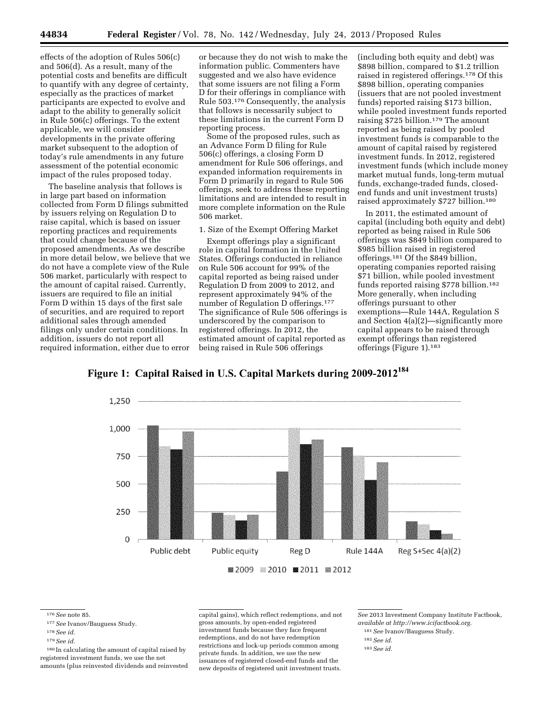effects of the adoption of Rules 506(c) and 506(d). As a result, many of the potential costs and benefits are difficult to quantify with any degree of certainty, especially as the practices of market participants are expected to evolve and adapt to the ability to generally solicit in Rule 506(c) offerings. To the extent applicable, we will consider developments in the private offering market subsequent to the adoption of today's rule amendments in any future assessment of the potential economic impact of the rules proposed today.

The baseline analysis that follows is in large part based on information collected from Form D filings submitted by issuers relying on Regulation D to raise capital, which is based on issuer reporting practices and requirements that could change because of the proposed amendments. As we describe in more detail below, we believe that we do not have a complete view of the Rule 506 market, particularly with respect to the amount of capital raised. Currently, issuers are required to file an initial Form D within 15 days of the first sale of securities, and are required to report additional sales through amended filings only under certain conditions. In addition, issuers do not report all required information, either due to error

or because they do not wish to make the information public. Commenters have suggested and we also have evidence that some issuers are not filing a Form D for their offerings in compliance with Rule 503.176 Consequently, the analysis that follows is necessarily subject to these limitations in the current Form D reporting process.

Some of the proposed rules, such as an Advance Form D filing for Rule 506(c) offerings, a closing Form D amendment for Rule 506 offerings, and expanded information requirements in Form D primarily in regard to Rule 506 offerings, seek to address these reporting limitations and are intended to result in more complete information on the Rule 506 market.

# 1. Size of the Exempt Offering Market

Exempt offerings play a significant role in capital formation in the United States. Offerings conducted in reliance on Rule 506 account for 99% of the capital reported as being raised under Regulation D from 2009 to 2012, and represent approximately 94% of the number of Regulation D offerings.177 The significance of Rule 506 offerings is underscored by the comparison to registered offerings. In 2012, the estimated amount of capital reported as being raised in Rule 506 offerings

(including both equity and debt) was \$898 billion, compared to \$1.2 trillion raised in registered offerings.178 Of this \$898 billion, operating companies (issuers that are not pooled investment funds) reported raising \$173 billion, while pooled investment funds reported raising \$725 billion.179 The amount reported as being raised by pooled investment funds is comparable to the amount of capital raised by registered investment funds. In 2012, registered investment funds (which include money market mutual funds, long-term mutual funds, exchange-traded funds, closedend funds and unit investment trusts) raised approximately \$727 billion.180

In 2011, the estimated amount of capital (including both equity and debt) reported as being raised in Rule 506 offerings was \$849 billion compared to \$985 billion raised in registered offerings.181 Of the \$849 billion, operating companies reported raising \$71 billion, while pooled investment funds reported raising \$778 billion.182 More generally, when including offerings pursuant to other exemptions—Rule 144A, Regulation S and Section 4(a)(2)—significantly more capital appears to be raised through exempt offerings than registered offerings (Figure 1).183



Figure 1: Capital Raised in U.S. Capital Markets during 2009-2012<sup>184</sup>

176*See* note 85.

178*See id.* 

180 In calculating the amount of capital raised by registered investment funds, we use the net amounts (plus reinvested dividends and reinvested capital gains), which reflect redemptions, and not gross amounts, by open-ended registered investment funds because they face frequent redemptions, and do not have redemption restrictions and lock-up periods common among private funds. In addition, we use the new issuances of registered closed-end funds and the new deposits of registered unit investment trusts.

*See* 2013 Investment Company Institute Factbook, *available at [http://www.icifactbook.org.](http://www.icifactbook.org)* 

182*See id.* 

<sup>177</sup>*See* Ivanov/Bauguess Study.

<sup>179</sup>*See id.* 

<sup>181</sup>*See* Ivanov/Bauguess Study.

<sup>183</sup>*See id.*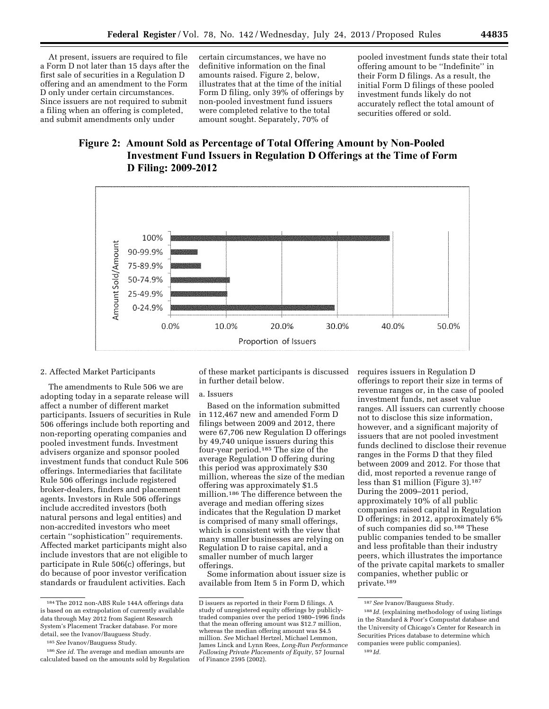At present, issuers are required to file a Form D not later than 15 days after the first sale of securities in a Regulation D offering and an amendment to the Form D only under certain circumstances. Since issuers are not required to submit a filing when an offering is completed, and submit amendments only under

certain circumstances, we have no definitive information on the final amounts raised. Figure 2, below, illustrates that at the time of the initial Form D filing, only 39% of offerings by non-pooled investment fund issuers were completed relative to the total amount sought. Separately, 70% of

pooled investment funds state their total offering amount to be ''Indefinite'' in their Form D filings. As a result, the initial Form D filings of these pooled investment funds likely do not accurately reflect the total amount of securities offered or sold.

# Figure 2: Amount Sold as Percentage of Total Offering Amount by Non-Pooled Investment Fund Issuers in Regulation D Offerings at the Time of Form **D** Filing: 2009-2012



### 2. Affected Market Participants

The amendments to Rule 506 we are adopting today in a separate release will affect a number of different market participants. Issuers of securities in Rule 506 offerings include both reporting and non-reporting operating companies and pooled investment funds. Investment advisers organize and sponsor pooled investment funds that conduct Rule 506 offerings. Intermediaries that facilitate Rule 506 offerings include registered broker-dealers, finders and placement agents. Investors in Rule 506 offerings include accredited investors (both natural persons and legal entities) and non-accredited investors who meet certain ''sophistication'' requirements. Affected market participants might also include investors that are not eligible to participate in Rule 506(c) offerings, but do because of poor investor verification standards or fraudulent activities. Each

of these market participants is discussed in further detail below.

### a. Issuers

Based on the information submitted in 112,467 new and amended Form D filings between 2009 and 2012, there were 67,706 new Regulation D offerings by 49,740 unique issuers during this four-year period.185 The size of the average Regulation D offering during this period was approximately \$30 million, whereas the size of the median offering was approximately \$1.5 million.186 The difference between the average and median offering sizes indicates that the Regulation D market is comprised of many small offerings, which is consistent with the view that many smaller businesses are relying on Regulation D to raise capital, and a smaller number of much larger offerings.

Some information about issuer size is available from Item 5 in Form D, which

requires issuers in Regulation D offerings to report their size in terms of revenue ranges or, in the case of pooled investment funds, net asset value ranges. All issuers can currently choose not to disclose this size information, however, and a significant majority of issuers that are not pooled investment funds declined to disclose their revenue ranges in the Forms D that they filed between 2009 and 2012. For those that did, most reported a revenue range of less than \$1 million (Figure 3).187 During the 2009–2011 period, approximately 10% of all public companies raised capital in Regulation D offerings; in 2012, approximately 6% of such companies did so.188 These public companies tended to be smaller and less profitable than their industry peers, which illustrates the importance of the private capital markets to smaller companies, whether public or private.189

<sup>184</sup>The 2012 non-ABS Rule 144A offerings data is based on an extrapolation of currently available data through May 2012 from Sagient Research System's Placement Tracker database. For more detail, see the Ivanov/Bauguess Study.

<sup>185</sup>*See* Ivanov/Bauguess Study.

<sup>186</sup>*See id.* The average and median amounts are calculated based on the amounts sold by Regulation

D issuers as reported in their Form D filings. A study of unregistered equity offerings by publiclytraded companies over the period 1980–1996 finds that the mean offering amount was \$12.7 million, whereas the median offering amount was \$4.5 million. *See* Michael Hertzel, Michael Lemmon, James Linck and Lynn Rees, *Long-Run Performance Following Private Placements of Equity,* 57 Journal of Finance 2595 (2002).

<sup>187</sup>*See* Ivanov/Bauguess Study.

<sup>188</sup> *Id.* (explaining methodology of using listings in the Standard & Poor's Compustat database and the University of Chicago's Center for Research in Securities Prices database to determine which companies were public companies). 189 *Id.*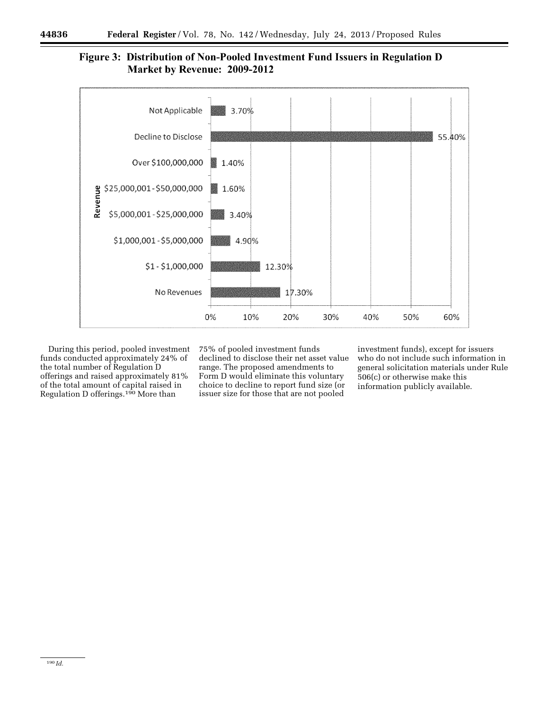# Figure 3: Distribution of Non-Pooled Investment Fund Issuers in Regulation D **Market by Revenue: 2009-2012**



During this period, pooled investment funds conducted approximately 24% of the total number of Regulation D offerings and raised approximately 81% of the total amount of capital raised in Regulation D offerings.<sup>190</sup> More than

75% of pooled investment funds declined to disclose their net asset value range. The proposed amendments to Form D would eliminate this voluntary choice to decline to report fund size (or issuer size for those that are not pooled

investment funds), except for issuers who do not include such information in general solicitation materials under Rule 506(c) or otherwise make this information publicly available.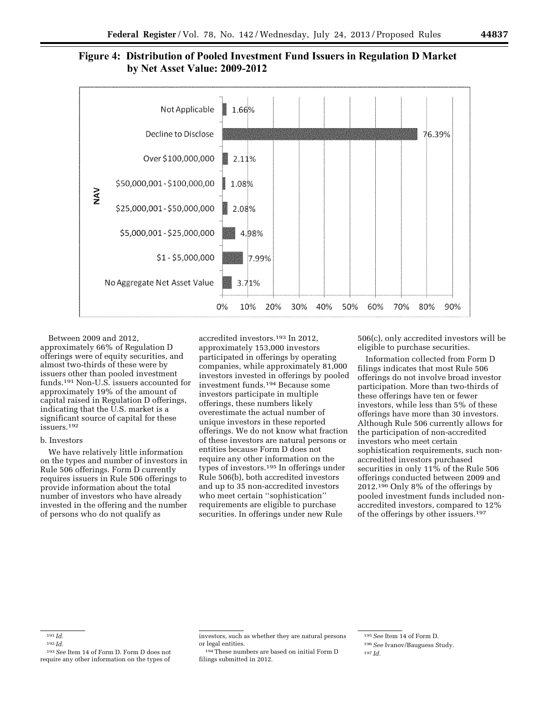



Between 2009 and 2012, approximately 66% of Regulation D offerings were of equity securities, and almost two-thirds of these were by issuers other than pooled investment funds.191 Non-U.S. issuers accounted for approximately 19% of the amount of capital raised in Regulation D offerings, indicating that the U.S. market is a significant source of capital for these issuers.192

# b. Investors

We have relatively little information on the types and number of investors in Rule 506 offerings. Form D currently requires issuers in Rule 506 offerings to provide information about the total number of investors who have already invested in the offering and the number of persons who do not qualify as

accredited investors.193 In 2012, approximately 153,000 investors participated in offerings by operating companies, while approximately 81,000 investors invested in offerings by pooled investment funds.194 Because some investors participate in multiple offerings, these numbers likely overestimate the actual number of unique investors in these reported offerings. We do not know what fraction of these investors are natural persons or entities because Form D does not require any other information on the types of investors.195 In offerings under Rule 506(b), both accredited investors and up to 35 non-accredited investors who meet certain ''sophistication'' requirements are eligible to purchase securities. In offerings under new Rule

506(c), only accredited investors will be eligible to purchase securities.

Information collected from Form D filings indicates that most Rule 506 offerings do not involve broad investor participation. More than two-thirds of these offerings have ten or fewer investors, while less than 5% of these offerings have more than 30 investors. Although Rule 506 currently allows for the participation of non-accredited investors who meet certain sophistication requirements, such nonaccredited investors purchased securities in only 11% of the Rule 506 offerings conducted between 2009 and 2012.<sup>196</sup> Only 8% of the offerings by pooled investment funds included nonaccredited investors, compared to 12% of the offerings by other issuers.197

<sup>191</sup> *Id.* 

<sup>192</sup> *Id.* 

<sup>193</sup>*See* Item 14 of Form D. Form D does not require any other information on the types of

investors, such as whether they are natural persons or legal entities.

<sup>194</sup>These numbers are based on initial Form D filings submitted in 2012.

<sup>195</sup>*See* Item 14 of Form D. 196*See* Ivanov/Bauguess Study. 197 *Id.*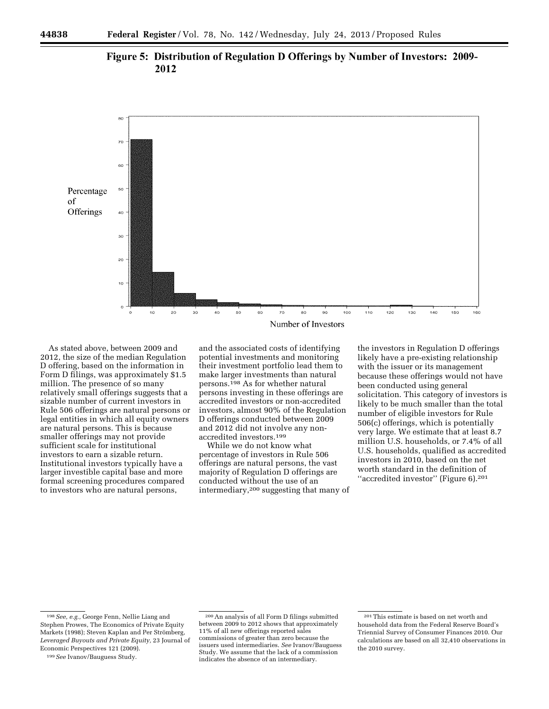



As stated above, between 2009 and 2012, the size of the median Regulation D offering, based on the information in Form D filings, was approximately \$1.5 million. The presence of so many relatively small offerings suggests that a sizable number of current investors in Rule 506 offerings are natural persons or legal entities in which all equity owners are natural persons. This is because smaller offerings may not provide sufficient scale for institutional investors to earn a sizable return. Institutional investors typically have a larger investible capital base and more formal screening procedures compared to investors who are natural persons,

and the associated costs of identifying potential investments and monitoring their investment portfolio lead them to make larger investments than natural persons.198 As for whether natural persons investing in these offerings are accredited investors or non-accredited investors, almost 90% of the Regulation D offerings conducted between 2009 and 2012 did not involve any nonaccredited investors.199

While we do not know what percentage of investors in Rule 506 offerings are natural persons, the vast majority of Regulation D offerings are conducted without the use of an intermediary,200 suggesting that many of

the investors in Regulation D offerings likely have a pre-existing relationship with the issuer or its management because these offerings would not have been conducted using general solicitation. This category of investors is likely to be much smaller than the total number of eligible investors for Rule 506(c) offerings, which is potentially very large. We estimate that at least 8.7 million U.S. households, or 7.4% of all U.S. households, qualified as accredited investors in 2010, based on the net worth standard in the definition of ''accredited investor'' (Figure 6).201

<sup>198</sup>*See, e.g.,* George Fenn, Nellie Liang and Stephen Prowes, The Economics of Private Equity Markets (1998); Steven Kaplan and Per Strömberg, *Leveraged Buyouts and Private Equity,* 23 Journal of Economic Perspectives 121 (2009).

<sup>199</sup>*See* Ivanov/Bauguess Study.

<sup>200</sup>An analysis of all Form D filings submitted between 2009 to 2012 shows that approximately 11% of all new offerings reported sales commissions of greater than zero because the issuers used intermediaries. *See* Ivanov/Bauguess Study. We assume that the lack of a commission indicates the absence of an intermediary.

<sup>201</sup>This estimate is based on net worth and household data from the Federal Reserve Board's Triennial Survey of Consumer Finances 2010. Our calculations are based on all 32,410 observations in the 2010 survey.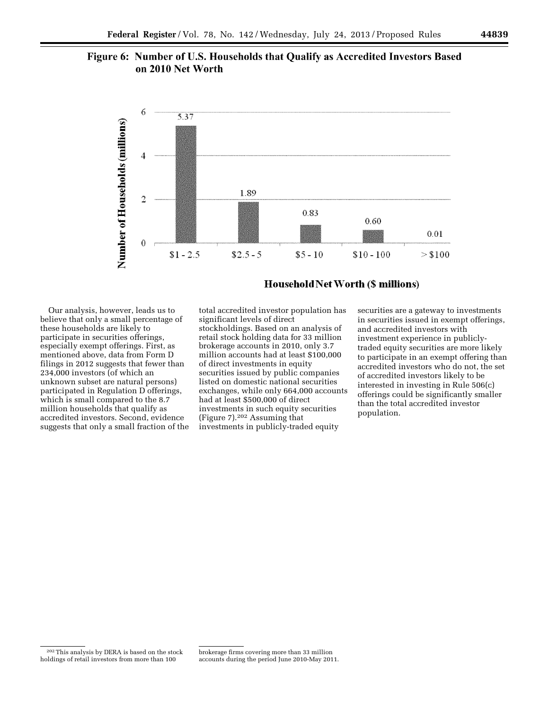# Figure 6: Number of U.S. Households that Qualify as Accredited Investors Based on 2010 Net Worth



**Household Net Worth (\$ millions)** 

Our analysis, however, leads us to believe that only a small percentage of these households are likely to participate in securities offerings, especially exempt offerings. First, as mentioned above, data from Form D filings in 2012 suggests that fewer than 234,000 investors (of which an unknown subset are natural persons) participated in Regulation D offerings, which is small compared to the 8.7 million households that qualify as accredited investors. Second, evidence suggests that only a small fraction of the

total accredited investor population has significant levels of direct stockholdings. Based on an analysis of retail stock holding data for 33 million brokerage accounts in 2010, only 3.7 million accounts had at least \$100,000 of direct investments in equity securities issued by public companies listed on domestic national securities exchanges, while only 664,000 accounts had at least \$500,000 of direct investments in such equity securities (Figure 7).202 Assuming that investments in publicly-traded equity

securities are a gateway to investments in securities issued in exempt offerings, and accredited investors with investment experience in publiclytraded equity securities are more likely to participate in an exempt offering than accredited investors who do not, the set of accredited investors likely to be interested in investing in Rule 506(c) offerings could be significantly smaller than the total accredited investor population.

<sup>202</sup>This analysis by DERA is based on the stock holdings of retail investors from more than 100

brokerage firms covering more than 33 million accounts during the period June 2010-May 2011.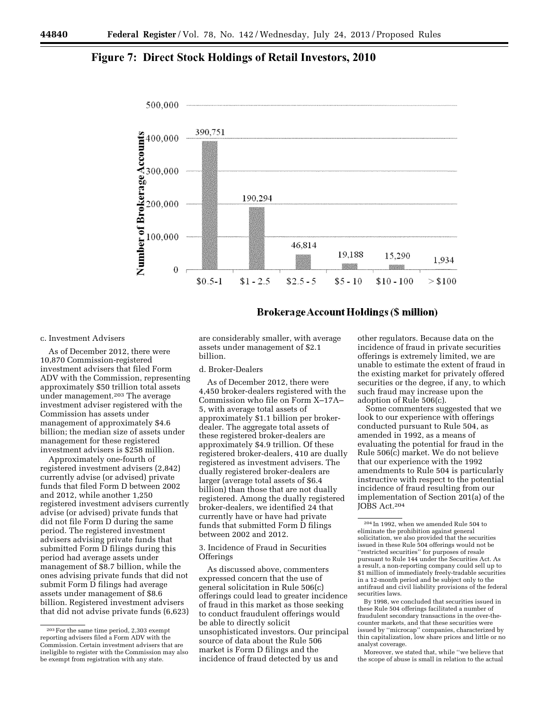# **Figure 7: Direct Stock Holdings of Retail Investors, 2010**



# **Brokerage Account Holdings (\$ million)**

# c. Investment Advisers

As of December 2012, there were 10,870 Commission-registered investment advisers that filed Form ADV with the Commission, representing approximately \$50 trillion total assets under management.203 The average investment adviser registered with the Commission has assets under management of approximately \$4.6 billion; the median size of assets under management for these registered investment advisers is \$258 million.

Approximately one-fourth of registered investment advisers (2,842) currently advise (or advised) private funds that filed Form D between 2002 and 2012, while another 1,250 registered investment advisers currently advise (or advised) private funds that did not file Form D during the same period. The registered investment advisers advising private funds that submitted Form D filings during this period had average assets under management of \$8.7 billion, while the ones advising private funds that did not submit Form D filings had average assets under management of \$8.6 billion. Registered investment advisers that did not advise private funds (6,623)

are considerably smaller, with average assets under management of \$2.1 billion.

# d. Broker-Dealers

As of December 2012, there were 4,450 broker-dealers registered with the Commission who file on Form X–17A– 5, with average total assets of approximately \$1.1 billion per brokerdealer. The aggregate total assets of these registered broker-dealers are approximately \$4.9 trillion. Of these registered broker-dealers, 410 are dually registered as investment advisers. The dually registered broker-dealers are larger (average total assets of \$6.4 billion) than those that are not dually registered. Among the dually registered broker-dealers, we identified 24 that currently have or have had private funds that submitted Form D filings between 2002 and 2012.

3. Incidence of Fraud in Securities **Offerings** 

As discussed above, commenters expressed concern that the use of general solicitation in Rule 506(c) offerings could lead to greater incidence of fraud in this market as those seeking to conduct fraudulent offerings would be able to directly solicit unsophisticated investors. Our principal source of data about the Rule 506 market is Form D filings and the incidence of fraud detected by us and

other regulators. Because data on the incidence of fraud in private securities offerings is extremely limited, we are unable to estimate the extent of fraud in the existing market for privately offered securities or the degree, if any, to which such fraud may increase upon the adoption of Rule 506(c).

Some commenters suggested that we look to our experience with offerings conducted pursuant to Rule 504, as amended in 1992, as a means of evaluating the potential for fraud in the Rule 506(c) market. We do not believe that our experience with the 1992 amendments to Rule 504 is particularly instructive with respect to the potential incidence of fraud resulting from our implementation of Section 201(a) of the JOBS Act.204

Moreover, we stated that, while ''we believe that the scope of abuse is small in relation to the actual

<sup>203</sup>For the same time period, 2,303 exempt reporting advisers filed a Form ADV with the Commission. Certain investment advisers that are ineligible to register with the Commission may also be exempt from registration with any state.

<sup>204</sup> In 1992, when we amended Rule 504 to eliminate the prohibition against general solicitation, we also provided that the securities issued in these Rule 504 offerings would not be ''restricted securities'' for purposes of resale pursuant to Rule 144 under the Securities Act. As a result, a non-reporting company could sell up to \$1 million of immediately freely-tradable securities in a 12-month period and be subject only to the antifraud and civil liability provisions of the federal securities laws.

By 1998, we concluded that securities issued in these Rule 504 offerings facilitated a number of fraudulent secondary transactions in the over-thecounter markets, and that these securities were issued by ''microcap'' companies, characterized by thin capitalization, low share prices and little or no analyst coverage.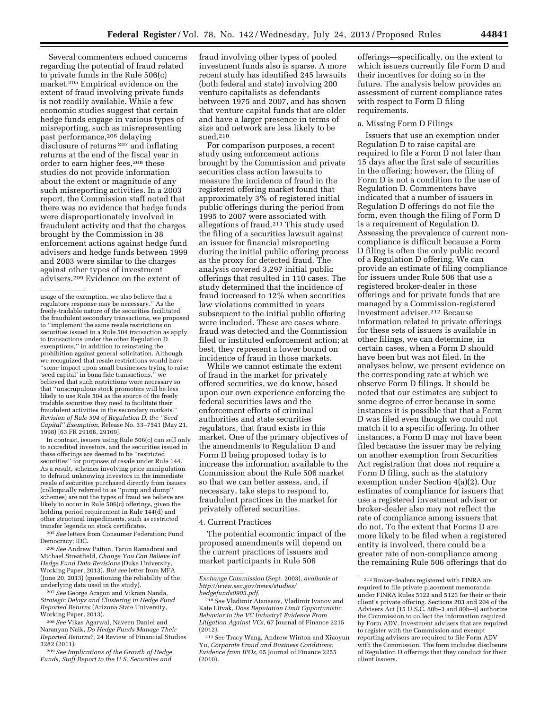Several commenters echoed concerns regarding the potential of fraud related to private funds in the Rule 506(c) market.205 Empirical evidence on the extent of fraud involving private funds is not readily available. While a few economic studies suggest that certain hedge funds engage in various types of misreporting, such as misrepresenting past performance,206 delaying disclosure of returns 207 and inflating returns at the end of the fiscal year in order to earn higher fees,<sup>208</sup> these studies do not provide information about the extent or magnitude of any such misreporting activities. In a 2003 report, the Commission staff noted that there was no evidence that hedge funds were disproportionately involved in fraudulent activity and that the charges brought by the Commission in 38 enforcement actions against hedge fund advisers and hedge funds between 1999 and 2003 were similar to the charges against other types of investment advisers.209 Evidence on the extent of

In contrast, issuers using Rule 506(c) can sell only to accredited investors, and the securities issued in these offerings are deemed to be ''restricted securities'' for purposes of resale under Rule 144. As a result, schemes involving price manipulation to defraud unknowing investors in the immediate resale of securities purchased directly from issuers (colloquially referred to as ''pump and dump'' schemes) are not the types of fraud we believe are likely to occur in Rule 506(c) offerings, given the holding period requirement in Rule 144(d) and other structural impediments, such as restricted transfer legends on stock certificates.

205*See* letters from Consumer Federation; Fund Democracy; IDC.

206*See* Andrew Patton, Tarun Ramadorai and Michael Streatfield, *Change You Can Believe In? Hedge Fund Data Revisions* (Duke University, Working Paper, 2013). *But see* letter from MFA (June 20, 2013) (questioning the reliability of the underlying data used in the study).

207*See* George Aragon and Vikram Nanda, *Strategic Delays and Clustering in Hedge Fund Reported Returns* (Arizona State University, Working Paper, 2013).

208*See* Vikas Agarwal, Naveen Daniel and Naranyan Naik, *Do Hedge Funds Manage Their Reported Returns?,* 24 Review of Financial Studies 3282 (2011).

209*See Implications of the Growth of Hedge Funds, Staff Report to the U.S. Securities and* 

fraud involving other types of pooled investment funds also is sparse. A more recent study has identified 245 lawsuits (both federal and state) involving 200 venture capitalists as defendants between 1975 and 2007, and has shown that venture capital funds that are older and have a larger presence in terms of size and network are less likely to be sued.210

For comparison purposes, a recent study using enforcement actions brought by the Commission and private securities class action lawsuits to measure the incidence of fraud in the registered offering market found that approximately 3% of registered initial public offerings during the period from 1995 to 2007 were associated with allegations of fraud.211 This study used the filing of a securities lawsuit against an issuer for financial misreporting during the initial public offering process as the proxy for detected fraud. The analysis covered 3,297 initial public offerings that resulted in 110 cases. The study determined that the incidence of fraud increased to 12% when securities law violations committed in years subsequent to the initial public offering were included. These are cases where fraud was detected and the Commission filed or instituted enforcement action; at best, they represent a lower bound on incidence of fraud in those markets.

While we cannot estimate the extent of fraud in the market for privately offered securities, we do know, based upon our own experience enforcing the federal securities laws and the enforcement efforts of criminal authorities and state securities regulators, that fraud exists in this market. One of the primary objectives of the amendments to Regulation D and Form D being proposed today is to increase the information available to the Commission about the Rule 506 market so that we can better assess, and, if necessary, take steps to respond to, fraudulent practices in the market for privately offered securities.

### 4. Current Practices

The potential economic impact of the proposed amendments will depend on the current practices of issuers and market participants in Rule 506

offerings—specifically, on the extent to which issuers currently file Form D and their incentives for doing so in the future. The analysis below provides an assessment of current compliance rates with respect to Form D filing requirements.

### a. Missing Form D Filings

Issuers that use an exemption under Regulation D to raise capital are required to file a Form D not later than 15 days after the first sale of securities in the offering; however, the filing of Form D is not a condition to the use of Regulation D. Commenters have indicated that a number of issuers in Regulation D offerings do not file the form, even though the filing of Form D is a requirement of Regulation D. Assessing the prevalence of current noncompliance is difficult because a Form D filing is often the only public record of a Regulation D offering. We can provide an estimate of filing compliance for issuers under Rule 506 that use a registered broker-dealer in these offerings and for private funds that are managed by a Commission-registered investment adviser.212 Because information related to private offerings for these sets of issuers is available in other filings, we can determine, in certain cases, when a Form D should have been but was not filed. In the analyses below, we present evidence on the corresponding rate at which we observe Form D filings. It should be noted that our estimates are subject to some degree of error because in some instances it is possible that that a Form D was filed even though we could not match it to a specific offering. In other instances, a Form D may not have been filed because the issuer may be relying on another exemption from Securities Act registration that does not require a Form D filing, such as the statutory exemption under Section 4(a)(2). Our estimates of compliance for issuers that use a registered investment adviser or broker-dealer also may not reflect the rate of compliance among issuers that do not. To the extent that Forms D are more likely to be filed when a registered entity is involved, there could be a greater rate of non-compliance among the remaining Rule 506 offerings that do

usage of the exemption, we also believe that a regulatory response may be necessary.'' As the freely-tradable nature of the securities facilitated the fraudulent secondary transactions, we proposed to ''implement the same resale restrictions on securities issued in a Rule 504 transaction as apply to transactions under the other Regulation D exemptions,'' in addition to reinstating the prohibition against general solicitation. Although we recognized that resale restrictions would have ''some impact upon small businesses trying to raise 'seed capital' in bona fide transactions,'' we believed that such restrictions were necessary so that ''unscrupulous stock promoters will be less likely to use Rule 504 as the source of the freely tradable securities they need to facilitate their fraudulent activities in the secondary markets.'' *Revision of Rule 504 of Regulation D, the ''Seed Capital'' Exemption,* Release No. 33–7541 (May 21, 1998) [63 FR 29168, 29169].

*Exchange Commission* (Sept. 2003), *available at [http://www.sec.gov/news/studies/](http://www.sec.gov/news/studies/hedgefunds0903.pdf)  [hedgefunds0903.pdf.](http://www.sec.gov/news/studies/hedgefunds0903.pdf)* 

<sup>210</sup>*See* Vladimir Atanasov, Vladimir Ivanov and Kate Litvak, *Does Reputation Limit Opportunistic Behavior in the VC Industry? Evidence From Litigation Against VCs,* 67 Journal of Finance 2215 (2012).

<sup>211</sup>*See* Tracy Wang, Andrew Winton and Xiaoyun Yu, *Corporate Fraud and Business Conditions: Evidence from IPOs,* 65 Journal of Finance 2255 (2010).

 $^{\rm 212}\rm Broker\mbox{-}dealers$  registered with FINRA are required to file private placement memoranda under FINRA Rules 5122 and 5123 for their or their client's private offering. Sections 203 and 204 of the Advisers Act [15 U.S.C. 80b–3 and 80b–4] authorize the Commission to collect the information required by Form ADV. Investment advisers that are required to register with the Commission and exempt reporting advisers are required to file Form ADV with the Commission. The form includes disclosure of Regulation D offerings that they conduct for their client issuers.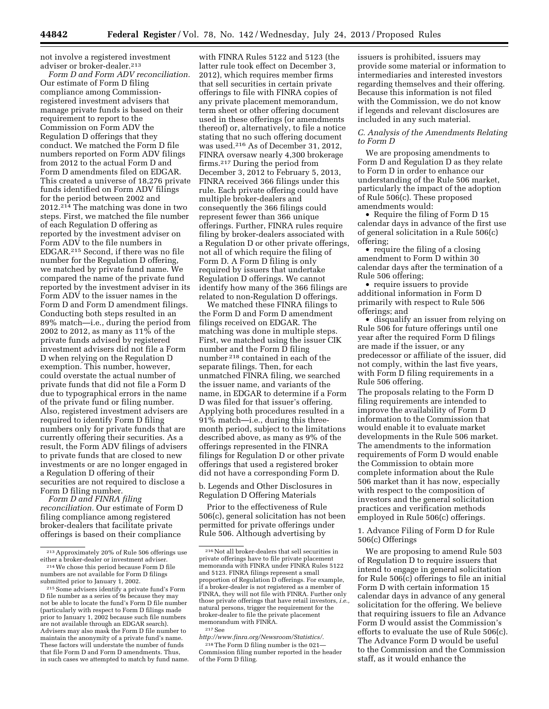not involve a registered investment adviser or broker-dealer.213

*Form D and Form ADV reconciliation.*  Our estimate of Form D filing compliance among Commissionregistered investment advisers that manage private funds is based on their requirement to report to the Commission on Form ADV the Regulation D offerings that they conduct. We matched the Form D file numbers reported on Form ADV filings from 2012 to the actual Form D and Form D amendments filed on EDGAR. This created a universe of 18,276 private funds identified on Form ADV filings for the period between 2002 and 2012.214 The matching was done in two steps. First, we matched the file number of each Regulation D offering as reported by the investment adviser on Form ADV to the file numbers in EDGAR.215 Second, if there was no file number for the Regulation D offering, we matched by private fund name. We compared the name of the private fund reported by the investment adviser in its Form ADV to the issuer names in the Form D and Form D amendment filings. Conducting both steps resulted in an 89% match—i.e., during the period from 2002 to 2012, as many as 11% of the private funds advised by registered investment advisers did not file a Form D when relying on the Regulation D exemption. This number, however, could overstate the actual number of private funds that did not file a Form D due to typographical errors in the name of the private fund or filing number. Also, registered investment advisers are required to identify Form D filing numbers only for private funds that are currently offering their securities. As a result, the Form ADV filings of advisers to private funds that are closed to new investments or are no longer engaged in a Regulation D offering of their securities are not required to disclose a Form D filing number.

*Form D and FINRA filing reconciliation.* Our estimate of Form D filing compliance among registered broker-dealers that facilitate private offerings is based on their compliance

with FINRA Rules 5122 and 5123 (the latter rule took effect on December 3, 2012), which requires member firms that sell securities in certain private offerings to file with FINRA copies of any private placement memorandum, term sheet or other offering document used in these offerings (or amendments thereof) or, alternatively, to file a notice stating that no such offering document was used.216 As of December 31, 2012, FINRA oversaw nearly 4,300 brokerage firms.217 During the period from December 3, 2012 to February 5, 2013, FINRA received 366 filings under this rule. Each private offering could have multiple broker-dealers and consequently the 366 filings could represent fewer than 366 unique offerings. Further, FINRA rules require filing by broker-dealers associated with a Regulation D or other private offerings, not all of which require the filing of Form D. A Form D filing is only required by issuers that undertake Regulation D offerings. We cannot identify how many of the 366 filings are related to non-Regulation D offerings.

We matched these FINRA filings to the Form D and Form D amendment filings received on EDGAR. The matching was done in multiple steps. First, we matched using the issuer CIK number and the Form D filing number 218 contained in each of the separate filings. Then, for each unmatched FINRA filing, we searched the issuer name, and variants of the name, in EDGAR to determine if a Form D was filed for that issuer's offering. Applying both procedures resulted in a 91% match—i.e., during this threemonth period, subject to the limitations described above, as many as 9% of the offerings represented in the FINRA filings for Regulation D or other private offerings that used a registered broker did not have a corresponding Form D.

b. Legends and Other Disclosures in Regulation D Offering Materials

Prior to the effectiveness of Rule 506(c), general solicitation has not been permitted for private offerings under Rule 506. Although advertising by

*[http://www.finra.org/Newsroom/Statistics/.](http://www.finra.org/Newsroom/Statistics/)*  218The Form D filing number is the 021— Commission filing number reported in the header of the Form D filing.

issuers is prohibited, issuers may provide some material or information to intermediaries and interested investors regarding themselves and their offering. Because this information is not filed with the Commission, we do not know if legends and relevant disclosures are included in any such material.

# *C. Analysis of the Amendments Relating to Form D*

We are proposing amendments to Form D and Regulation D as they relate to Form D in order to enhance our understanding of the Rule 506 market, particularly the impact of the adoption of Rule 506(c). These proposed amendments would:

• Require the filing of Form D 15 calendar days in advance of the first use of general solicitation in a Rule 506(c) offering;

• require the filing of a closing amendment to Form D within 30 calendar days after the termination of a Rule 506 offering;

• require issuers to provide additional information in Form D primarily with respect to Rule 506 offerings; and

• disqualify an issuer from relying on Rule 506 for future offerings until one year after the required Form D filings are made if the issuer, or any predecessor or affiliate of the issuer, did not comply, within the last five years, with Form D filing requirements in a Rule 506 offering.

The proposals relating to the Form D filing requirements are intended to improve the availability of Form D information to the Commission that would enable it to evaluate market developments in the Rule 506 market. The amendments to the information requirements of Form D would enable the Commission to obtain more complete information about the Rule 506 market than it has now, especially with respect to the composition of investors and the general solicitation practices and verification methods employed in Rule 506(c) offerings.

1. Advance Filing of Form D for Rule 506(c) Offerings

We are proposing to amend Rule 503 of Regulation D to require issuers that intend to engage in general solicitation for Rule 506(c) offerings to file an initial Form D with certain information 15 calendar days in advance of any general solicitation for the offering. We believe that requiring issuers to file an Advance Form D would assist the Commission's efforts to evaluate the use of Rule 506(c). The Advance Form D would be useful to the Commission and the Commission staff, as it would enhance the

 $\,{}^{213}$  Approximately 20% of Rule 506 offerings use either a broker-dealer or investment adviser.

<sup>&</sup>lt;sup>214</sup> We chose this period because Form D file numbers are not available for Form D filings<br>submitted prior to January 1, 2002.

<sup>&</sup>lt;sup>215</sup> Some advisers identify a private fund's Form D file number as a series of 9s because they may not be able to locate the fund's Form D file number (particularly with respect to Form D filings made prior to January 1, 2002 because such file numbers are not available through an EDGAR search). Advisers may also mask the Form D file number to maintain the anonymity of a private fund's name. These factors will understate the number of funds that file Form D and Form D amendments. Thus, in such cases we attempted to match by fund name.

 $\rm ^{216}$  Not all broker-dealers that sell securities in private offerings have to file private placement memoranda with FINRA under FINRA Rules 5122 and 5123. FINRA filings represent a small proportion of Regulation D offerings. For example, if a broker-dealer is not registered as a member of FINRA, they will not file with FINRA. Further only those private offerings that have retail investors, *i.e.,*  natural persons, trigger the requirement for the broker-dealer to file the private placement memorandum with FINRA.

<sup>217</sup>See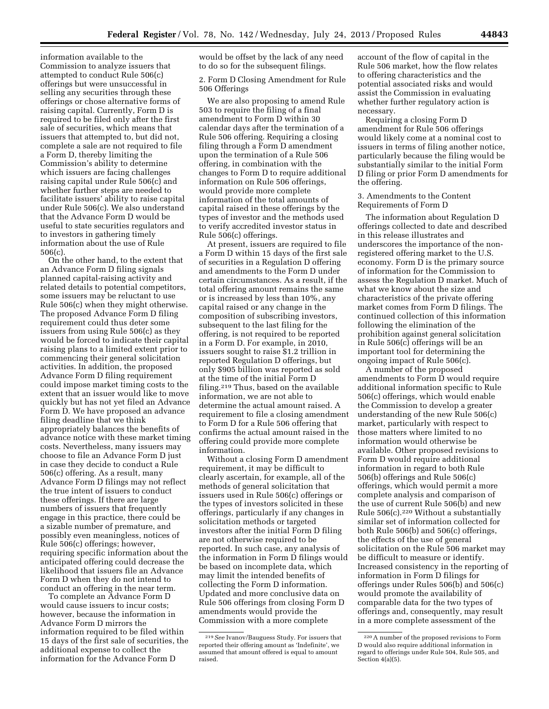information available to the Commission to analyze issuers that attempted to conduct Rule 506(c) offerings but were unsuccessful in selling any securities through these offerings or chose alternative forms of raising capital. Currently, Form D is required to be filed only after the first sale of securities, which means that issuers that attempted to, but did not, complete a sale are not required to file a Form D, thereby limiting the Commission's ability to determine which issuers are facing challenges raising capital under Rule 506(c) and whether further steps are needed to facilitate issuers' ability to raise capital under Rule 506(c). We also understand that the Advance Form D would be useful to state securities regulators and to investors in gathering timely information about the use of Rule 506(c).

On the other hand, to the extent that an Advance Form D filing signals planned capital-raising activity and related details to potential competitors, some issuers may be reluctant to use Rule 506(c) when they might otherwise. The proposed Advance Form D filing requirement could thus deter some issuers from using Rule 506(c) as they would be forced to indicate their capital raising plans to a limited extent prior to commencing their general solicitation activities. In addition, the proposed Advance Form D filing requirement could impose market timing costs to the extent that an issuer would like to move quickly but has not yet filed an Advance Form D. We have proposed an advance filing deadline that we think appropriately balances the benefits of advance notice with these market timing costs. Nevertheless, many issuers may choose to file an Advance Form D just in case they decide to conduct a Rule 506(c) offering. As a result, many Advance Form D filings may not reflect the true intent of issuers to conduct these offerings. If there are large numbers of issuers that frequently engage in this practice, there could be a sizable number of premature, and possibly even meaningless, notices of Rule 506(c) offerings; however, requiring specific information about the anticipated offering could decrease the likelihood that issuers file an Advance Form D when they do not intend to conduct an offering in the near term.

To complete an Advance Form D would cause issuers to incur costs; however, because the information in Advance Form D mirrors the information required to be filed within 15 days of the first sale of securities, the additional expense to collect the information for the Advance Form D

would be offset by the lack of any need to do so for the subsequent filings.

2. Form D Closing Amendment for Rule 506 Offerings

We are also proposing to amend Rule 503 to require the filing of a final amendment to Form D within 30 calendar days after the termination of a Rule 506 offering. Requiring a closing filing through a Form D amendment upon the termination of a Rule 506 offering, in combination with the changes to Form D to require additional information on Rule 506 offerings, would provide more complete information of the total amounts of capital raised in these offerings by the types of investor and the methods used to verify accredited investor status in Rule 506(c) offerings.

At present, issuers are required to file a Form D within 15 days of the first sale of securities in a Regulation D offering and amendments to the Form D under certain circumstances. As a result, if the total offering amount remains the same or is increased by less than 10%, any capital raised or any change in the composition of subscribing investors, subsequent to the last filing for the offering, is not required to be reported in a Form D. For example, in 2010, issuers sought to raise \$1.2 trillion in reported Regulation D offerings, but only \$905 billion was reported as sold at the time of the initial Form D filing.219 Thus, based on the available information, we are not able to determine the actual amount raised. A requirement to file a closing amendment to Form D for a Rule 506 offering that confirms the actual amount raised in the offering could provide more complete information.

Without a closing Form D amendment requirement, it may be difficult to clearly ascertain, for example, all of the methods of general solicitation that issuers used in Rule 506(c) offerings or the types of investors solicited in these offerings, particularly if any changes in solicitation methods or targeted investors after the initial Form D filing are not otherwise required to be reported. In such case, any analysis of the information in Form D filings would be based on incomplete data, which may limit the intended benefits of collecting the Form D information. Updated and more conclusive data on Rule 506 offerings from closing Form D amendments would provide the Commission with a more complete

account of the flow of capital in the Rule 506 market, how the flow relates to offering characteristics and the potential associated risks and would assist the Commission in evaluating whether further regulatory action is necessary.

Requiring a closing Form D amendment for Rule 506 offerings would likely come at a nominal cost to issuers in terms of filing another notice, particularly because the filing would be substantially similar to the initial Form D filing or prior Form D amendments for the offering.

3. Amendments to the Content Requirements of Form D

The information about Regulation D offerings collected to date and described in this release illustrates and underscores the importance of the nonregistered offering market to the U.S. economy. Form D is the primary source of information for the Commission to assess the Regulation D market. Much of what we know about the size and characteristics of the private offering market comes from Form D filings. The continued collection of this information following the elimination of the prohibition against general solicitation in Rule 506(c) offerings will be an important tool for determining the ongoing impact of Rule 506(c).

A number of the proposed amendments to Form D would require additional information specific to Rule 506(c) offerings, which would enable the Commission to develop a greater understanding of the new Rule 506(c) market, particularly with respect to those matters where limited to no information would otherwise be available. Other proposed revisions to Form D would require additional information in regard to both Rule 506(b) offerings and Rule 506(c) offerings, which would permit a more complete analysis and comparison of the use of current Rule 506(b) and new Rule 506(c).220 Without a substantially similar set of information collected for both Rule 506(b) and 506(c) offerings, the effects of the use of general solicitation on the Rule 506 market may be difficult to measure or identify. Increased consistency in the reporting of information in Form D filings for offerings under Rules 506(b) and 506(c) would promote the availability of comparable data for the two types of offerings and, consequently, may result in a more complete assessment of the

<sup>219</sup>*See* Ivanov/Bauguess Study. For issuers that reported their offering amount as 'Indefinite', we assumed that amount offered is equal to amount raised.

<sup>220</sup>A number of the proposed revisions to Form D would also require additional information in regard to offerings under Rule 504, Rule 505, and Section 4(a)(5).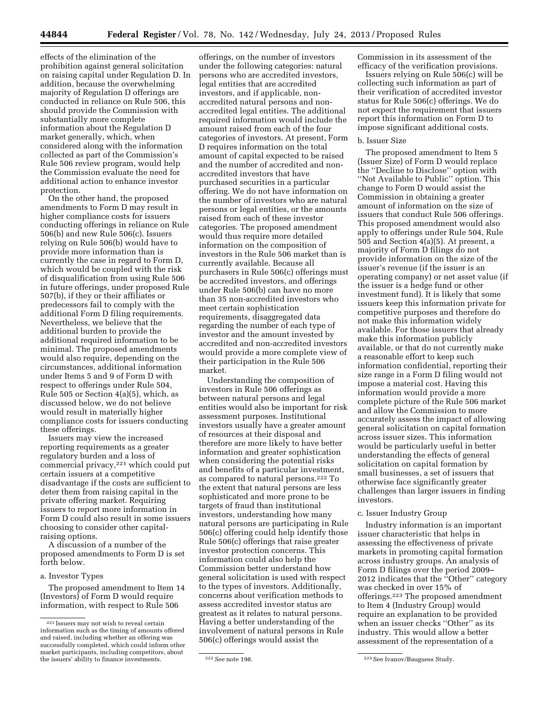effects of the elimination of the prohibition against general solicitation on raising capital under Regulation D. In addition, because the overwhelming majority of Regulation D offerings are conducted in reliance on Rule 506, this should provide the Commission with substantially more complete information about the Regulation D market generally, which, when considered along with the information collected as part of the Commission's Rule 506 review program, would help the Commission evaluate the need for additional action to enhance investor protection.

On the other hand, the proposed amendments to Form D may result in higher compliance costs for issuers conducting offerings in reliance on Rule 506(b) and new Rule 506(c). Issuers relying on Rule 506(b) would have to provide more information than is currently the case in regard to Form D, which would be coupled with the risk of disqualification from using Rule 506 in future offerings, under proposed Rule 507(b), if they or their affiliates or predecessors fail to comply with the additional Form D filing requirements. Nevertheless, we believe that the additional burden to provide the additional required information to be minimal. The proposed amendments would also require, depending on the circumstances, additional information under Items 5 and 9 of Form D with respect to offerings under Rule 504, Rule 505 or Section 4(a)(5), which, as discussed below, we do not believe would result in materially higher compliance costs for issuers conducting these offerings.

Issuers may view the increased reporting requirements as a greater regulatory burden and a loss of commercial privacy,221 which could put certain issuers at a competitive disadvantage if the costs are sufficient to deter them from raising capital in the private offering market. Requiring issuers to report more information in Form D could also result in some issuers choosing to consider other capitalraising options.

A discussion of a number of the proposed amendments to Form D is set forth below.

a. Investor Types

The proposed amendment to Item 14 (Investors) of Form D would require information, with respect to Rule 506

offerings, on the number of investors under the following categories: natural persons who are accredited investors, legal entities that are accredited investors, and if applicable, nonaccredited natural persons and nonaccredited legal entities. The additional required information would include the amount raised from each of the four categories of investors. At present, Form D requires information on the total amount of capital expected to be raised and the number of accredited and nonaccredited investors that have purchased securities in a particular offering. We do not have information on the number of investors who are natural persons or legal entities, or the amounts raised from each of these investor categories. The proposed amendment would thus require more detailed information on the composition of investors in the Rule 506 market than is currently available. Because all purchasers in Rule 506(c) offerings must be accredited investors, and offerings under Rule 506(b) can have no more than 35 non-accredited investors who meet certain sophistication requirements, disaggregated data regarding the number of each type of investor and the amount invested by accredited and non-accredited investors would provide a more complete view of their participation in the Rule 506 market.

Understanding the composition of investors in Rule 506 offerings as between natural persons and legal entities would also be important for risk assessment purposes. Institutional investors usually have a greater amount of resources at their disposal and therefore are more likely to have better information and greater sophistication when considering the potential risks and benefits of a particular investment, as compared to natural persons.222 To the extent that natural persons are less sophisticated and more prone to be targets of fraud than institutional investors, understanding how many natural persons are participating in Rule 506(c) offering could help identify those Rule 506(c) offerings that raise greater investor protection concerns. This information could also help the Commission better understand how general solicitation is used with respect to the types of investors. Additionally, concerns about verification methods to assess accredited investor status are greatest as it relates to natural persons. Having a better understanding of the involvement of natural persons in Rule 506(c) offerings would assist the

Commission in its assessment of the efficacy of the verification provisions.

Issuers relying on Rule 506(c) will be collecting such information as part of their verification of accredited investor status for Rule 506(c) offerings. We do not expect the requirement that issuers report this information on Form D to impose significant additional costs.

# b. Issuer Size

The proposed amendment to Item 5 (Issuer Size) of Form D would replace the ''Decline to Disclose'' option with ''Not Available to Public'' option. This change to Form D would assist the Commission in obtaining a greater amount of information on the size of issuers that conduct Rule 506 offerings. This proposed amendment would also apply to offerings under Rule 504, Rule 505 and Section 4(a)(5). At present, a majority of Form D filings do not provide information on the size of the issuer's revenue (if the issuer is an operating company) or net asset value (if the issuer is a hedge fund or other investment fund). It is likely that some issuers keep this information private for competitive purposes and therefore do not make this information widely available. For those issuers that already make this information publicly available, or that do not currently make a reasonable effort to keep such information confidential, reporting their size range in a Form D filing would not impose a material cost. Having this information would provide a more complete picture of the Rule 506 market and allow the Commission to more accurately assess the impact of allowing general solicitation on capital formation across issuer sizes. This information would be particularly useful in better understanding the effects of general solicitation on capital formation by small businesses, a set of issuers that otherwise face significantly greater challenges than larger issuers in finding investors.

# c. Issuer Industry Group

Industry information is an important issuer characteristic that helps in assessing the effectiveness of private markets in promoting capital formation across industry groups. An analysis of Form D filings over the period 2009– 2012 indicates that the ''Other'' category was checked in over 15% of offerings.223 The proposed amendment to Item 4 (Industry Group) would require an explanation to be provided when an issuer checks ''Other'' as its industry. This would allow a better assessment of the representation of a

<sup>221</sup> Issuers may not wish to reveal certain information such as the timing of amounts offered and raised, including whether an offering was successfully completed, which could inform other market participants, including competitors, about the issuers' ability to finance investments. 222*See* note 198. 223See Ivanov/Bauguess Study.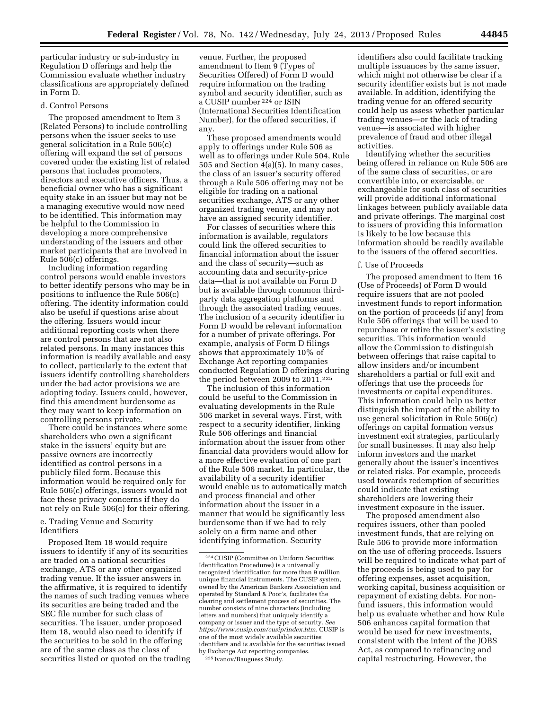particular industry or sub-industry in Regulation D offerings and help the Commission evaluate whether industry classifications are appropriately defined in Form D.

# d. Control Persons

The proposed amendment to Item 3 (Related Persons) to include controlling persons when the issuer seeks to use general solicitation in a Rule 506(c) offering will expand the set of persons covered under the existing list of related persons that includes promoters, directors and executive officers. Thus, a beneficial owner who has a significant equity stake in an issuer but may not be a managing executive would now need to be identified. This information may be helpful to the Commission in developing a more comprehensive understanding of the issuers and other market participants that are involved in Rule 506(c) offerings.

Including information regarding control persons would enable investors to better identify persons who may be in positions to influence the Rule 506(c) offering. The identity information could also be useful if questions arise about the offering. Issuers would incur additional reporting costs when there are control persons that are not also related persons. In many instances this information is readily available and easy to collect, particularly to the extent that issuers identify controlling shareholders under the bad actor provisions we are adopting today. Issuers could, however, find this amendment burdensome as they may want to keep information on controlling persons private.

There could be instances where some shareholders who own a significant stake in the issuers' equity but are passive owners are incorrectly identified as control persons in a publicly filed form. Because this information would be required only for Rule 506(c) offerings, issuers would not face these privacy concerns if they do not rely on Rule 506(c) for their offering.

e. Trading Venue and Security Identifiers

Proposed Item 18 would require issuers to identify if any of its securities are traded on a national securities exchange, ATS or any other organized trading venue. If the issuer answers in the affirmative, it is required to identify the names of such trading venues where its securities are being traded and the SEC file number for such class of securities. The issuer, under proposed Item 18, would also need to identify if the securities to be sold in the offering are of the same class as the class of securities listed or quoted on the trading

venue. Further, the proposed amendment to Item 9 (Types of Securities Offered) of Form D would require information on the trading symbol and security identifier, such as a CUSIP number 224 or ISIN (International Securities Identification Number), for the offered securities, if any.

These proposed amendments would apply to offerings under Rule 506 as well as to offerings under Rule 504, Rule 505 and Section 4(a)(5). In many cases, the class of an issuer's security offered through a Rule 506 offering may not be eligible for trading on a national securities exchange, ATS or any other organized trading venue, and may not have an assigned security identifier.

For classes of securities where this information is available, regulators could link the offered securities to financial information about the issuer and the class of security—such as accounting data and security-price data—that is not available on Form D but is available through common thirdparty data aggregation platforms and through the associated trading venues. The inclusion of a security identifier in Form D would be relevant information for a number of private offerings. For example, analysis of Form D filings shows that approximately 10% of Exchange Act reporting companies conducted Regulation D offerings during the period between 2009 to 2011.225

The inclusion of this information could be useful to the Commission in evaluating developments in the Rule 506 market in several ways. First, with respect to a security identifier, linking Rule 506 offerings and financial information about the issuer from other financial data providers would allow for a more effective evaluation of one part of the Rule 506 market. In particular, the availability of a security identifier would enable us to automatically match and process financial and other information about the issuer in a manner that would be significantly less burdensome than if we had to rely solely on a firm name and other identifying information. Security

identifiers also could facilitate tracking multiple issuances by the same issuer, which might not otherwise be clear if a security identifier exists but is not made available. In addition, identifying the trading venue for an offered security could help us assess whether particular trading venues—or the lack of trading venue—is associated with higher prevalence of fraud and other illegal activities.

Identifying whether the securities being offered in reliance on Rule 506 are of the same class of securities, or are convertible into, or exercisable, or exchangeable for such class of securities will provide additional informational linkages between publicly available data and private offerings. The marginal cost to issuers of providing this information is likely to be low because this information should be readily available to the issuers of the offered securities.

### f. Use of Proceeds

The proposed amendment to Item 16 (Use of Proceeds) of Form D would require issuers that are not pooled investment funds to report information on the portion of proceeds (if any) from Rule 506 offerings that will be used to repurchase or retire the issuer's existing securities. This information would allow the Commission to distinguish between offerings that raise capital to allow insiders and/or incumbent shareholders a partial or full exit and offerings that use the proceeds for investments or capital expenditures. This information could help us better distinguish the impact of the ability to use general solicitation in Rule 506(c) offerings on capital formation versus investment exit strategies, particularly for small businesses. It may also help inform investors and the market generally about the issuer's incentives or related risks. For example, proceeds used towards redemption of securities could indicate that existing shareholders are lowering their investment exposure in the issuer.

The proposed amendment also requires issuers, other than pooled investment funds, that are relying on Rule 506 to provide more information on the use of offering proceeds. Issuers will be required to indicate what part of the proceeds is being used to pay for offering expenses, asset acquisition, working capital, business acquisition or repayment of existing debts. For nonfund issuers, this information would help us evaluate whether and how Rule 506 enhances capital formation that would be used for new investments, consistent with the intent of the JOBS Act, as compared to refinancing and capital restructuring. However, the

<sup>224</sup>CUSIP (Committee on Uniform Securities Identification Procedures) is a universally recognized identification for more than 9 million unique financial instruments. The CUSIP system, owned by the American Bankers Association and operated by Standard & Poor's, facilitates the clearing and settlement process of securities. The number consists of nine characters (including letters and numbers) that uniquely identify a company or issuer and the type of security. *See [https://www.cusip.com/cusip/index.htm.](https://www.cusip.com/cusip/index.htm)* CUSIP is one of the most widely available securities identifiers and is available for the securities issued by Exchange Act reporting companies. 225 Ivanov/Bauguess Study.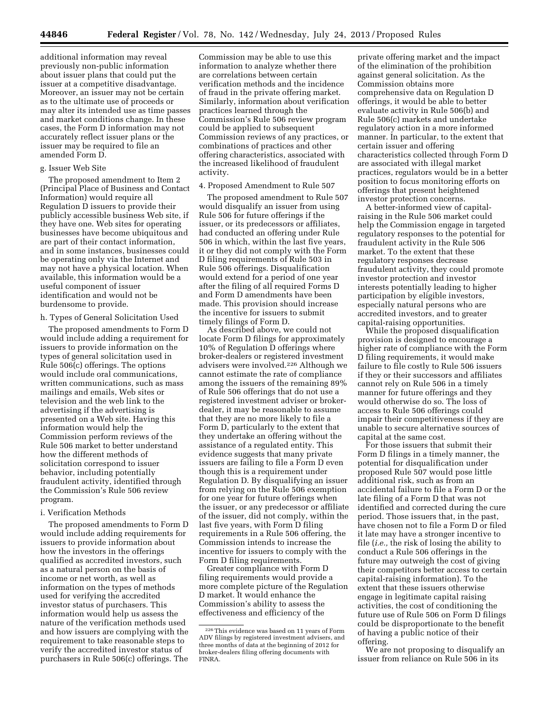additional information may reveal previously non-public information about issuer plans that could put the issuer at a competitive disadvantage. Moreover, an issuer may not be certain as to the ultimate use of proceeds or may alter its intended use as time passes and market conditions change. In these cases, the Form D information may not accurately reflect issuer plans or the issuer may be required to file an amended Form D.

# g. Issuer Web Site

The proposed amendment to Item 2 (Principal Place of Business and Contact Information) would require all Regulation D issuers to provide their publicly accessible business Web site, if they have one. Web sites for operating businesses have become ubiquitous and are part of their contact information, and in some instances, businesses could be operating only via the Internet and may not have a physical location. When available, this information would be a useful component of issuer identification and would not be burdensome to provide.

### h. Types of General Solicitation Used

The proposed amendments to Form D would include adding a requirement for issuers to provide information on the types of general solicitation used in Rule 506(c) offerings. The options would include oral communications, written communications, such as mass mailings and emails, Web sites or television and the web link to the advertising if the advertising is presented on a Web site. Having this information would help the Commission perform reviews of the Rule 506 market to better understand how the different methods of solicitation correspond to issuer behavior, including potentially fraudulent activity, identified through the Commission's Rule 506 review program.

# i. Verification Methods

The proposed amendments to Form D would include adding requirements for issuers to provide information about how the investors in the offerings qualified as accredited investors, such as a natural person on the basis of income or net worth, as well as information on the types of methods used for verifying the accredited investor status of purchasers. This information would help us assess the nature of the verification methods used and how issuers are complying with the requirement to take reasonable steps to verify the accredited investor status of purchasers in Rule 506(c) offerings. The

Commission may be able to use this information to analyze whether there are correlations between certain verification methods and the incidence of fraud in the private offering market. Similarly, information about verification practices learned through the Commission's Rule 506 review program could be applied to subsequent Commission reviews of any practices, or combinations of practices and other offering characteristics, associated with the increased likelihood of fraudulent activity.

### 4. Proposed Amendment to Rule 507

The proposed amendment to Rule 507 would disqualify an issuer from using Rule 506 for future offerings if the issuer, or its predecessors or affiliates, had conducted an offering under Rule 506 in which, within the last five years, it or they did not comply with the Form D filing requirements of Rule 503 in Rule 506 offerings. Disqualification would extend for a period of one year after the filing of all required Forms D and Form D amendments have been made. This provision should increase the incentive for issuers to submit timely filings of Form D.

As described above, we could not locate Form D filings for approximately 10% of Regulation D offerings where broker-dealers or registered investment advisers were involved.226 Although we cannot estimate the rate of compliance among the issuers of the remaining 89% of Rule 506 offerings that do not use a registered investment adviser or brokerdealer, it may be reasonable to assume that they are no more likely to file a Form D, particularly to the extent that they undertake an offering without the assistance of a regulated entity. This evidence suggests that many private issuers are failing to file a Form D even though this is a requirement under Regulation D. By disqualifying an issuer from relying on the Rule 506 exemption for one year for future offerings when the issuer, or any predecessor or affiliate of the issuer, did not comply, within the last five years, with Form D filing requirements in a Rule 506 offering, the Commission intends to increase the incentive for issuers to comply with the Form D filing requirements.

Greater compliance with Form D filing requirements would provide a more complete picture of the Regulation D market. It would enhance the Commission's ability to assess the effectiveness and efficiency of the

private offering market and the impact of the elimination of the prohibition against general solicitation. As the Commission obtains more comprehensive data on Regulation D offerings, it would be able to better evaluate activity in Rule 506(b) and Rule 506(c) markets and undertake regulatory action in a more informed manner. In particular, to the extent that certain issuer and offering characteristics collected through Form D are associated with illegal market practices, regulators would be in a better position to focus monitoring efforts on offerings that present heightened investor protection concerns.

A better-informed view of capitalraising in the Rule 506 market could help the Commission engage in targeted regulatory responses to the potential for fraudulent activity in the Rule 506 market. To the extent that these regulatory responses decrease fraudulent activity, they could promote investor protection and investor interests potentially leading to higher participation by eligible investors, especially natural persons who are accredited investors, and to greater capital-raising opportunities.

While the proposed disqualification provision is designed to encourage a higher rate of compliance with the Form D filing requirements, it would make failure to file costly to Rule 506 issuers if they or their successors and affiliates cannot rely on Rule 506 in a timely manner for future offerings and they would otherwise do so. The loss of access to Rule 506 offerings could impair their competitiveness if they are unable to secure alternative sources of capital at the same cost.

For those issuers that submit their Form D filings in a timely manner, the potential for disqualification under proposed Rule 507 would pose little additional risk, such as from an accidental failure to file a Form D or the late filing of a Form D that was not identified and corrected during the cure period. Those issuers that, in the past, have chosen not to file a Form D or filed it late may have a stronger incentive to file (*i.e.,* the risk of losing the ability to conduct a Rule 506 offerings in the future may outweigh the cost of giving their competitors better access to certain capital-raising information). To the extent that these issuers otherwise engage in legitimate capital raising activities, the cost of conditioning the future use of Rule 506 on Form D filings could be disproportionate to the benefit of having a public notice of their offering.

We are not proposing to disqualify an issuer from reliance on Rule 506 in its

<sup>226</sup>This evidence was based on 11 years of Form ADV filings by registered investment advisers, and three months of data at the beginning of 2012 for broker-dealers filing offering documents with FINRA.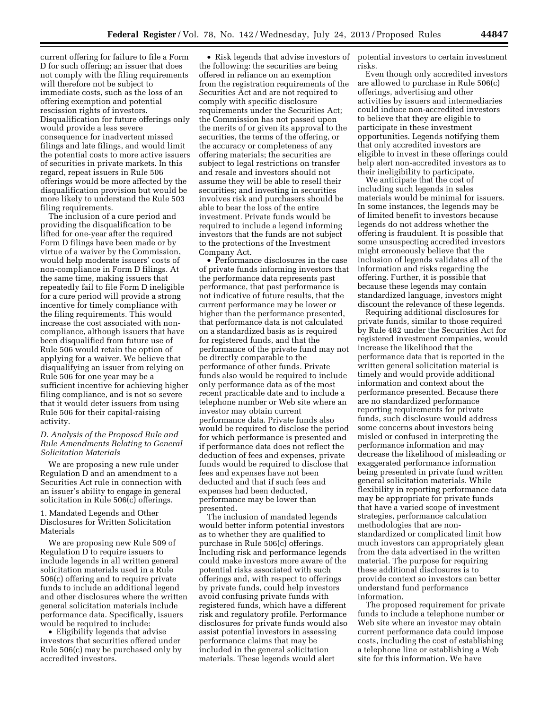current offering for failure to file a Form D for such offering; an issuer that does not comply with the filing requirements will therefore not be subject to immediate costs, such as the loss of an offering exemption and potential rescission rights of investors. Disqualification for future offerings only would provide a less severe consequence for inadvertent missed filings and late filings, and would limit the potential costs to more active issuers of securities in private markets. In this regard, repeat issuers in Rule 506 offerings would be more affected by the disqualification provision but would be more likely to understand the Rule 503 filing requirements.

The inclusion of a cure period and providing the disqualification to be lifted for one-year after the required Form D filings have been made or by virtue of a waiver by the Commission, would help moderate issuers' costs of non-compliance in Form D filings. At the same time, making issuers that repeatedly fail to file Form D ineligible for a cure period will provide a strong incentive for timely compliance with the filing requirements. This would increase the cost associated with noncompliance, although issuers that have been disqualified from future use of Rule 506 would retain the option of applying for a waiver. We believe that disqualifying an issuer from relying on Rule 506 for one year may be a sufficient incentive for achieving higher filing compliance, and is not so severe that it would deter issuers from using Rule 506 for their capital-raising activity.

# *D. Analysis of the Proposed Rule and Rule Amendments Relating to General Solicitation Materials*

We are proposing a new rule under Regulation D and an amendment to a Securities Act rule in connection with an issuer's ability to engage in general solicitation in Rule 506(c) offerings.

1. Mandated Legends and Other Disclosures for Written Solicitation Materials

We are proposing new Rule 509 of Regulation D to require issuers to include legends in all written general solicitation materials used in a Rule 506(c) offering and to require private funds to include an additional legend and other disclosures where the written general solicitation materials include performance data. Specifically, issuers would be required to include:

• Eligibility legends that advise investors that securities offered under Rule 506(c) may be purchased only by accredited investors.

• Risk legends that advise investors of the following: the securities are being offered in reliance on an exemption from the registration requirements of the Securities Act and are not required to comply with specific disclosure requirements under the Securities Act; the Commission has not passed upon the merits of or given its approval to the securities, the terms of the offering, or the accuracy or completeness of any offering materials; the securities are subject to legal restrictions on transfer and resale and investors should not assume they will be able to resell their securities; and investing in securities involves risk and purchasers should be able to bear the loss of the entire investment. Private funds would be required to include a legend informing investors that the funds are not subject to the protections of the Investment Company Act.

• Performance disclosures in the case of private funds informing investors that the performance data represents past performance, that past performance is not indicative of future results, that the current performance may be lower or higher than the performance presented, that performance data is not calculated on a standardized basis as is required for registered funds, and that the performance of the private fund may not be directly comparable to the performance of other funds. Private funds also would be required to include only performance data as of the most recent practicable date and to include a telephone number or Web site where an investor may obtain current performance data. Private funds also would be required to disclose the period for which performance is presented and if performance data does not reflect the deduction of fees and expenses, private funds would be required to disclose that fees and expenses have not been deducted and that if such fees and expenses had been deducted, performance may be lower than presented.

The inclusion of mandated legends would better inform potential investors as to whether they are qualified to purchase in Rule 506(c) offerings. Including risk and performance legends could make investors more aware of the potential risks associated with such offerings and, with respect to offerings by private funds, could help investors avoid confusing private funds with registered funds, which have a different risk and regulatory profile. Performance disclosures for private funds would also assist potential investors in assessing performance claims that may be included in the general solicitation materials. These legends would alert

potential investors to certain investment risks.

Even though only accredited investors are allowed to purchase in Rule 506(c) offerings, advertising and other activities by issuers and intermediaries could induce non-accredited investors to believe that they are eligible to participate in these investment opportunities. Legends notifying them that only accredited investors are eligible to invest in these offerings could help alert non-accredited investors as to their ineligibility to participate.

We anticipate that the cost of including such legends in sales materials would be minimal for issuers. In some instances, the legends may be of limited benefit to investors because legends do not address whether the offering is fraudulent. It is possible that some unsuspecting accredited investors might erroneously believe that the inclusion of legends validates all of the information and risks regarding the offering. Further, it is possible that because these legends may contain standardized language, investors might discount the relevance of these legends.

Requiring additional disclosures for private funds, similar to those required by Rule 482 under the Securities Act for registered investment companies, would increase the likelihood that the performance data that is reported in the written general solicitation material is timely and would provide additional information and context about the performance presented. Because there are no standardized performance reporting requirements for private funds, such disclosure would address some concerns about investors being misled or confused in interpreting the performance information and may decrease the likelihood of misleading or exaggerated performance information being presented in private fund written general solicitation materials. While flexibility in reporting performance data may be appropriate for private funds that have a varied scope of investment strategies, performance calculation methodologies that are nonstandardized or complicated limit how much investors can appropriately glean from the data advertised in the written material. The purpose for requiring these additional disclosures is to provide context so investors can better understand fund performance information.

The proposed requirement for private funds to include a telephone number or Web site where an investor may obtain current performance data could impose costs, including the cost of establishing a telephone line or establishing a Web site for this information. We have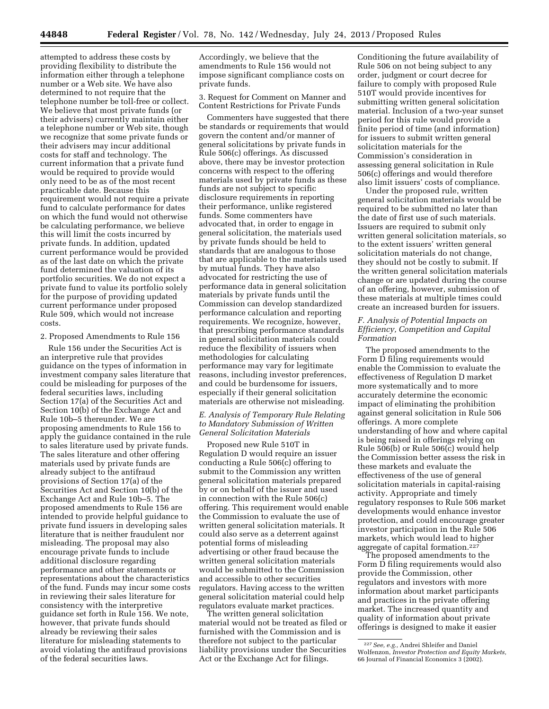attempted to address these costs by providing flexibility to distribute the information either through a telephone number or a Web site. We have also determined to not require that the telephone number be toll-free or collect. We believe that most private funds (or their advisers) currently maintain either a telephone number or Web site, though we recognize that some private funds or their advisers may incur additional costs for staff and technology. The current information that a private fund would be required to provide would only need to be as of the most recent practicable date. Because this requirement would not require a private fund to calculate performance for dates on which the fund would not otherwise be calculating performance, we believe this will limit the costs incurred by private funds. In addition, updated current performance would be provided as of the last date on which the private fund determined the valuation of its portfolio securities. We do not expect a private fund to value its portfolio solely for the purpose of providing updated current performance under proposed Rule 509, which would not increase costs.

### 2. Proposed Amendments to Rule 156

Rule 156 under the Securities Act is an interpretive rule that provides guidance on the types of information in investment company sales literature that could be misleading for purposes of the federal securities laws, including Section 17(a) of the Securities Act and Section 10(b) of the Exchange Act and Rule 10b–5 thereunder. We are proposing amendments to Rule 156 to apply the guidance contained in the rule to sales literature used by private funds. The sales literature and other offering materials used by private funds are already subject to the antifraud provisions of Section 17(a) of the Securities Act and Section 10(b) of the Exchange Act and Rule 10b–5. The proposed amendments to Rule 156 are intended to provide helpful guidance to private fund issuers in developing sales literature that is neither fraudulent nor misleading. The proposal may also encourage private funds to include additional disclosure regarding performance and other statements or representations about the characteristics of the fund. Funds may incur some costs in reviewing their sales literature for consistency with the interpretive guidance set forth in Rule 156. We note, however, that private funds should already be reviewing their sales literature for misleading statements to avoid violating the antifraud provisions of the federal securities laws.

Accordingly, we believe that the amendments to Rule 156 would not impose significant compliance costs on private funds.

3. Request for Comment on Manner and Content Restrictions for Private Funds

Commenters have suggested that there be standards or requirements that would govern the content and/or manner of general solicitations by private funds in Rule 506(c) offerings. As discussed above, there may be investor protection concerns with respect to the offering materials used by private funds as these funds are not subject to specific disclosure requirements in reporting their performance, unlike registered funds. Some commenters have advocated that, in order to engage in general solicitation, the materials used by private funds should be held to standards that are analogous to those that are applicable to the materials used by mutual funds. They have also advocated for restricting the use of performance data in general solicitation materials by private funds until the Commission can develop standardized performance calculation and reporting requirements. We recognize, however, that prescribing performance standards in general solicitation materials could reduce the flexibility of issuers when methodologies for calculating performance may vary for legitimate reasons, including investor preferences, and could be burdensome for issuers, especially if their general solicitation materials are otherwise not misleading.

# *E. Analysis of Temporary Rule Relating to Mandatory Submission of Written General Solicitation Materials*

Proposed new Rule 510T in Regulation D would require an issuer conducting a Rule 506(c) offering to submit to the Commission any written general solicitation materials prepared by or on behalf of the issuer and used in connection with the Rule 506(c) offering. This requirement would enable the Commission to evaluate the use of written general solicitation materials. It could also serve as a deterrent against potential forms of misleading advertising or other fraud because the written general solicitation materials would be submitted to the Commission and accessible to other securities regulators. Having access to the written general solicitation material could help regulators evaluate market practices.

The written general solicitation material would not be treated as filed or furnished with the Commission and is therefore not subject to the particular liability provisions under the Securities Act or the Exchange Act for filings.

Conditioning the future availability of Rule 506 on not being subject to any order, judgment or court decree for failure to comply with proposed Rule 510T would provide incentives for submitting written general solicitation material. Inclusion of a two-year sunset period for this rule would provide a finite period of time (and information) for issuers to submit written general solicitation materials for the Commission's consideration in assessing general solicitation in Rule 506(c) offerings and would therefore also limit issuers' costs of compliance.

Under the proposed rule, written general solicitation materials would be required to be submitted no later than the date of first use of such materials. Issuers are required to submit only written general solicitation materials, so to the extent issuers' written general solicitation materials do not change, they should not be costly to submit. If the written general solicitation materials change or are updated during the course of an offering, however, submission of these materials at multiple times could create an increased burden for issuers.

# *F. Analysis of Potential Impacts on Efficiency, Competition and Capital Formation*

The proposed amendments to the Form D filing requirements would enable the Commission to evaluate the effectiveness of Regulation D market more systematically and to more accurately determine the economic impact of eliminating the prohibition against general solicitation in Rule 506 offerings. A more complete understanding of how and where capital is being raised in offerings relying on Rule 506(b) or Rule 506(c) would help the Commission better assess the risk in these markets and evaluate the effectiveness of the use of general solicitation materials in capital-raising activity. Appropriate and timely regulatory responses to Rule 506 market developments would enhance investor protection, and could encourage greater investor participation in the Rule 506 markets, which would lead to higher aggregate of capital formation.227

The proposed amendments to the Form D filing requirements would also provide the Commission, other regulators and investors with more information about market participants and practices in the private offering market. The increased quantity and quality of information about private offerings is designed to make it easier

<sup>227</sup>*See, e.g.,* Andrei Shleifer and Daniel Wolfenzon, *Investor Protection and Equity Markets,*  66 Journal of Financial Economics 3 (2002).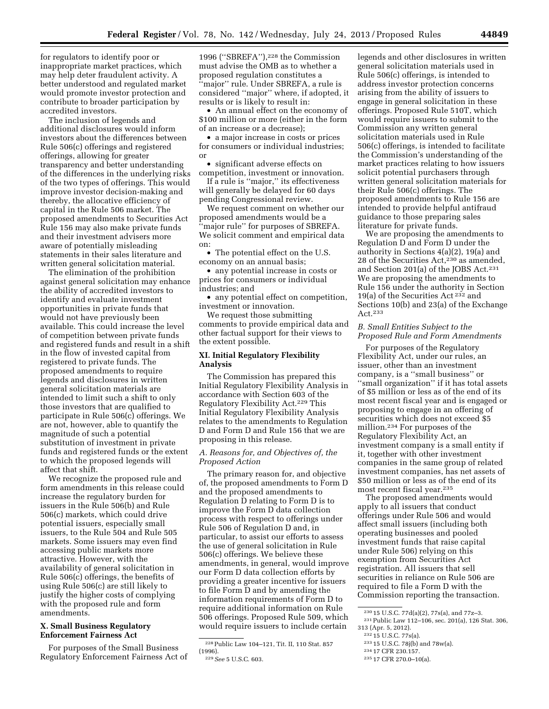for regulators to identify poor or inappropriate market practices, which may help deter fraudulent activity. A better understood and regulated market would promote investor protection and contribute to broader participation by accredited investors.

The inclusion of legends and additional disclosures would inform investors about the differences between Rule 506(c) offerings and registered offerings, allowing for greater transparency and better understanding of the differences in the underlying risks of the two types of offerings. This would improve investor decision-making and thereby, the allocative efficiency of capital in the Rule 506 market. The proposed amendments to Securities Act Rule 156 may also make private funds and their investment advisers more aware of potentially misleading statements in their sales literature and written general solicitation material.

The elimination of the prohibition against general solicitation may enhance the ability of accredited investors to identify and evaluate investment opportunities in private funds that would not have previously been available. This could increase the level of competition between private funds and registered funds and result in a shift in the flow of invested capital from registered to private funds. The proposed amendments to require legends and disclosures in written general solicitation materials are intended to limit such a shift to only those investors that are qualified to participate in Rule 506(c) offerings. We are not, however, able to quantify the magnitude of such a potential substitution of investment in private funds and registered funds or the extent to which the proposed legends will affect that shift.

We recognize the proposed rule and form amendments in this release could increase the regulatory burden for issuers in the Rule 506(b) and Rule 506(c) markets, which could drive potential issuers, especially small issuers, to the Rule 504 and Rule 505 markets. Some issuers may even find accessing public markets more attractive. However, with the availability of general solicitation in Rule 506(c) offerings, the benefits of using Rule 506(c) are still likely to justify the higher costs of complying with the proposed rule and form amendments.

# **X. Small Business Regulatory Enforcement Fairness Act**

For purposes of the Small Business Regulatory Enforcement Fairness Act of

1996 (''SBREFA''),228 the Commission must advise the OMB as to whether a proposed regulation constitutes a ''major'' rule. Under SBREFA, a rule is considered ''major'' where, if adopted, it results or is likely to result in:

• An annual effect on the economy of \$100 million or more (either in the form of an increase or a decrease);

• a major increase in costs or prices for consumers or individual industries; or

• significant adverse effects on competition, investment or innovation.

If a rule is ''major,'' its effectiveness will generally be delayed for 60 days pending Congressional review.

We request comment on whether our proposed amendments would be a 'major rule'' for purposes of SBREFA. We solicit comment and empirical data on:

• The potential effect on the U.S. economy on an annual basis;

• any potential increase in costs or prices for consumers or individual industries; and

• any potential effect on competition, investment or innovation.

We request those submitting comments to provide empirical data and other factual support for their views to the extent possible.

# **XI. Initial Regulatory Flexibility Analysis**

The Commission has prepared this Initial Regulatory Flexibility Analysis in accordance with Section 603 of the Regulatory Flexibility Act.229 This Initial Regulatory Flexibility Analysis relates to the amendments to Regulation D and Form D and Rule 156 that we are proposing in this release.

# *A. Reasons for, and Objectives of, the Proposed Action*

The primary reason for, and objective of, the proposed amendments to Form D and the proposed amendments to Regulation D relating to Form D is to improve the Form D data collection process with respect to offerings under Rule 506 of Regulation D and, in particular, to assist our efforts to assess the use of general solicitation in Rule 506(c) offerings. We believe these amendments, in general, would improve our Form D data collection efforts by providing a greater incentive for issuers to file Form D and by amending the information requirements of Form D to require additional information on Rule 506 offerings. Proposed Rule 509, which would require issuers to include certain

legends and other disclosures in written general solicitation materials used in Rule 506(c) offerings, is intended to address investor protection concerns arising from the ability of issuers to engage in general solicitation in these offerings. Proposed Rule 510T, which would require issuers to submit to the Commission any written general solicitation materials used in Rule 506(c) offerings, is intended to facilitate the Commission's understanding of the market practices relating to how issuers solicit potential purchasers through written general solicitation materials for their Rule 506(c) offerings. The proposed amendments to Rule 156 are intended to provide helpful antifraud guidance to those preparing sales literature for private funds.

We are proposing the amendments to Regulation D and Form D under the authority in Sections 4(a)(2), 19(a) and 28 of the Securities Act,230 as amended, and Section 201(a) of the JOBS Act.231 We are proposing the amendments to Rule 156 under the authority in Section 19(a) of the Securities Act  $^{232}$  and Sections 10(b) and 23(a) of the Exchange Act.233

# *B. Small Entities Subject to the Proposed Rule and Form Amendments*

For purposes of the Regulatory Flexibility Act, under our rules, an issuer, other than an investment company, is a ''small business'' or ''small organization'' if it has total assets of \$5 million or less as of the end of its most recent fiscal year and is engaged or proposing to engage in an offering of securities which does not exceed \$5 million.234 For purposes of the Regulatory Flexibility Act, an investment company is a small entity if it, together with other investment companies in the same group of related investment companies, has net assets of \$50 million or less as of the end of its most recent fiscal year.235

The proposed amendments would apply to all issuers that conduct offerings under Rule 506 and would affect small issuers (including both operating businesses and pooled investment funds that raise capital under Rule 506) relying on this exemption from Securities Act registration. All issuers that sell securities in reliance on Rule 506 are required to file a Form D with the Commission reporting the transaction.

<sup>228</sup>Public Law 104–121, Tit. II, 110 Stat. 857 (1996).

<sup>229</sup>*See* 5 U.S.C. 603.

<sup>&</sup>lt;sup>230</sup> 15 U.S.C. 77d(a)(2), 77s(a), and 77z–3.<br><sup>231</sup> Public Law 112–106, sec. 201(a), 126 Stat. 306, 313 (Apr. 5, 2012).

<sup>232 15</sup> U.S.C. 77s(a).<br>233 15 U.S.C. 78j(b) and 78w(a).<br>234 17 CFR 230.157.<br>235 17 CFR 270.0–10(a).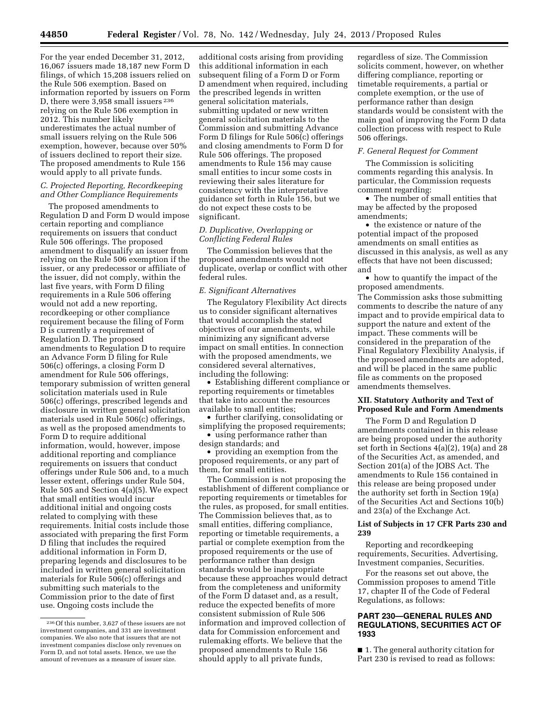For the year ended December 31, 2012, 16,067 issuers made 18,187 new Form D filings, of which 15,208 issuers relied on the Rule 506 exemption. Based on information reported by issuers on Form D, there were 3,958 small issuers <sup>236</sup> relying on the Rule 506 exemption in 2012. This number likely underestimates the actual number of small issuers relying on the Rule 506 exemption, however, because over 50% of issuers declined to report their size. The proposed amendments to Rule 156 would apply to all private funds.

# *C. Projected Reporting, Recordkeeping and Other Compliance Requirements*

The proposed amendments to Regulation D and Form D would impose certain reporting and compliance requirements on issuers that conduct Rule 506 offerings. The proposed amendment to disqualify an issuer from relying on the Rule 506 exemption if the issuer, or any predecessor or affiliate of the issuer, did not comply, within the last five years, with Form D filing requirements in a Rule 506 offering would not add a new reporting, recordkeeping or other compliance requirement because the filing of Form D is currently a requirement of Regulation D. The proposed amendments to Regulation D to require an Advance Form D filing for Rule 506(c) offerings, a closing Form D amendment for Rule 506 offerings, temporary submission of written general solicitation materials used in Rule 506(c) offerings, prescribed legends and disclosure in written general solicitation materials used in Rule 506(c) offerings, as well as the proposed amendments to Form D to require additional information, would, however, impose additional reporting and compliance requirements on issuers that conduct offerings under Rule 506 and, to a much lesser extent, offerings under Rule 504, Rule 505 and Section 4(a)(5). We expect that small entities would incur additional initial and ongoing costs related to complying with these requirements. Initial costs include those associated with preparing the first Form D filing that includes the required additional information in Form D, preparing legends and disclosures to be included in written general solicitation materials for Rule 506(c) offerings and submitting such materials to the Commission prior to the date of first use. Ongoing costs include the

additional costs arising from providing this additional information in each subsequent filing of a Form D or Form D amendment when required, including the prescribed legends in written general solicitation materials, submitting updated or new written general solicitation materials to the Commission and submitting Advance Form D filings for Rule 506(c) offerings and closing amendments to Form D for Rule 506 offerings. The proposed amendments to Rule 156 may cause small entities to incur some costs in reviewing their sales literature for consistency with the interpretative guidance set forth in Rule 156, but we do not expect these costs to be significant.

# *D. Duplicative, Overlapping or Conflicting Federal Rules*

The Commission believes that the proposed amendments would not duplicate, overlap or conflict with other federal rules.

# *E. Significant Alternatives*

The Regulatory Flexibility Act directs us to consider significant alternatives that would accomplish the stated objectives of our amendments, while minimizing any significant adverse impact on small entities. In connection with the proposed amendments, we considered several alternatives, including the following:

• Establishing different compliance or reporting requirements or timetables that take into account the resources available to small entities;

• further clarifying, consolidating or simplifying the proposed requirements;

• using performance rather than design standards; and

• providing an exemption from the proposed requirements, or any part of them, for small entities.

The Commission is not proposing the establishment of different compliance or reporting requirements or timetables for the rules, as proposed, for small entities. The Commission believes that, as to small entities, differing compliance, reporting or timetable requirements, a partial or complete exemption from the proposed requirements or the use of performance rather than design standards would be inappropriate because these approaches would detract from the completeness and uniformity of the Form D dataset and, as a result, reduce the expected benefits of more consistent submission of Rule 506 information and improved collection of data for Commission enforcement and rulemaking efforts. We believe that the proposed amendments to Rule 156 should apply to all private funds,

regardless of size. The Commission solicits comment, however, on whether differing compliance, reporting or timetable requirements, a partial or complete exemption, or the use of performance rather than design standards would be consistent with the main goal of improving the Form D data collection process with respect to Rule 506 offerings.

# *F. General Request for Comment*

The Commission is soliciting comments regarding this analysis. In particular, the Commission requests comment regarding:

• The number of small entities that may be affected by the proposed amendments;

• the existence or nature of the potential impact of the proposed amendments on small entities as discussed in this analysis, as well as any effects that have not been discussed; and

• how to quantify the impact of the proposed amendments.

The Commission asks those submitting comments to describe the nature of any impact and to provide empirical data to support the nature and extent of the impact. These comments will be considered in the preparation of the Final Regulatory Flexibility Analysis, if the proposed amendments are adopted, and will be placed in the same public file as comments on the proposed amendments themselves.

### **XII. Statutory Authority and Text of Proposed Rule and Form Amendments**

The Form D and Regulation D amendments contained in this release are being proposed under the authority set forth in Sections 4(a)(2), 19(a) and 28 of the Securities Act, as amended, and Section 201(a) of the JOBS Act. The amendments to Rule 156 contained in this release are being proposed under the authority set forth in Section 19(a) of the Securities Act and Sections 10(b) and 23(a) of the Exchange Act.

# **List of Subjects in 17 CFR Parts 230 and 239**

Reporting and recordkeeping requirements, Securities. Advertising, Investment companies, Securities.

For the reasons set out above, the Commission proposes to amend Title 17, chapter II of the Code of Federal Regulations, as follows:

# **PART 230—GENERAL RULES AND REGULATIONS, SECURITIES ACT OF 1933**

■ 1. The general authority citation for Part 230 is revised to read as follows:

<sup>236</sup>Of this number, 3,627 of these issuers are not investment companies, and 331 are investment companies. We also note that issuers that are not investment companies disclose only revenues on Form D, and not total assets. Hence, we use the amount of revenues as a measure of issuer size.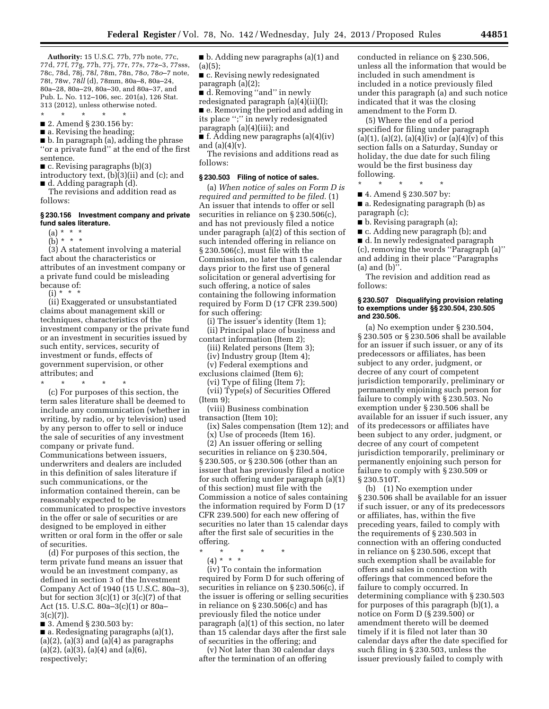**Authority:** 15 U.S.C. 77b, 77b note, 77c, 77d, 77f, 77g, 77h, 77j, 77r, 77s, 77z–3, 77sss, 78c, 78d, 78j, 78*l,* 78m, 78n, 78*o*, 78*o*–7 note, 78t, 78w, 78*ll* (d), 78mm, 80a–8, 80a–24, 80a–28, 80a–29, 80a–30, and 80a–37, and Pub. L. No. 112–106, sec. 201(a), 126 Stat. 313 (2012), unless otherwise noted.

\* \* \* \* \*

■ 2. Amend § 230.156 by:

■ a. Revising the heading

■ b. In paragraph (a), adding the phrase ''or a private fund'' at the end of the first sentence.

■ c. Revising paragraphs (b)(3)

introductory text, (b)(3)(ii) and (c); and ■ d. Adding paragraph (d).

The revisions and addition read as follows:

# **§ 230.156 Investment company and private fund sales literature.**

 $(a) * * * *$  $(b) * * * *$ 

(3) A statement involving a material fact about the characteristics or attributes of an investment company or a private fund could be misleading because of:

 $(i) * *$ 

(ii) Exaggerated or unsubstantiated claims about management skill or techniques, characteristics of the investment company or the private fund or an investment in securities issued by such entity, services, security of investment or funds, effects of government supervision, or other attributes; and

\* \* \* \* \*

(c) For purposes of this section, the term sales literature shall be deemed to include any communication (whether in writing, by radio, or by television) used by any person to offer to sell or induce the sale of securities of any investment company or private fund. Communications between issuers, underwriters and dealers are included in this definition of sales literature if such communications, or the information contained therein, can be reasonably expected to be communicated to prospective investors in the offer or sale of securities or are designed to be employed in either written or oral form in the offer or sale of securities.

(d) For purposes of this section, the term private fund means an issuer that would be an investment company, as defined in section 3 of the Investment Company Act of 1940 (15 U.S.C. 80a–3), but for section  $3(c)(1)$  or  $3(c)(7)$  of that Act (15. U.S.C. 80a–3(c)(1) or 80a–  $3(c)(7)$ ).

■ 3. Amend § 230.503 by:

■ a. Redesignating paragraphs (a)(1),  $(a)(2)$ ,  $(a)(3)$  and  $(a)(4)$  as paragraphs (a)(2), (a)(3), (a)(4) and (a)(6), respectively;

■ b. Adding new paragraphs (a)(1) and (a)(5);

■ c. Revising newly redesignated paragraph (a)(2);

■ d. Removing "and" in newly

redesignated paragraph (a)(4)(ii)(I);

■ e. Removing the period and adding in its place '';'' in newly redesignated

paragraph (a)(4)(iii); and

 $\bullet$  f. Adding new paragraphs (a)(4)(iv) and  $(a)(4)(v)$ .

The revisions and additions read as follows:

### **§ 230.503 Filing of notice of sales.**

(a) *When notice of sales on Form D is required and permitted to be filed.* (1) An issuer that intends to offer or sell securities in reliance on § 230.506(c), and has not previously filed a notice under paragraph (a)(2) of this section of such intended offering in reliance on § 230.506(c), must file with the Commission, no later than 15 calendar days prior to the first use of general solicitation or general advertising for such offering, a notice of sales containing the following information required by Form D (17 CFR 239.500) for such offering:

(i) The issuer's identity (Item 1); (ii) Principal place of business and contact information (Item 2);

(iii) Related persons (Item 3);

(iv) Industry group (Item 4);

(v) Federal exemptions and exclusions claimed (Item 6);

(vi) Type of filing (Item 7);

(vii) Type(s) of Securities Offered (Item 9);

(viii) Business combination transaction (Item 10);

(ix) Sales compensation (Item 12); and

(x) Use of proceeds (Item 16).

(2) An issuer offering or selling securities in reliance on § 230.504, § 230.505, or § 230.506 (other than an issuer that has previously filed a notice for such offering under paragraph (a)(1) of this section) must file with the Commission a notice of sales containing the information required by Form D (17 CFR 239.500) for each new offering of securities no later than 15 calendar days after the first sale of securities in the offering.

\* \* \* \* \* (4) \* \* \*

(iv) To contain the information required by Form D for such offering of securities in reliance on § 230.506(c), if the issuer is offering or selling securities in reliance on § 230.506(c) and has previously filed the notice under paragraph (a)(1) of this section, no later than 15 calendar days after the first sale of securities in the offering; and

(v) Not later than 30 calendar days after the termination of an offering

conducted in reliance on § 230.506, unless all the information that would be included in such amendment is included in a notice previously filed under this paragraph (a) and such notice indicated that it was the closing amendment to the Form D.

(5) Where the end of a period specified for filing under paragraph (a)(1), (a)(2), (a)(4)(iv) or (a)(4)(v) of this section falls on a Saturday, Sunday or holiday, the due date for such filing would be the first business day following.

\* \* \* \* \*

■ 4. Amend § 230.507 by:

■ a. Redesignating paragraph (b) as paragraph (c);

■ b. Revising paragraph (a);

■ c. Adding new paragraph (b); and ■ d. In newly redesignated paragraph (c), removing the words ''Paragraph (a)'' and adding in their place ''Paragraphs

(a) and (b)''. The revision and addition read as follows:

### **§ 230.507 Disqualifying provision relating to exemptions under §§ 230.504, 230.505 and 230.506.**

(a) No exemption under § 230.504, § 230.505 or § 230.506 shall be available for an issuer if such issuer, or any of its predecessors or affiliates, has been subject to any order, judgment, or decree of any court of competent jurisdiction temporarily, preliminary or permanently enjoining such person for failure to comply with § 230.503. No exemption under § 230.506 shall be available for an issuer if such issuer, any of its predecessors or affiliates have been subject to any order, judgment, or decree of any court of competent jurisdiction temporarily, preliminary or permanently enjoining such person for failure to comply with § 230.509 or § 230.510T.

(b) (1) No exemption under § 230.506 shall be available for an issuer if such issuer, or any of its predecessors or affiliates, has, within the five preceding years, failed to comply with the requirements of § 230.503 in connection with an offering conducted in reliance on § 230.506, except that such exemption shall be available for offers and sales in connection with offerings that commenced before the failure to comply occurred. In determining compliance with § 230.503 for purposes of this paragraph (b)(1), a notice on Form D (§ 239.500) or amendment thereto will be deemed timely if it is filed not later than 30 calendar days after the date specified for such filing in § 230.503, unless the issuer previously failed to comply with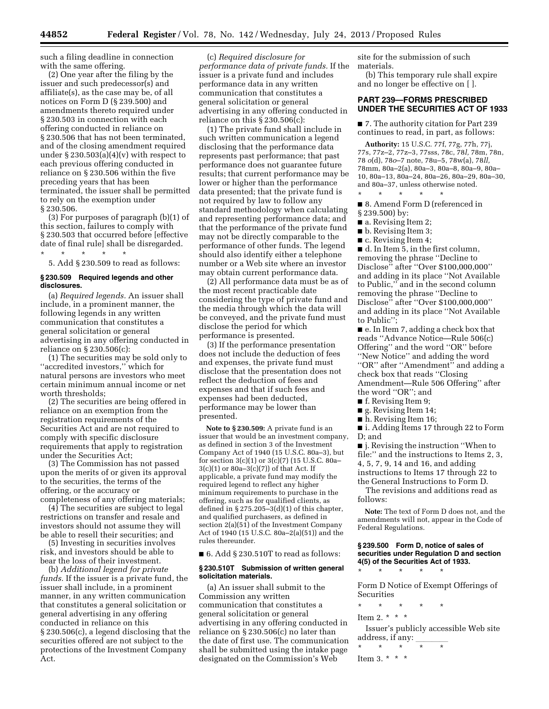such a filing deadline in connection with the same offering.

(2) One year after the filing by the issuer and such predecessor(s) and affiliate(s), as the case may be, of all notices on Form D (§ 239.500) and amendments thereto required under § 230.503 in connection with each offering conducted in reliance on § 230.506 that has not been terminated, and of the closing amendment required under  $\S 230.503(a)(4)(v)$  with respect to each previous offering conducted in reliance on § 230.506 within the five preceding years that has been terminated, the issuer shall be permitted to rely on the exemption under § 230.506.

(3) For purposes of paragraph (b)(1) of this section, failures to comply with § 230.503 that occurred before [effective date of final rule] shall be disregarded. \* \* \* \* \*

5. Add § 230.509 to read as follows:

### **§ 230.509 Required legends and other disclosures.**

(a) *Required legends.* An issuer shall include, in a prominent manner, the following legends in any written communication that constitutes a general solicitation or general advertising in any offering conducted in reliance on § 230.506(c):

(1) The securities may be sold only to ''accredited investors,'' which for natural persons are investors who meet certain minimum annual income or net worth thresholds;

(2) The securities are being offered in reliance on an exemption from the registration requirements of the Securities Act and are not required to comply with specific disclosure requirements that apply to registration under the Securities Act;

(3) The Commission has not passed upon the merits of or given its approval to the securities, the terms of the offering, or the accuracy or completeness of any offering materials;

(4) The securities are subject to legal restrictions on transfer and resale and investors should not assume they will be able to resell their securities; and

(5) Investing in securities involves risk, and investors should be able to bear the loss of their investment.

(b) *Additional legend for private funds.* If the issuer is a private fund, the issuer shall include, in a prominent manner, in any written communication that constitutes a general solicitation or general advertising in any offering conducted in reliance on this § 230.506(c), a legend disclosing that the securities offered are not subject to the protections of the Investment Company Act.

(c) *Required disclosure for performance data of private funds.* If the issuer is a private fund and includes performance data in any written communication that constitutes a general solicitation or general advertising in any offering conducted in reliance on this § 230.506(c):

(1) The private fund shall include in such written communication a legend disclosing that the performance data represents past performance; that past performance does not guarantee future results; that current performance may be lower or higher than the performance data presented; that the private fund is not required by law to follow any standard methodology when calculating and representing performance data; and that the performance of the private fund may not be directly comparable to the performance of other funds. The legend should also identify either a telephone number or a Web site where an investor may obtain current performance data.

(2) All performance data must be as of the most recent practicable date considering the type of private fund and the media through which the data will be conveyed, and the private fund must disclose the period for which performance is presented.

(3) If the performance presentation does not include the deduction of fees and expenses, the private fund must disclose that the presentation does not reflect the deduction of fees and expenses and that if such fees and expenses had been deducted, performance may be lower than presented.

**Note to § 230.509:** A private fund is an issuer that would be an investment company, as defined in section 3 of the Investment Company Act of 1940 (15 U.S.C. 80a–3), but for section 3(c)(1) or 3(c)(7) (15 U.S.C. 80a– 3(c)(1) or 80a–3(c)(7)) of that Act. If applicable, a private fund may modify the required legend to reflect any higher minimum requirements to purchase in the offering, such as for qualified clients, as defined in  $\S 275.205 - 3(d)(1)$  of this chapter, and qualified purchasers, as defined in section 2(a)(51) of the Investment Company Act of 1940 (15 U.S.C. 80a–2(a)(51)) and the rules thereunder.

 $\blacksquare$  6. Add § 230.510T to read as follows:

### **§ 230.510T Submission of written general solicitation materials.**

(a) An issuer shall submit to the Commission any written communication that constitutes a general solicitation or general advertising in any offering conducted in reliance on § 230.506(c) no later than the date of first use. The communication shall be submitted using the intake page designated on the Commission's Web

site for the submission of such materials.

(b) This temporary rule shall expire and no longer be effective on [ ].

# **PART 239—FORMS PRESCRIBED UNDER THE SECURITIES ACT OF 1933**

■ 7. The authority citation for Part 239 continues to read, in part, as follows:

**Authority:** 15 U.S.C. 77f, 77g, 77h, 77j, 77s, 77z–2, 77z–3, 77sss, 78c, 78*l,* 78m, 78n, 78 *o*(d), 78*o*–7 note, 78u–5, 78w(a), 78*ll,*  78mm, 80a–2(a), 80a–3, 80a–8, 80a–9, 80a– 10, 80a–13, 80a–24, 80a–26, 80a–29, 80a–30, and 80a–37, unless otherwise noted. \* \* \* \* \*

■ 8. Amend Form D (referenced in § 239.500) by:

- a. Revising Item 2;
- b. Revising Item 3;
- c. Revising Item 4;

■ d. In Item 5, in the first column, removing the phrase ''Decline to Disclose'' after ''Over \$100,000,000'' and adding in its place ''Not Available to Public,'' and in the second column removing the phrase ''Decline to Disclose'' after ''Over \$100,000,000'' and adding in its place ''Not Available to Public'';

■ e. In Item 7, adding a check box that reads ''Advance Notice—Rule 506(c) Offering'' and the word ''OR'' before ''New Notice'' and adding the word ''OR'' after ''Amendment'' and adding a check box that reads ''Closing Amendment—Rule 506 Offering'' after the word ''OR''; and

■ f. Revising Item 9;

- g. Revising Item 14;
- h. Revising Item 16;

■ i. Adding Items 17 through 22 to Form D; and

■ **j.** Revising the instruction "When to file:" and the instructions to Items 2, 3, 4, 5, 7, 9, 14 and 16, and adding instructions to Items 17 through 22 to the General Instructions to Form D.

The revisions and additions read as follows:

**Note:** The text of Form D does not, and the amendments will not, appear in the Code of Federal Regulations.

### **§ 239.500 Form D, notice of sales of securities under Regulation D and section 4(5) of the Securities Act of 1933.**

\* \* \* \* \* Form D Notice of Exempt Offerings of Securities

\* \* \* \* \*

Item 2. \* \* \* \*

Issuer's publicly accessible Web site address, if any:  $\frac{1}{\pi}$ 

\* \* \* \* \*

```
Item 3. * * *
```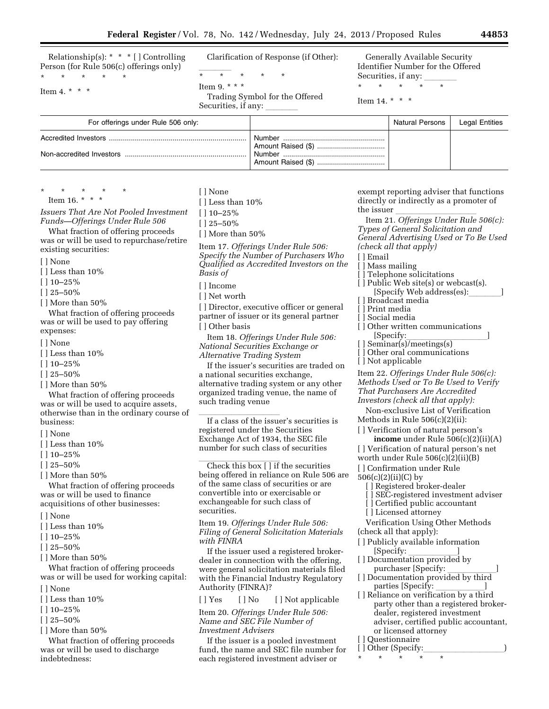Relationship(s): \* \* \* [ ] Controlling Person (for Rule 506(c) offerings only)

Item 4.  $* * * *$ 

\* \* \* \* \*

Clarification of Response (if Other):

 $\overline{\phantom{a}}$ \* \* \* \* \*

Item 9. \* \* \*

Trading Symbol for the Offered Securities, if any:

Generally Available Security Identifier Number for the Offered Securities, if any:

 $\star$   $\star$ 

Item 14. \* \* \*

| For offerings under Rule 506 only: | Natural Persons | Legal Entities |
|------------------------------------|-----------------|----------------|
|                                    |                 |                |

\* \* \* \* \* Item 16. \* \* \*

*Issuers That Are Not Pooled Investment Funds—Offerings Under Rule 506* 

What fraction of offering proceeds was or will be used to repurchase/retire existing securities:

[ ] None

 $\lceil$  ] Less than 10%

[ ] 10–25%

 $[$   $]$  25–50%

[ ] More than 50%

What fraction of offering proceeds was or will be used to pay offering expenses:

- [ ] None
- [] Less than  $10\%$
- $[$  | 10–25%
- [ ] 25–50%
- [ ] More than 50%

What fraction of offering proceeds was or will be used to acquire assets, otherwise than in the ordinary course of business:

- [ ] None
- $\lceil$  ] Less than 10%
- [ ] 10–25%
- [ ] 25–50%
- [ ] More than 50%

What fraction of offering proceeds was or will be used to finance acquisitions of other businesses:

- [ ] None
- [ ] Less than 10%
- [ ] 10–25%
- [ ] 25–50%
- [ ] More than 50%

What fraction of offering proceeds was or will be used for working capital:

- [ ] None
- $\lceil$  ] Less than 10%
- [ ] 10–25%
- [ ] 25–50%
- [ ] More than 50%

What fraction of offering proceeds was or will be used to discharge indebtedness:

- [ ] None
- [ ] Less than 10%
- [ ] 10–25%
- $[$  | 25–50%
- [ ] More than 50%

Item 17. *Offerings Under Rule 506: Specify the Number of Purchasers Who Qualified as Accredited Investors on the Basis of* 

- [ ] Income
- [ ] Net worth

[] Director, executive officer or general partner of issuer or its general partner [ ] Other basis

Item 18. *Offerings Under Rule 506: National Securities Exchange or Alternative Trading System* 

If the issuer's securities are traded on a national securities exchange, alternative trading system or any other organized trading venue, the name of such trading venue

If a class of the issuer's securities is registered under the Securities Exchange Act of 1934, the SEC file number for such class of securities

Check this box  $[]$  if the securities being offered in reliance on Rule 506 are of the same class of securities or are convertible into or exercisable or exchangeable for such class of securities.

Item 19. *Offerings Under Rule 506: Filing of General Solicitation Materials with FINRA* 

If the issuer used a registered brokerdealer in connection with the offering, were general solicitation materials filed with the Financial Industry Regulatory Authority (FINRA)?

[ ] Yes [ ] No [ ] Not applicable

Item 20. *Offerings Under Rule 506: Name and SEC File Number of Investment Advisers* 

If the issuer is a pooled investment fund, the name and SEC file number for each registered investment adviser or

exempt reporting adviser that functions directly or indirectly as a promoter of

the issuer llllllllll Item 21. *Offerings Under Rule 506(c): Types of General Solicitation and General Advertising Used or To Be Used (check all that apply)* 

- [ ] Email
- [ ] Mass mailing
- [] Telephone solicitations
- [ ] Public Web site(s) or webcast(s). [Specify Web address(es):
- [ ] Broadcast media
- [ ] Print media
- [ ] Social media
- [] Other written communications [Specify: [Specify:\_\_\_\_\_\_\_\_\_\_\_\_\_\_\_]<br>[ ] Seminar(s)/meetings(s)
- 
- [] Other oral communications
- [ ] Not applicable

Item 22. *Offerings Under Rule 506(c): Methods Used or To Be Used to Verify That Purchasers Are Accredited Investors (check all that apply):* 

Non-exclusive List of Verification Methods in Rule 506(c)(2)(ii):

- [] Verification of natural person's **income** under Rule 506(c)(2)(ii)(A)
- [ ] Verification of natural person's net
- worth under Rule 506(c)(2)(ii)(B)
- [] Confirmation under Rule

506(c)(2)(ii)(C) by

- [ ] Registered broker-dealer
- [ ] SEC-registered investment adviser
- [] Certified public accountant
- [ ] Licensed attorney
- Verification Using Other Methods (check all that apply):
- [ ] Publicly available information
- [Specify: <u>\_\_\_\_\_\_\_\_\_]</u><br>[ ] Documentation provided by
- purchaser [Specify: www. [ ] Documentation provided by third
- parties [Specify: \_\_\_\_\_\_\_\_\_\_\_\_]<br>[ ] Reliance on verification by a third party other than a registered brokerdealer, registered investment adviser, certified public accountant, or licensed attorney [ ] Ouestionnaire
- [ ] Other (Specify:

\* \* \* \* \*

- 
-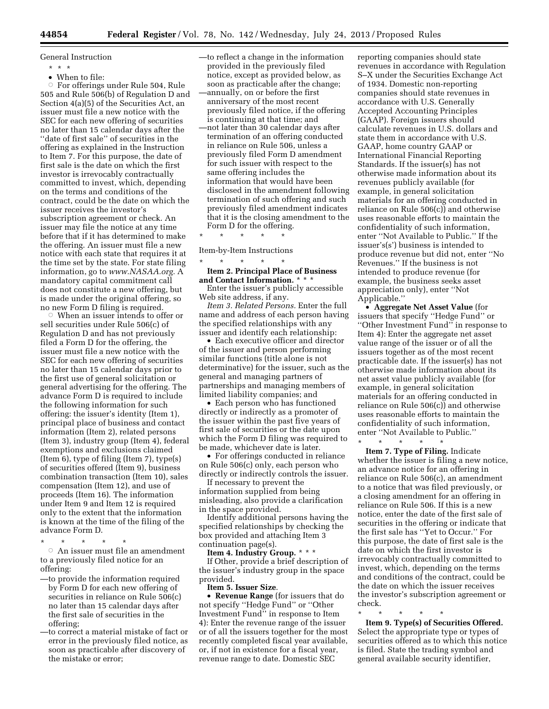General Instruction

- \* \* \*
- When to file:

Æ For offerings under Rule 504, Rule 505 and Rule 506(b) of Regulation D and Section 4(a)(5) of the Securities Act, an issuer must file a new notice with the SEC for each new offering of securities no later than 15 calendar days after the ''date of first sale'' of securities in the offering as explained in the Instruction to Item 7. For this purpose, the date of first sale is the date on which the first investor is irrevocably contractually committed to invest, which, depending on the terms and conditions of the contract, could be the date on which the issuer receives the investor's subscription agreement or check. An issuer may file the notice at any time before that if it has determined to make the offering. An issuer must file a new notice with each state that requires it at the time set by the state. For state filing information, go to *[www.NASAA.org.](http://www.NASAA.org)* A mandatory capital commitment call does not constitute a new offering, but is made under the original offering, so no new Form D filing is required.

 $W$  When an issuer intends to offer or sell securities under Rule 506(c) of Regulation D and has not previously filed a Form D for the offering, the issuer must file a new notice with the SEC for each new offering of securities no later than 15 calendar days prior to the first use of general solicitation or general advertising for the offering. The advance Form D is required to include the following information for such offering: the issuer's identity (Item 1), principal place of business and contact information (Item 2), related persons (Item 3), industry group (Item 4), federal exemptions and exclusions claimed (Item 6), type of filing (Item 7), type(s) of securities offered (Item 9), business combination transaction (Item 10), sales compensation (Item 12), and use of proceeds (Item 16). The information under Item 9 and Item 12 is required only to the extent that the information is known at the time of the filing of the advance Form D.

\* \* \* \* \* Æ An issuer must file an amendment to a previously filed notice for an offering:

- —to provide the information required by Form D for each new offering of securities in reliance on Rule 506(c) no later than 15 calendar days after the first sale of securities in the offering;
- —to correct a material mistake of fact or error in the previously filed notice, as soon as practicable after discovery of the mistake or error;

—to reflect a change in the information provided in the previously filed notice, except as provided below, as soon as practicable after the change; —annually, on or before the first anniversary of the most recent previously filed notice, if the offering is continuing at that time; and —not later than 30 calendar days after termination of an offering conducted in reliance on Rule 506, unless a previously filed Form D amendment for such issuer with respect to the same offering includes the information that would have been disclosed in the amendment following termination of such offering and such previously filed amendment indicates that it is the closing amendment to the Form D for the offering.

\* \* \* \* \*

Item-by-Item Instructions

\* \* \* \* \* **Item 2. Principal Place of Business and Contact Information.** \* \* \*

Enter the issuer's publicly accessible Web site address, if any.

*Item 3. Related Persons.* Enter the full name and address of each person having the specified relationships with any issuer and identify each relationship:

• Each executive officer and director of the issuer and person performing similar functions (title alone is not determinative) for the issuer, such as the general and managing partners of partnerships and managing members of limited liability companies; and

• Each person who has functioned directly or indirectly as a promoter of the issuer within the past five years of first sale of securities or the date upon which the Form D filing was required to be made, whichever date is later.

• For offerings conducted in reliance on Rule 506(c) only, each person who directly or indirectly controls the issuer.

If necessary to prevent the information supplied from being misleading, also provide a clarification in the space provided.

Identify additional persons having the specified relationships by checking the box provided and attaching Item 3 continuation page(s).

**Item 4. Industry Group.** \* \* \*

If Other, provide a brief description of the issuer's industry group in the space provided.

**Item 5. Issuer Size**.

• **Revenue Range** (for issuers that do not specify ''Hedge Fund'' or ''Other Investment Fund'' in response to Item 4): Enter the revenue range of the issuer or of all the issuers together for the most recently completed fiscal year available, or, if not in existence for a fiscal year, revenue range to date. Domestic SEC

reporting companies should state revenues in accordance with Regulation S–X under the Securities Exchange Act of 1934. Domestic non-reporting companies should state revenues in accordance with U.S. Generally Accepted Accounting Principles (GAAP). Foreign issuers should calculate revenues in U.S. dollars and state them in accordance with U.S. GAAP, home country GAAP or International Financial Reporting Standards. If the issuer(s) has not otherwise made information about its revenues publicly available (for example, in general solicitation materials for an offering conducted in reliance on Rule 506(c)) and otherwise uses reasonable efforts to maintain the confidentiality of such information, enter ''Not Available to Public.'' If the issuer's(s') business is intended to produce revenue but did not, enter ''No Revenues.'' If the business is not intended to produce revenue (for example, the business seeks asset appreciation only), enter ''Not Applicable.''

• **Aggregate Net Asset Value** (for issuers that specify ''Hedge Fund'' or ''Other Investment Fund'' in response to Item 4): Enter the aggregate net asset value range of the issuer or of all the issuers together as of the most recent practicable date. If the issuer(s) has not otherwise made information about its net asset value publicly available (for example, in general solicitation materials for an offering conducted in reliance on Rule 506(c)) and otherwise uses reasonable efforts to maintain the confidentiality of such information, enter "Not Available to Public."

\* \* \* \* \*

**Item 7. Type of Filing.** Indicate whether the issuer is filing a new notice, an advance notice for an offering in reliance on Rule 506(c), an amendment to a notice that was filed previously, or a closing amendment for an offering in reliance on Rule 506. If this is a new notice, enter the date of the first sale of securities in the offering or indicate that the first sale has ''Yet to Occur.'' For this purpose, the date of first sale is the date on which the first investor is irrevocably contractually committed to invest, which, depending on the terms and conditions of the contract, could be the date on which the issuer receives the investor's subscription agreement or check.

\* \* \* \* \*

**Item 9. Type(s) of Securities Offered.**  Select the appropriate type or types of securities offered as to which this notice is filed. State the trading symbol and general available security identifier,